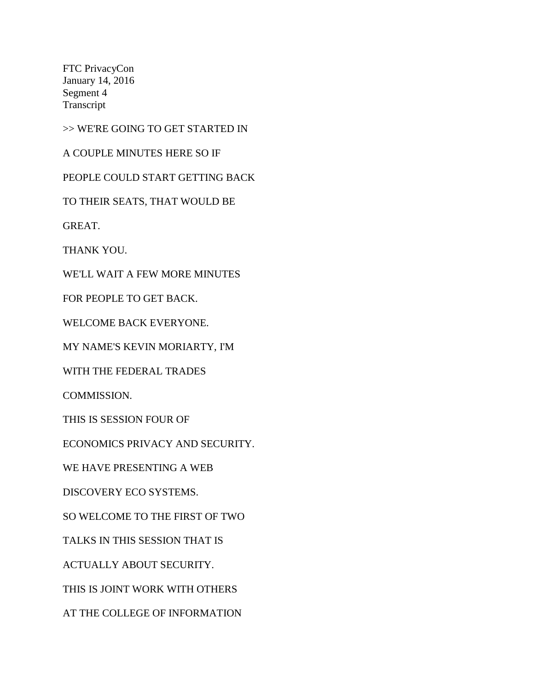FTC PrivacyCon January 14, 2016 Segment 4 Transcript

>> WE'RE GOING TO GET STARTED IN

A COUPLE MINUTES HERE SO IF

PEOPLE COULD START GETTING BACK

TO THEIR SEATS, THAT WOULD BE

GREAT.

THANK YOU.

WE'LL WAIT A FEW MORE MINUTES

FOR PEOPLE TO GET BACK.

WELCOME BACK EVERYONE.

MY NAME'S KEVIN MORIARTY, I'M

WITH THE FEDERAL TRADES

COMMISSION.

THIS IS SESSION FOUR OF

ECONOMICS PRIVACY AND SECURITY.

WE HAVE PRESENTING A WEB

DISCOVERY ECO SYSTEMS.

SO WELCOME TO THE FIRST OF TWO

TALKS IN THIS SESSION THAT IS

ACTUALLY ABOUT SECURITY.

THIS IS JOINT WORK WITH OTHERS

AT THE COLLEGE OF INFORMATION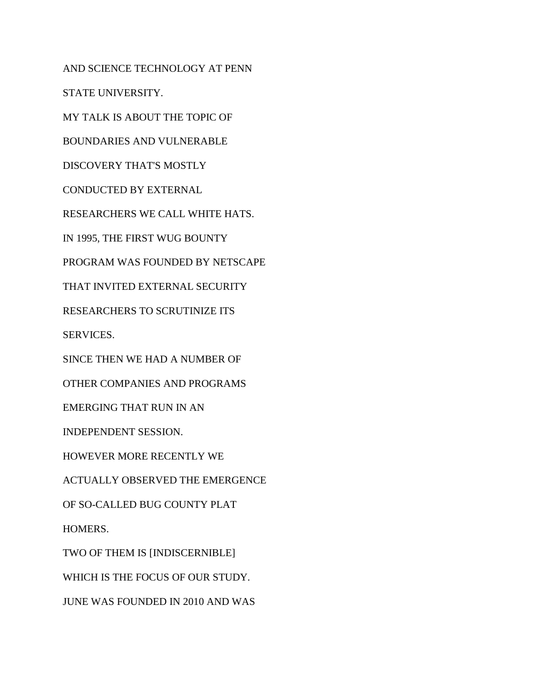AND SCIENCE TECHNOLOGY AT PENN STATE UNIVERSITY. MY TALK IS ABOUT THE TOPIC OF BOUNDARIES AND VULNERABLE DISCOVERY THAT'S MOSTLY CONDUCTED BY EXTERNAL RESEARCHERS WE CALL WHITE HATS. IN 1995, THE FIRST WUG BOUNTY PROGRAM WAS FOUNDED BY NETSCAPE THAT INVITED EXTERNAL SECURITY RESEARCHERS TO SCRUTINIZE ITS SERVICES. SINCE THEN WE HAD A NUMBER OF OTHER COMPANIES AND PROGRAMS EMERGING THAT RUN IN AN INDEPENDENT SESSION. HOWEVER MORE RECENTLY WE ACTUALLY OBSERVED THE EMERGENCE OF SO-CALLED BUG COUNTY PLAT HOMERS. TWO OF THEM IS [INDISCERNIBLE] WHICH IS THE FOCUS OF OUR STUDY. JUNE WAS FOUNDED IN 2010 AND WAS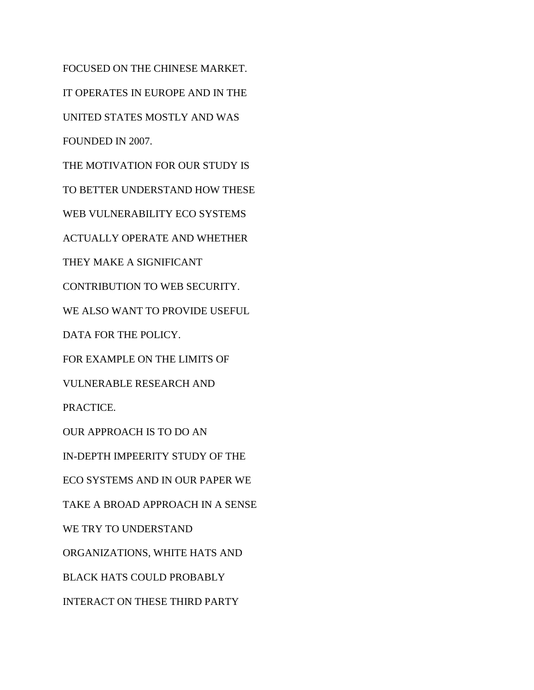FOCUSED ON THE CHINESE MARKET. IT OPERATES IN EUROPE AND IN THE UNITED STATES MOSTLY AND WAS FOUNDED IN 2007. THE MOTIVATION FOR OUR STUDY IS TO BETTER UNDERSTAND HOW THESE WEB VULNERABILITY ECO SYSTEMS ACTUALLY OPERATE AND WHETHER THEY MAKE A SIGNIFICANT CONTRIBUTION TO WEB SECURITY. WE ALSO WANT TO PROVIDE USEFUL DATA FOR THE POLICY. FOR EXAMPLE ON THE LIMITS OF VULNERABLE RESEARCH AND PRACTICE. OUR APPROACH IS TO DO AN IN-DEPTH IMPEERITY STUDY OF THE ECO SYSTEMS AND IN OUR PAPER WE TAKE A BROAD APPROACH IN A SENSE WE TRY TO UNDERSTAND ORGANIZATIONS, WHITE HATS AND BLACK HATS COULD PROBABLY INTERACT ON THESE THIRD PARTY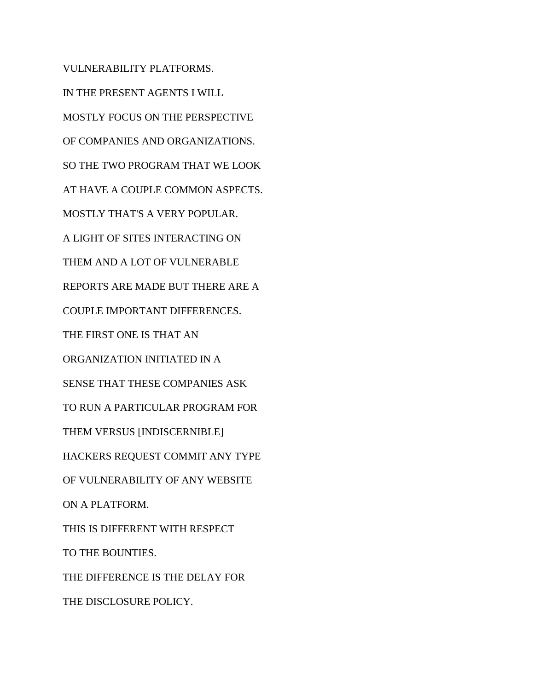VULNERABILITY PLATFORMS. IN THE PRESENT AGENTS I WILL MOSTLY FOCUS ON THE PERSPECTIVE OF COMPANIES AND ORGANIZATIONS. SO THE TWO PROGRAM THAT WE LOOK AT HAVE A COUPLE COMMON ASPECTS. MOSTLY THAT'S A VERY POPULAR. A LIGHT OF SITES INTERACTING ON THEM AND A LOT OF VULNERABLE REPORTS ARE MADE BUT THERE ARE A COUPLE IMPORTANT DIFFERENCES. THE FIRST ONE IS THAT AN ORGANIZATION INITIATED IN A SENSE THAT THESE COMPANIES ASK TO RUN A PARTICULAR PROGRAM FOR THEM VERSUS [INDISCERNIBLE] HACKERS REQUEST COMMIT ANY TYPE OF VULNERABILITY OF ANY WEBSITE ON A PLATFORM. THIS IS DIFFERENT WITH RESPECT TO THE BOUNTIES. THE DIFFERENCE IS THE DELAY FOR THE DISCLOSURE POLICY.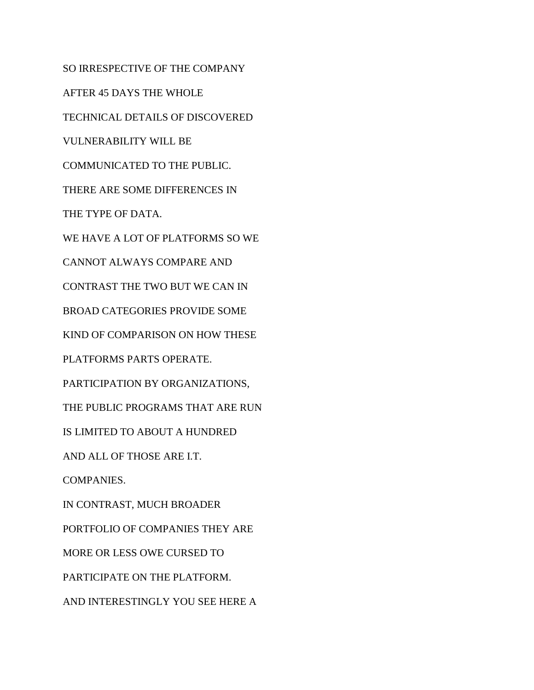SO IRRESPECTIVE OF THE COMPANY AFTER 45 DAYS THE WHOLE TECHNICAL DETAILS OF DISCOVERED VULNERABILITY WILL BE COMMUNICATED TO THE PUBLIC. THERE ARE SOME DIFFERENCES IN THE TYPE OF DATA. WE HAVE A LOT OF PLATFORMS SO WE CANNOT ALWAYS COMPARE AND CONTRAST THE TWO BUT WE CAN IN BROAD CATEGORIES PROVIDE SOME KIND OF COMPARISON ON HOW THESE PLATFORMS PARTS OPERATE. PARTICIPATION BY ORGANIZATIONS, THE PUBLIC PROGRAMS THAT ARE RUN IS LIMITED TO ABOUT A HUNDRED AND ALL OF THOSE ARE I.T. COMPANIES. IN CONTRAST, MUCH BROADER PORTFOLIO OF COMPANIES THEY ARE MORE OR LESS OWE CURSED TO PARTICIPATE ON THE PLATFORM. AND INTERESTINGLY YOU SEE HERE A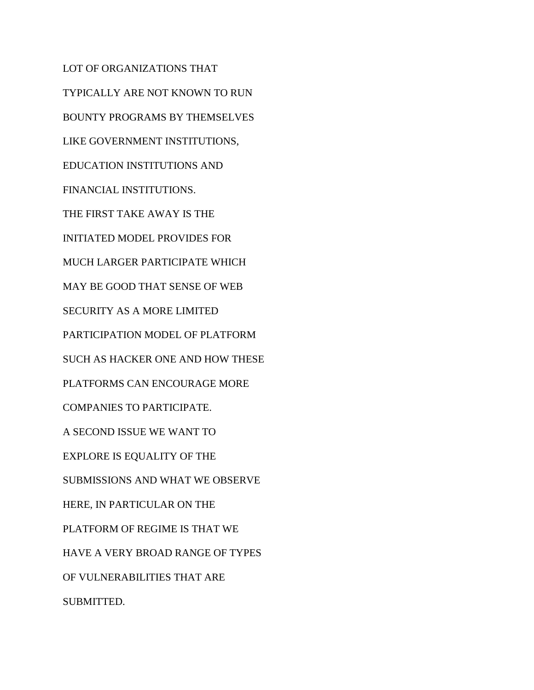LOT OF ORGANIZATIONS THAT TYPICALLY ARE NOT KNOWN TO RUN BOUNTY PROGRAMS BY THEMSELVES LIKE GOVERNMENT INSTITUTIONS, EDUCATION INSTITUTIONS AND FINANCIAL INSTITUTIONS. THE FIRST TAKE AWAY IS THE INITIATED MODEL PROVIDES FOR MUCH LARGER PARTICIPATE WHICH MAY BE GOOD THAT SENSE OF WEB SECURITY AS A MORE LIMITED PARTICIPATION MODEL OF PLATFORM SUCH AS HACKER ONE AND HOW THESE PLATFORMS CAN ENCOURAGE MORE COMPANIES TO PARTICIPATE. A SECOND ISSUE WE WANT TO EXPLORE IS EQUALITY OF THE SUBMISSIONS AND WHAT WE OBSERVE HERE, IN PARTICULAR ON THE PLATFORM OF REGIME IS THAT WE HAVE A VERY BROAD RANGE OF TYPES OF VULNERABILITIES THAT ARE SUBMITTED.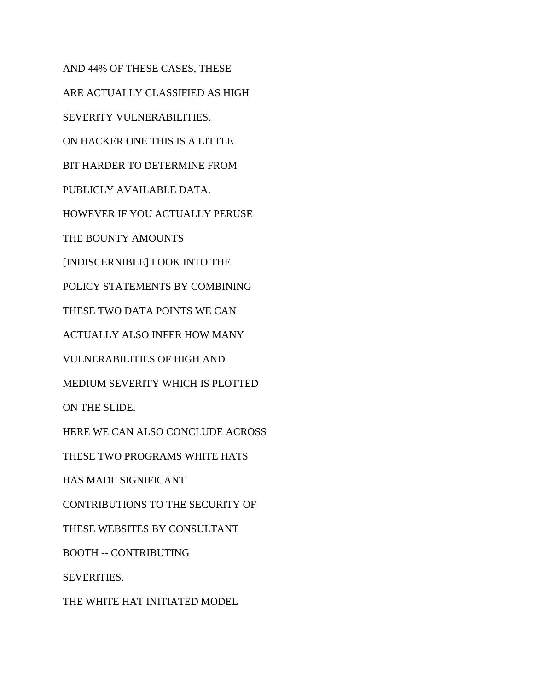AND 44% OF THESE CASES, THESE ARE ACTUALLY CLASSIFIED AS HIGH SEVERITY VULNERABILITIES. ON HACKER ONE THIS IS A LITTLE BIT HARDER TO DETERMINE FROM PUBLICLY AVAILABLE DATA. HOWEVER IF YOU ACTUALLY PERUSE THE BOUNTY AMOUNTS [INDISCERNIBLE] LOOK INTO THE POLICY STATEMENTS BY COMBINING THESE TWO DATA POINTS WE CAN ACTUALLY ALSO INFER HOW MANY VULNERABILITIES OF HIGH AND MEDIUM SEVERITY WHICH IS PLOTTED ON THE SLIDE. HERE WE CAN ALSO CONCLUDE ACROSS THESE TWO PROGRAMS WHITE HATS HAS MADE SIGNIFICANT CONTRIBUTIONS TO THE SECURITY OF THESE WEBSITES BY CONSULTANT BOOTH -- CONTRIBUTING SEVERITIES. THE WHITE HAT INITIATED MODEL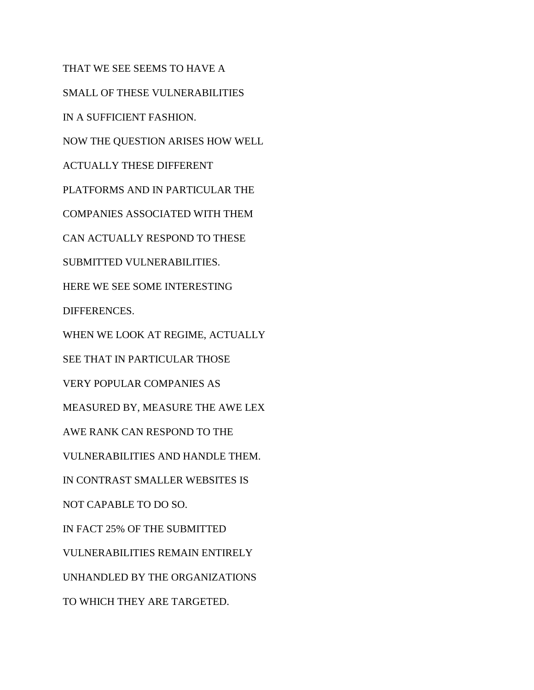THAT WE SEE SEEMS TO HAVE A SMALL OF THESE VULNERABILITIES IN A SUFFICIENT FASHION. NOW THE QUESTION ARISES HOW WELL ACTUALLY THESE DIFFERENT PLATFORMS AND IN PARTICULAR THE COMPANIES ASSOCIATED WITH THEM CAN ACTUALLY RESPOND TO THESE SUBMITTED VULNERABILITIES. HERE WE SEE SOME INTERESTING DIFFERENCES. WHEN WE LOOK AT REGIME, ACTUALLY SEE THAT IN PARTICULAR THOSE VERY POPULAR COMPANIES AS MEASURED BY, MEASURE THE AWE LEX AWE RANK CAN RESPOND TO THE VULNERABILITIES AND HANDLE THEM. IN CONTRAST SMALLER WEBSITES IS NOT CAPABLE TO DO SO. IN FACT 25% OF THE SUBMITTED VULNERABILITIES REMAIN ENTIRELY UNHANDLED BY THE ORGANIZATIONS TO WHICH THEY ARE TARGETED.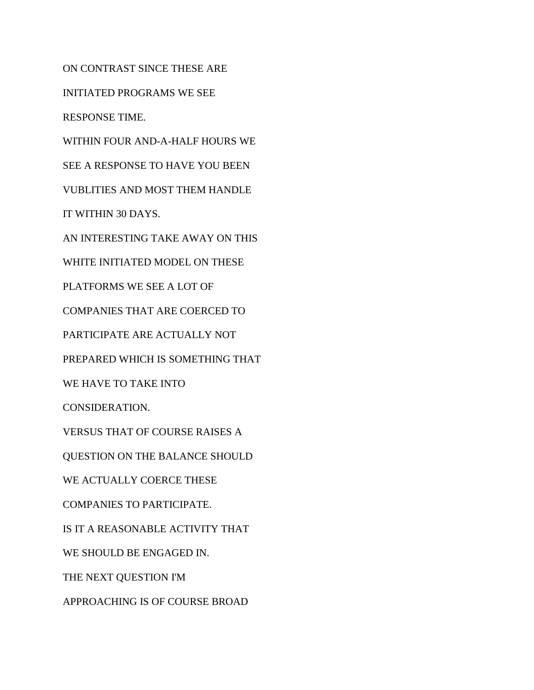ON CONTRAST SINCE THESE ARE INITIATED PROGRAMS WE SEE RESPONSE TIME. WITHIN FOUR AND-A-HALF HOURS WE SEE A RESPONSE TO HAVE YOU BEEN VUBLITIES AND MOST THEM HANDLE IT WITHIN 30 DAYS. AN INTERESTING TAKE AWAY ON THIS WHITE INITIATED MODEL ON THESE PLATFORMS WE SEE A LOT OF COMPANIES THAT ARE COERCED TO PARTICIPATE ARE ACTUALLY NOT PREPARED WHICH IS SOMETHING THAT WE HAVE TO TAKE INTO CONSIDERATION. VERSUS THAT OF COURSE RAISES A QUESTION ON THE BALANCE SHOULD WE ACTUALLY COERCE THESE COMPANIES TO PARTICIPATE. IS IT A REASONABLE ACTIVITY THAT WE SHOULD BE ENGAGED IN. THE NEXT QUESTION I'M APPROACHING IS OF COURSE BROAD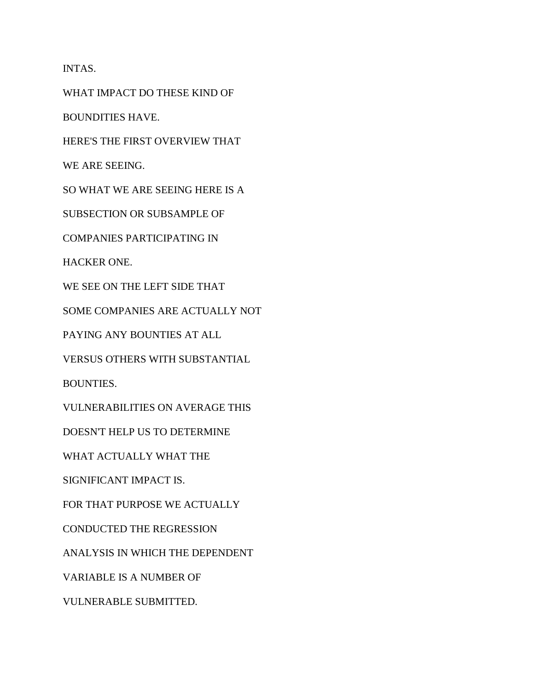INTAS.

WHAT IMPACT DO THESE KIND OF

BOUNDITIES HAVE.

HERE'S THE FIRST OVERVIEW THAT

WE ARE SEEING.

SO WHAT WE ARE SEEING HERE IS A

SUBSECTION OR SUBSAMPLE OF

COMPANIES PARTICIPATING IN

HACKER ONE.

WE SEE ON THE LEFT SIDE THAT

SOME COMPANIES ARE ACTUALLY NOT

PAYING ANY BOUNTIES AT ALL

VERSUS OTHERS WITH SUBSTANTIAL

BOUNTIES.

VULNERABILITIES ON AVERAGE THIS

DOESN'T HELP US TO DETERMINE

WHAT ACTUALLY WHAT THE

SIGNIFICANT IMPACT IS.

FOR THAT PURPOSE WE ACTUALLY

CONDUCTED THE REGRESSION

ANALYSIS IN WHICH THE DEPENDENT

VARIABLE IS A NUMBER OF

VULNERABLE SUBMITTED.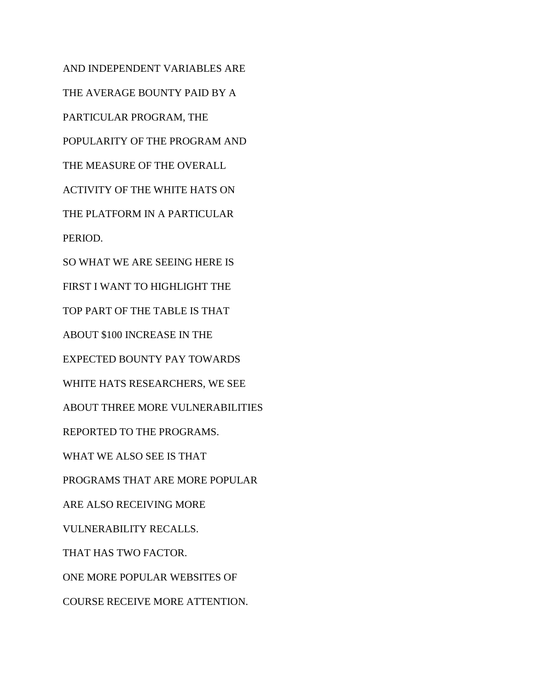AND INDEPENDENT VARIABLES ARE THE AVERAGE BOUNTY PAID BY A PARTICULAR PROGRAM, THE POPULARITY OF THE PROGRAM AND THE MEASURE OF THE OVERALL ACTIVITY OF THE WHITE HATS ON THE PLATFORM IN A PARTICULAR PERIOD. SO WHAT WE ARE SEEING HERE IS FIRST I WANT TO HIGHLIGHT THE TOP PART OF THE TABLE IS THAT ABOUT \$100 INCREASE IN THE EXPECTED BOUNTY PAY TOWARDS WHITE HATS RESEARCHERS, WE SEE ABOUT THREE MORE VULNERABILITIES REPORTED TO THE PROGRAMS. WHAT WE ALSO SEE IS THAT PROGRAMS THAT ARE MORE POPULAR ARE ALSO RECEIVING MORE VULNERABILITY RECALLS. THAT HAS TWO FACTOR. ONE MORE POPULAR WEBSITES OF COURSE RECEIVE MORE ATTENTION.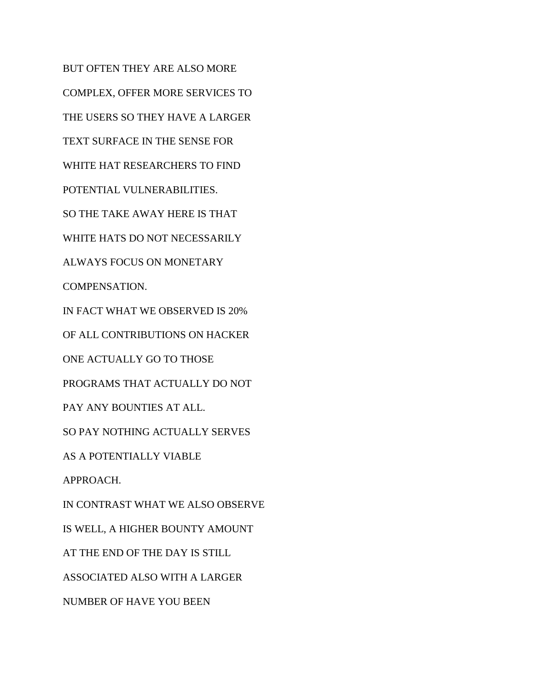BUT OFTEN THEY ARE ALSO MORE COMPLEX, OFFER MORE SERVICES TO THE USERS SO THEY HAVE A LARGER TEXT SURFACE IN THE SENSE FOR WHITE HAT RESEARCHERS TO FIND POTENTIAL VULNERABILITIES. SO THE TAKE AWAY HERE IS THAT WHITE HATS DO NOT NECESSARILY ALWAYS FOCUS ON MONETARY COMPENSATION. IN FACT WHAT WE OBSERVED IS 20% OF ALL CONTRIBUTIONS ON HACKER ONE ACTUALLY GO TO THOSE PROGRAMS THAT ACTUALLY DO NOT PAY ANY BOUNTIES AT ALL. SO PAY NOTHING ACTUALLY SERVES AS A POTENTIALLY VIABLE APPROACH. IN CONTRAST WHAT WE ALSO OBSERVE IS WELL, A HIGHER BOUNTY AMOUNT AT THE END OF THE DAY IS STILL ASSOCIATED ALSO WITH A LARGER NUMBER OF HAVE YOU BEEN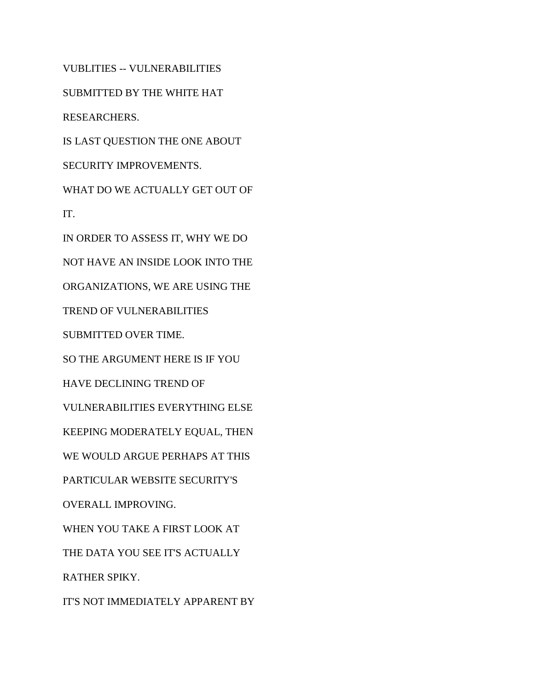VUBLITIES -- VULNERABILITIES SUBMITTED BY THE WHITE HAT RESEARCHERS. IS LAST QUESTION THE ONE ABOUT SECURITY IMPROVEMENTS. WHAT DO WE ACTUALLY GET OUT OF IT. IN ORDER TO ASSESS IT, WHY WE DO NOT HAVE AN INSIDE LOOK INTO THE ORGANIZATIONS, WE ARE USING THE TREND OF VULNERABILITIES SUBMITTED OVER TIME. SO THE ARGUMENT HERE IS IF YOU HAVE DECLINING TREND OF VULNERABILITIES EVERYTHING ELSE KEEPING MODERATELY EQUAL, THEN WE WOULD ARGUE PERHAPS AT THIS PARTICULAR WEBSITE SECURITY'S OVERALL IMPROVING. WHEN YOU TAKE A FIRST LOOK AT THE DATA YOU SEE IT'S ACTUALLY RATHER SPIKY. IT'S NOT IMMEDIATELY APPARENT BY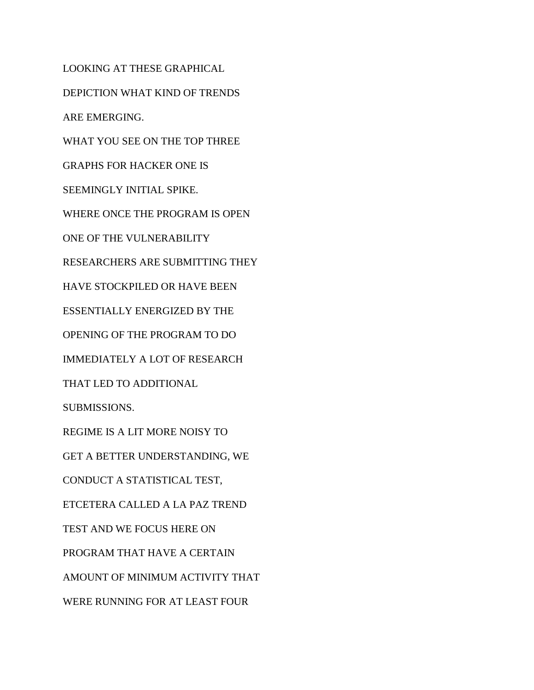LOOKING AT THESE GRAPHICAL DEPICTION WHAT KIND OF TRENDS ARE EMERGING. WHAT YOU SEE ON THE TOP THREE GRAPHS FOR HACKER ONE IS SEEMINGLY INITIAL SPIKE. WHERE ONCE THE PROGRAM IS OPEN ONE OF THE VULNERABILITY RESEARCHERS ARE SUBMITTING THEY HAVE STOCKPILED OR HAVE BEEN ESSENTIALLY ENERGIZED BY THE OPENING OF THE PROGRAM TO DO IMMEDIATELY A LOT OF RESEARCH THAT LED TO ADDITIONAL SUBMISSIONS. REGIME IS A LIT MORE NOISY TO GET A BETTER UNDERSTANDING, WE CONDUCT A STATISTICAL TEST, ETCETERA CALLED A LA PAZ TREND TEST AND WE FOCUS HERE ON PROGRAM THAT HAVE A CERTAIN AMOUNT OF MINIMUM ACTIVITY THAT WERE RUNNING FOR AT LEAST FOUR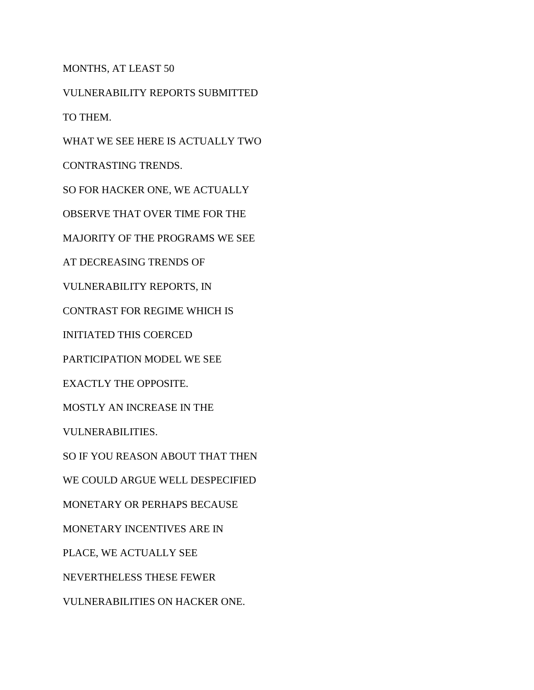MONTHS, AT LEAST 50

VULNERABILITY REPORTS SUBMITTED

TO THEM.

WHAT WE SEE HERE IS ACTUALLY TWO

CONTRASTING TRENDS.

SO FOR HACKER ONE, WE ACTUALLY

OBSERVE THAT OVER TIME FOR THE

MAJORITY OF THE PROGRAMS WE SEE

AT DECREASING TRENDS OF

VULNERABILITY REPORTS, IN

CONTRAST FOR REGIME WHICH IS

INITIATED THIS COERCED

PARTICIPATION MODEL WE SEE

EXACTLY THE OPPOSITE.

MOSTLY AN INCREASE IN THE

VULNERABILITIES.

SO IF YOU REASON ABOUT THAT THEN

WE COULD ARGUE WELL DESPECIFIED

MONETARY OR PERHAPS BECAUSE

MONETARY INCENTIVES ARE IN

PLACE, WE ACTUALLY SEE

NEVERTHELESS THESE FEWER

VULNERABILITIES ON HACKER ONE.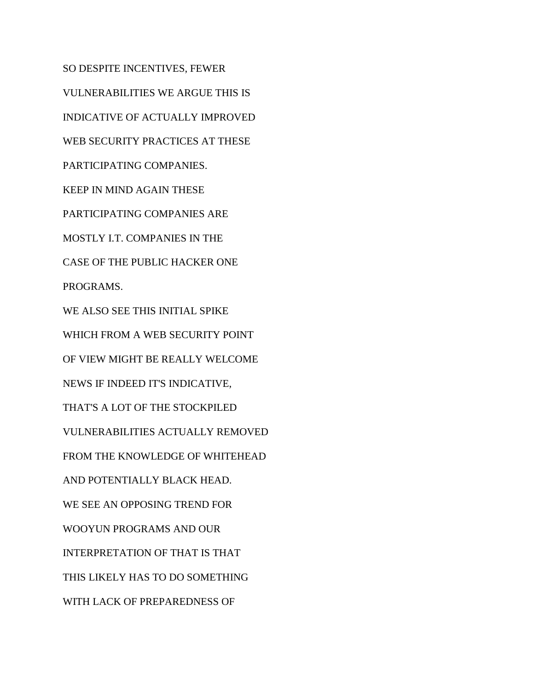SO DESPITE INCENTIVES, FEWER VULNERABILITIES WE ARGUE THIS IS INDICATIVE OF ACTUALLY IMPROVED WEB SECURITY PRACTICES AT THESE PARTICIPATING COMPANIES. KEEP IN MIND AGAIN THESE PARTICIPATING COMPANIES ARE MOSTLY I.T. COMPANIES IN THE CASE OF THE PUBLIC HACKER ONE PROGRAMS. WE ALSO SEE THIS INITIAL SPIKE WHICH FROM A WEB SECURITY POINT OF VIEW MIGHT BE REALLY WELCOME NEWS IF INDEED IT'S INDICATIVE, THAT'S A LOT OF THE STOCKPILED VULNERABILITIES ACTUALLY REMOVED FROM THE KNOWLEDGE OF WHITEHEAD AND POTENTIALLY BLACK HEAD. WE SEE AN OPPOSING TREND FOR WOOYUN PROGRAMS AND OUR INTERPRETATION OF THAT IS THAT THIS LIKELY HAS TO DO SOMETHING WITH LACK OF PREPAREDNESS OF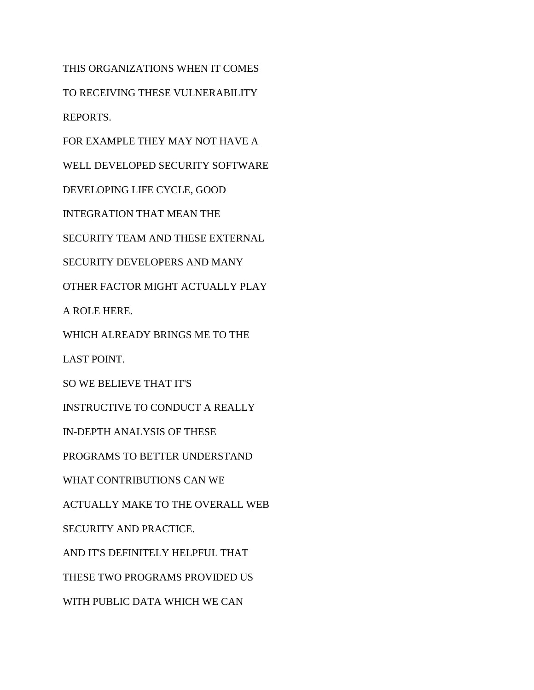THIS ORGANIZATIONS WHEN IT COMES TO RECEIVING THESE VULNERABILITY REPORTS.

FOR EXAMPLE THEY MAY NOT HAVE A

WELL DEVELOPED SECURITY SOFTWARE

DEVELOPING LIFE CYCLE, GOOD

INTEGRATION THAT MEAN THE

SECURITY TEAM AND THESE EXTERNAL

SECURITY DEVELOPERS AND MANY

OTHER FACTOR MIGHT ACTUALLY PLAY

A ROLE HERE.

WHICH ALREADY BRINGS ME TO THE

LAST POINT.

SO WE BELIEVE THAT IT'S

INSTRUCTIVE TO CONDUCT A REALLY

IN-DEPTH ANALYSIS OF THESE

PROGRAMS TO BETTER UNDERSTAND

WHAT CONTRIBUTIONS CAN WE

ACTUALLY MAKE TO THE OVERALL WEB

SECURITY AND PRACTICE.

AND IT'S DEFINITELY HELPFUL THAT

THESE TWO PROGRAMS PROVIDED US

WITH PUBLIC DATA WHICH WE CAN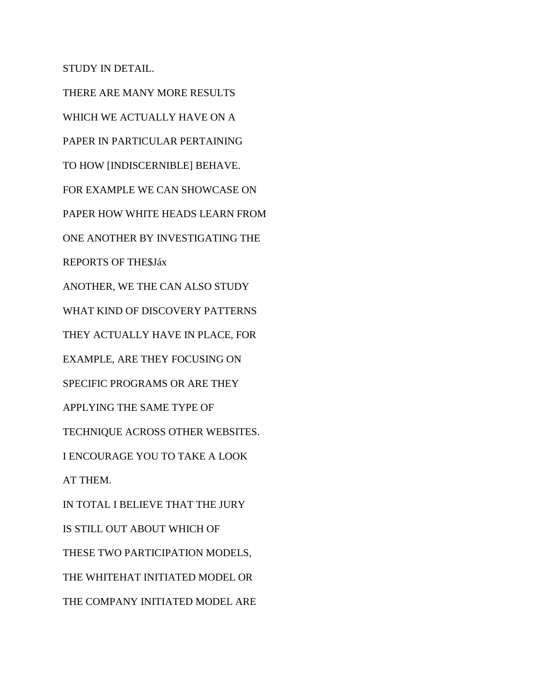STUDY IN DETAIL.

THERE ARE MANY MORE RESULTS WHICH WE ACTUALLY HAVE ON A PAPER IN PARTICULAR PERTAINING TO HOW [INDISCERNIBLE] BEHAVE. FOR EXAMPLE WE CAN SHOWCASE ON PAPER HOW WHITE HEADS LEARN FROM ONE ANOTHER BY INVESTIGATING THE REPORTS OF THE\$Jáx ANOTHER, WE THE CAN ALSO STUDY WHAT KIND OF DISCOVERY PATTERNS THEY ACTUALLY HAVE IN PLACE, FOR EXAMPLE, ARE THEY FOCUSING ON SPECIFIC PROGRAMS OR ARE THEY APPLYING THE SAME TYPE OF TECHNIQUE ACROSS OTHER WEBSITES. I ENCOURAGE YOU TO TAKE A LOOK AT THEM. IN TOTAL I BELIEVE THAT THE JURY IS STILL OUT ABOUT WHICH OF THESE TWO PARTICIPATION MODELS, THE WHITEHAT INITIATED MODEL OR THE COMPANY INITIATED MODEL ARE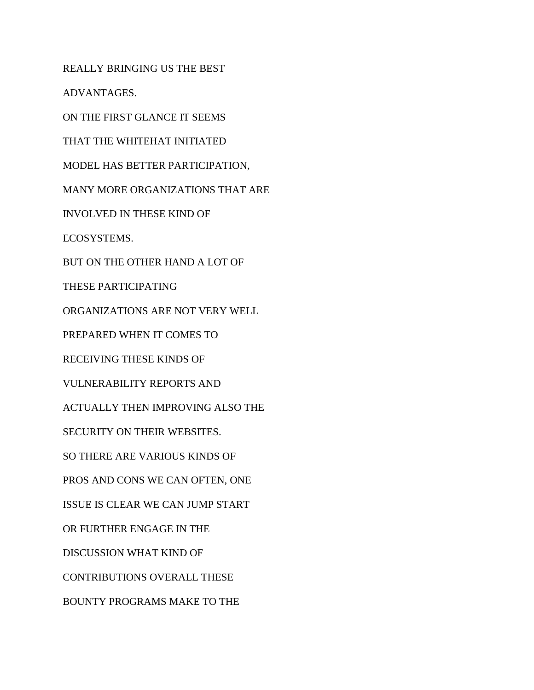REALLY BRINGING US THE BEST

ADVANTAGES.

ON THE FIRST GLANCE IT SEEMS

THAT THE WHITEHAT INITIATED

MODEL HAS BETTER PARTICIPATION,

MANY MORE ORGANIZATIONS THAT ARE

INVOLVED IN THESE KIND OF

ECOSYSTEMS.

BUT ON THE OTHER HAND A LOT OF

THESE PARTICIPATING

ORGANIZATIONS ARE NOT VERY WELL

PREPARED WHEN IT COMES TO

RECEIVING THESE KINDS OF

VULNERABILITY REPORTS AND

ACTUALLY THEN IMPROVING ALSO THE

SECURITY ON THEIR WEBSITES.

SO THERE ARE VARIOUS KINDS OF

PROS AND CONS WE CAN OFTEN, ONE

ISSUE IS CLEAR WE CAN JUMP START

OR FURTHER ENGAGE IN THE

DISCUSSION WHAT KIND OF

CONTRIBUTIONS OVERALL THESE

BOUNTY PROGRAMS MAKE TO THE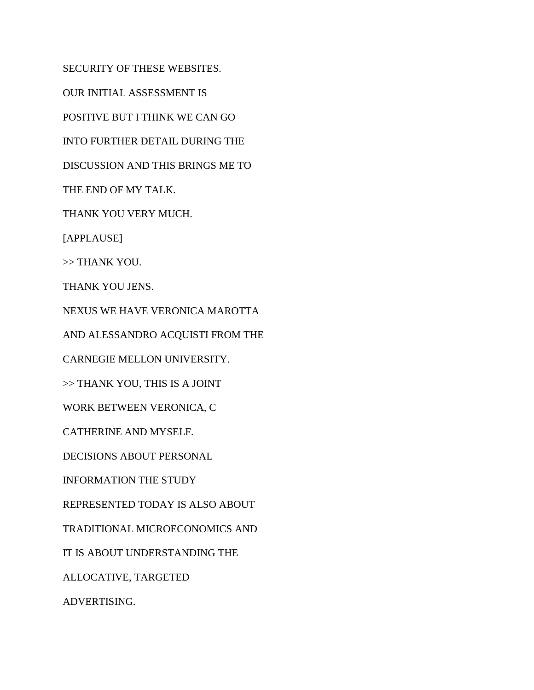SECURITY OF THESE WEBSITES. OUR INITIAL ASSESSMENT IS POSITIVE BUT I THINK WE CAN GO INTO FURTHER DETAIL DURING THE DISCUSSION AND THIS BRINGS ME TO THE END OF MY TALK. THANK YOU VERY MUCH. [APPLAUSE] >> THANK YOU. THANK YOU JENS. NEXUS WE HAVE VERONICA MAROTTA AND ALESSANDRO ACQUISTI FROM THE CARNEGIE MELLON UNIVERSITY. >> THANK YOU, THIS IS A JOINT WORK BETWEEN VERONICA, C CATHERINE AND MYSELF. DECISIONS ABOUT PERSONAL INFORMATION THE STUDY REPRESENTED TODAY IS ALSO ABOUT TRADITIONAL MICROECONOMICS AND IT IS ABOUT UNDERSTANDING THE ALLOCATIVE, TARGETED ADVERTISING.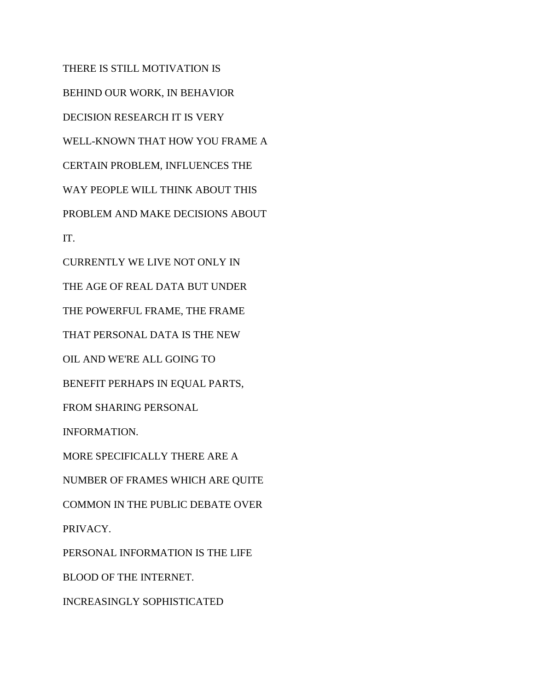THERE IS STILL MOTIVATION IS BEHIND OUR WORK, IN BEHAVIOR DECISION RESEARCH IT IS VERY WELL-KNOWN THAT HOW YOU FRAME A CERTAIN PROBLEM, INFLUENCES THE WAY PEOPLE WILL THINK ABOUT THIS PROBLEM AND MAKE DECISIONS ABOUT IT. CURRENTLY WE LIVE NOT ONLY IN THE AGE OF REAL DATA BUT UNDER THE POWERFUL FRAME, THE FRAME THAT PERSONAL DATA IS THE NEW OIL AND WE'RE ALL GOING TO BENEFIT PERHAPS IN EQUAL PARTS, FROM SHARING PERSONAL INFORMATION. MORE SPECIFICALLY THERE ARE A NUMBER OF FRAMES WHICH ARE QUITE COMMON IN THE PUBLIC DEBATE OVER PRIVACY. PERSONAL INFORMATION IS THE LIFE BLOOD OF THE INTERNET. INCREASINGLY SOPHISTICATED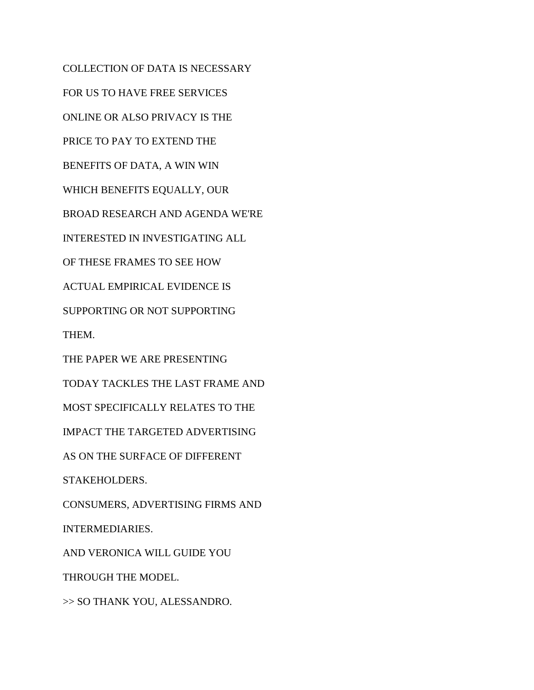COLLECTION OF DATA IS NECESSARY FOR US TO HAVE FREE SERVICES ONLINE OR ALSO PRIVACY IS THE PRICE TO PAY TO EXTEND THE BENEFITS OF DATA, A WIN WIN WHICH BENEFITS EQUALLY, OUR BROAD RESEARCH AND AGENDA WE'RE INTERESTED IN INVESTIGATING ALL OF THESE FRAMES TO SEE HOW ACTUAL EMPIRICAL EVIDENCE IS SUPPORTING OR NOT SUPPORTING THEM. THE PAPER WE ARE PRESENTING TODAY TACKLES THE LAST FRAME AND MOST SPECIFICALLY RELATES TO THE IMPACT THE TARGETED ADVERTISING AS ON THE SURFACE OF DIFFERENT STAKEHOLDERS. CONSUMERS, ADVERTISING FIRMS AND INTERMEDIARIES. AND VERONICA WILL GUIDE YOU THROUGH THE MODEL. >> SO THANK YOU, ALESSANDRO.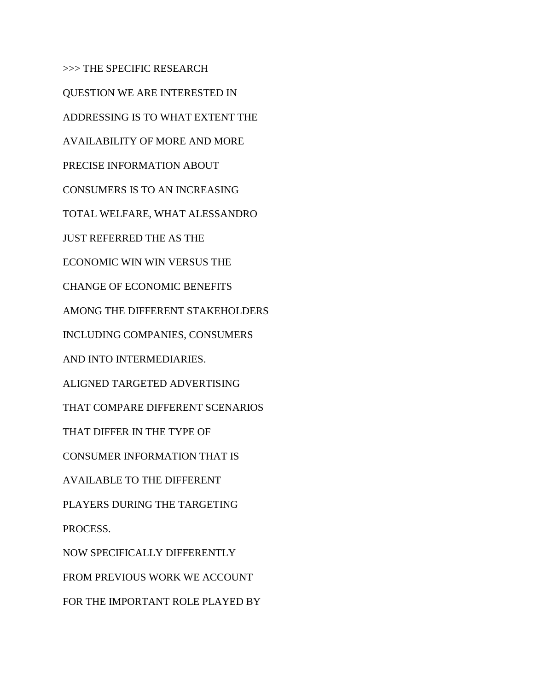>>> THE SPECIFIC RESEARCH QUESTION WE ARE INTERESTED IN ADDRESSING IS TO WHAT EXTENT THE AVAILABILITY OF MORE AND MORE PRECISE INFORMATION ABOUT CONSUMERS IS TO AN INCREASING TOTAL WELFARE, WHAT ALESSANDRO JUST REFERRED THE AS THE ECONOMIC WIN WIN VERSUS THE CHANGE OF ECONOMIC BENEFITS AMONG THE DIFFERENT STAKEHOLDERS INCLUDING COMPANIES, CONSUMERS AND INTO INTERMEDIARIES. ALIGNED TARGETED ADVERTISING THAT COMPARE DIFFERENT SCENARIOS THAT DIFFER IN THE TYPE OF CONSUMER INFORMATION THAT IS AVAILABLE TO THE DIFFERENT PLAYERS DURING THE TARGETING PROCESS. NOW SPECIFICALLY DIFFERENTLY FROM PREVIOUS WORK WE ACCOUNT FOR THE IMPORTANT ROLE PLAYED BY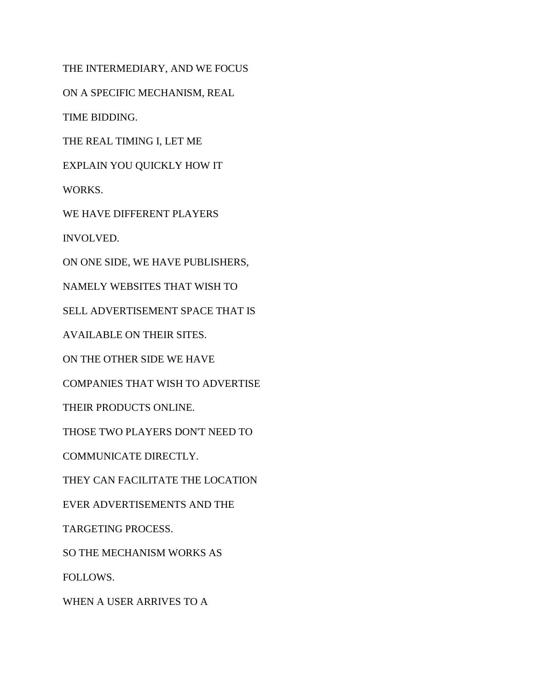THE INTERMEDIARY, AND WE FOCUS

ON A SPECIFIC MECHANISM, REAL

TIME BIDDING.

THE REAL TIMING I, LET ME

EXPLAIN YOU QUICKLY HOW IT

WORKS.

WE HAVE DIFFERENT PLAYERS

INVOLVED.

ON ONE SIDE, WE HAVE PUBLISHERS,

NAMELY WEBSITES THAT WISH TO

SELL ADVERTISEMENT SPACE THAT IS

AVAILABLE ON THEIR SITES.

ON THE OTHER SIDE WE HAVE

COMPANIES THAT WISH TO ADVERTISE

THEIR PRODUCTS ONLINE.

THOSE TWO PLAYERS DON'T NEED TO

COMMUNICATE DIRECTLY.

THEY CAN FACILITATE THE LOCATION

EVER ADVERTISEMENTS AND THE

TARGETING PROCESS.

SO THE MECHANISM WORKS AS

FOLLOWS.

WHEN A USER ARRIVES TO A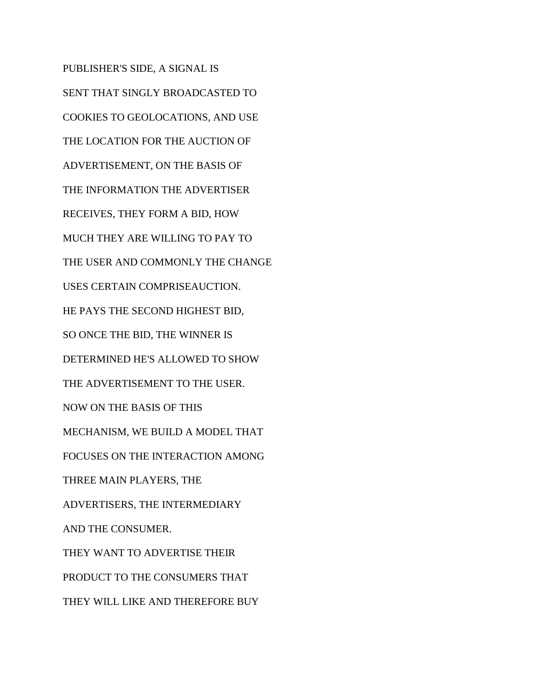PUBLISHER'S SIDE, A SIGNAL IS SENT THAT SINGLY BROADCASTED TO COOKIES TO GEOLOCATIONS, AND USE THE LOCATION FOR THE AUCTION OF ADVERTISEMENT, ON THE BASIS OF THE INFORMATION THE ADVERTISER RECEIVES, THEY FORM A BID, HOW MUCH THEY ARE WILLING TO PAY TO THE USER AND COMMONLY THE CHANGE USES CERTAIN COMPRISEAUCTION. HE PAYS THE SECOND HIGHEST BID, SO ONCE THE BID, THE WINNER IS DETERMINED HE'S ALLOWED TO SHOW THE ADVERTISEMENT TO THE USER. NOW ON THE BASIS OF THIS MECHANISM, WE BUILD A MODEL THAT FOCUSES ON THE INTERACTION AMONG THREE MAIN PLAYERS, THE ADVERTISERS, THE INTERMEDIARY AND THE CONSUMER. THEY WANT TO ADVERTISE THEIR PRODUCT TO THE CONSUMERS THAT THEY WILL LIKE AND THEREFORE BUY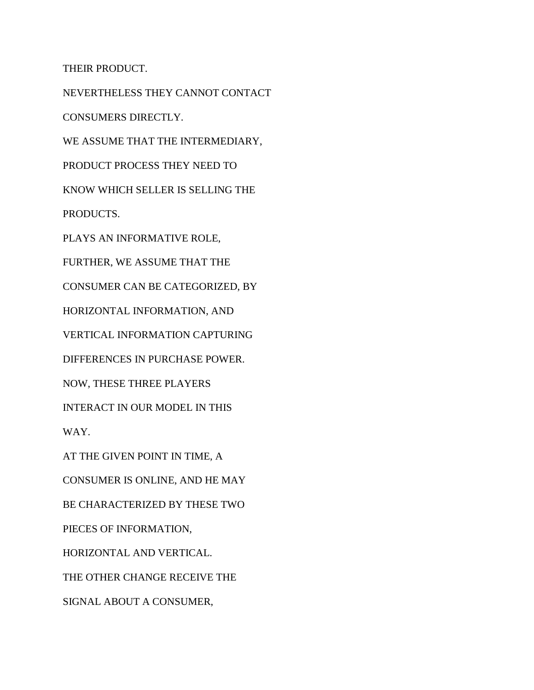THEIR PRODUCT.

NEVERTHELESS THEY CANNOT CONTACT CONSUMERS DIRECTLY. WE ASSUME THAT THE INTERMEDIARY, PRODUCT PROCESS THEY NEED TO KNOW WHICH SELLER IS SELLING THE PRODUCTS. PLAYS AN INFORMATIVE ROLE, FURTHER, WE ASSUME THAT THE CONSUMER CAN BE CATEGORIZED, BY HORIZONTAL INFORMATION, AND VERTICAL INFORMATION CAPTURING DIFFERENCES IN PURCHASE POWER. NOW, THESE THREE PLAYERS INTERACT IN OUR MODEL IN THIS WAY. AT THE GIVEN POINT IN TIME, A CONSUMER IS ONLINE, AND HE MAY BE CHARACTERIZED BY THESE TWO PIECES OF INFORMATION, HORIZONTAL AND VERTICAL. THE OTHER CHANGE RECEIVE THE SIGNAL ABOUT A CONSUMER,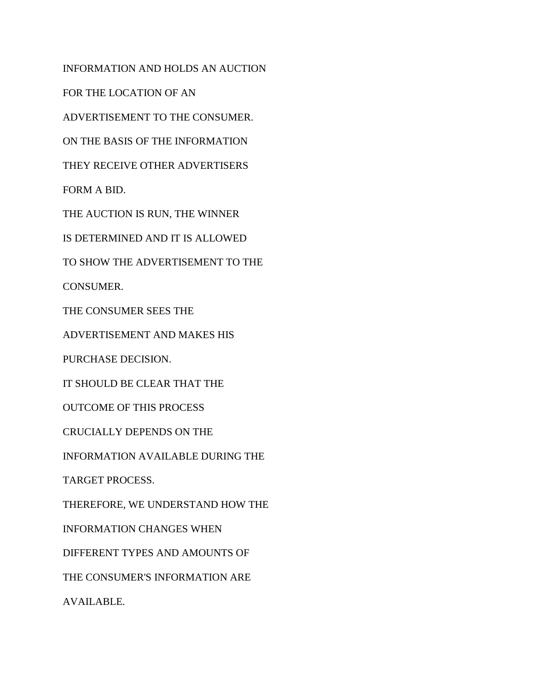INFORMATION AND HOLDS AN AUCTION FOR THE LOCATION OF AN ADVERTISEMENT TO THE CONSUMER. ON THE BASIS OF THE INFORMATION THEY RECEIVE OTHER ADVERTISERS FORM A BID. THE AUCTION IS RUN, THE WINNER IS DETERMINED AND IT IS ALLOWED TO SHOW THE ADVERTISEMENT TO THE CONSUMER. THE CONSUMER SEES THE ADVERTISEMENT AND MAKES HIS PURCHASE DECISION. IT SHOULD BE CLEAR THAT THE OUTCOME OF THIS PROCESS CRUCIALLY DEPENDS ON THE INFORMATION AVAILABLE DURING THE TARGET PROCESS. THEREFORE, WE UNDERSTAND HOW THE INFORMATION CHANGES WHEN DIFFERENT TYPES AND AMOUNTS OF THE CONSUMER'S INFORMATION ARE AVAILABLE.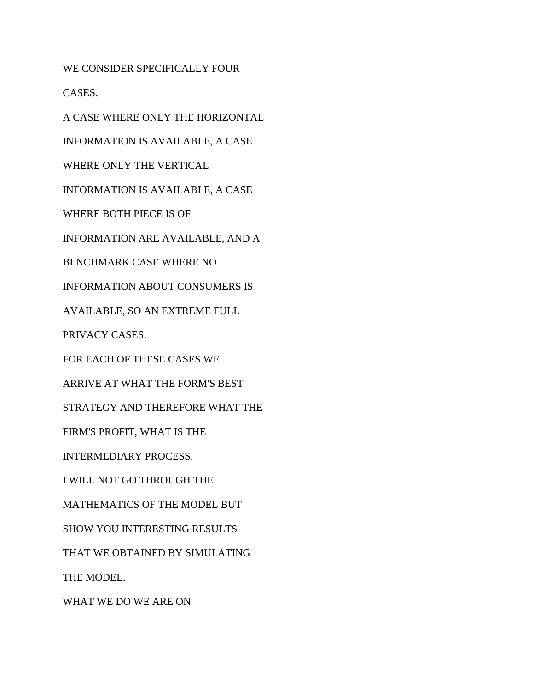WE CONSIDER SPECIFICALLY FOUR

CASES.

A CASE WHERE ONLY THE HORIZONTAL INFORMATION IS AVAILABLE, A CASE WHERE ONLY THE VERTICAL INFORMATION IS AVAILABLE, A CASE WHERE BOTH PIECE IS OF INFORMATION ARE AVAILABLE, AND A BENCHMARK CASE WHERE NO INFORMATION ABOUT CONSUMERS IS AVAILABLE, SO AN EXTREME FULL PRIVACY CASES. FOR EACH OF THESE CASES WE ARRIVE AT WHAT THE FORM'S BEST STRATEGY AND THEREFORE WHAT THE FIRM'S PROFIT, WHAT IS THE INTERMEDIARY PROCESS. I WILL NOT GO THROUGH THE

MATHEMATICS OF THE MODEL BUT

SHOW YOU INTERESTING RESULTS

THAT WE OBTAINED BY SIMULATING

THE MODEL.

WHAT WE DO WE ARE ON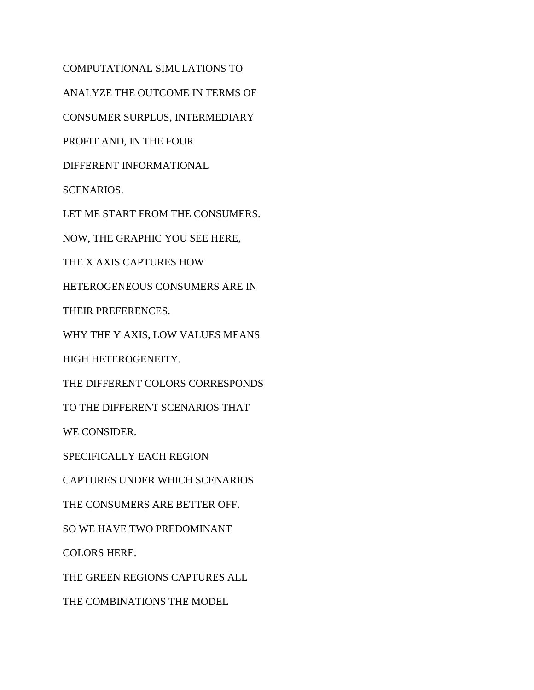COMPUTATIONAL SIMULATIONS TO ANALYZE THE OUTCOME IN TERMS OF CONSUMER SURPLUS, INTERMEDIARY PROFIT AND, IN THE FOUR DIFFERENT INFORMATIONAL SCENARIOS. LET ME START FROM THE CONSUMERS. NOW, THE GRAPHIC YOU SEE HERE, THE X AXIS CAPTURES HOW HETEROGENEOUS CONSUMERS ARE IN THEIR PREFERENCES. WHY THE Y AXIS, LOW VALUES MEANS HIGH HETEROGENEITY. THE DIFFERENT COLORS CORRESPONDS TO THE DIFFERENT SCENARIOS THAT WE CONSIDER. SPECIFICALLY EACH REGION CAPTURES UNDER WHICH SCENARIOS THE CONSUMERS ARE BETTER OFF. SO WE HAVE TWO PREDOMINANT COLORS HERE. THE GREEN REGIONS CAPTURES ALL THE COMBINATIONS THE MODEL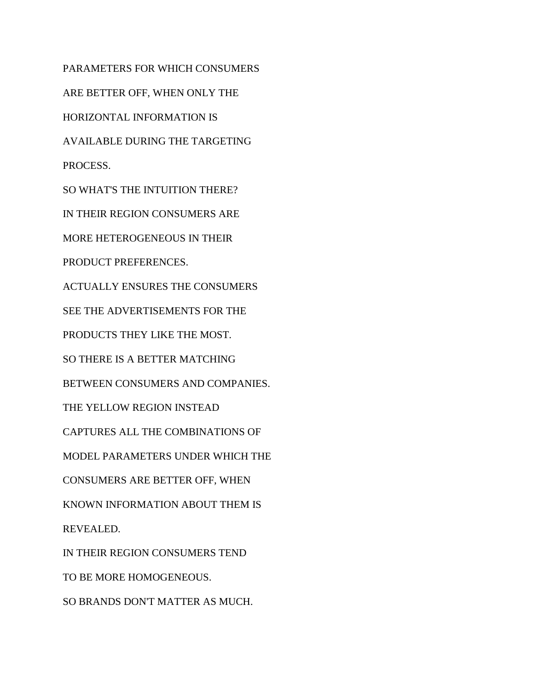PARAMETERS FOR WHICH CONSUMERS ARE BETTER OFF, WHEN ONLY THE HORIZONTAL INFORMATION IS AVAILABLE DURING THE TARGETING PROCESS. SO WHAT'S THE INTUITION THERE? IN THEIR REGION CONSUMERS ARE MORE HETEROGENEOUS IN THEIR PRODUCT PREFERENCES. ACTUALLY ENSURES THE CONSUMERS SEE THE ADVERTISEMENTS FOR THE PRODUCTS THEY LIKE THE MOST. SO THERE IS A BETTER MATCHING BETWEEN CONSUMERS AND COMPANIES. THE YELLOW REGION INSTEAD CAPTURES ALL THE COMBINATIONS OF MODEL PARAMETERS UNDER WHICH THE CONSUMERS ARE BETTER OFF, WHEN KNOWN INFORMATION ABOUT THEM IS REVEALED. IN THEIR REGION CONSUMERS TEND TO BE MORE HOMOGENEOUS. SO BRANDS DON'T MATTER AS MUCH.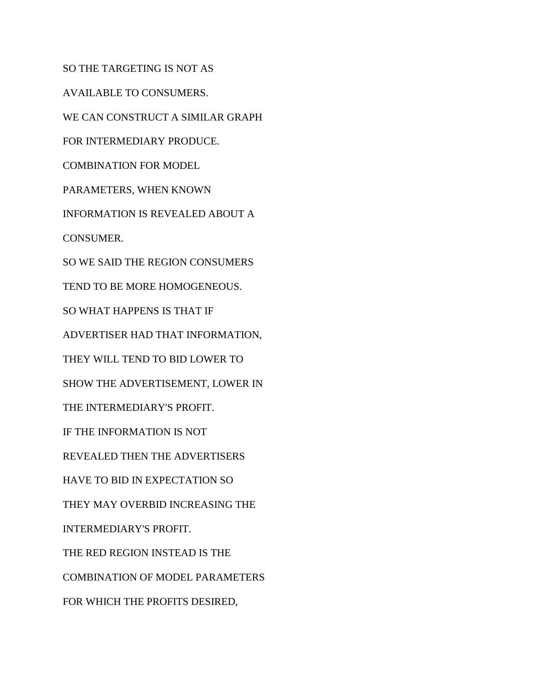SO THE TARGETING IS NOT AS AVAILABLE TO CONSUMERS. WE CAN CONSTRUCT A SIMILAR GRAPH FOR INTERMEDIARY PRODUCE. COMBINATION FOR MODEL PARAMETERS, WHEN KNOWN INFORMATION IS REVEALED ABOUT A CONSUMER. SO WE SAID THE REGION CONSUMERS TEND TO BE MORE HOMOGENEOUS. SO WHAT HAPPENS IS THAT IF ADVERTISER HAD THAT INFORMATION, THEY WILL TEND TO BID LOWER TO SHOW THE ADVERTISEMENT, LOWER IN THE INTERMEDIARY'S PROFIT. IF THE INFORMATION IS NOT REVEALED THEN THE ADVERTISERS HAVE TO BID IN EXPECTATION SO THEY MAY OVERBID INCREASING THE INTERMEDIARY'S PROFIT. THE RED REGION INSTEAD IS THE COMBINATION OF MODEL PARAMETERS FOR WHICH THE PROFITS DESIRED,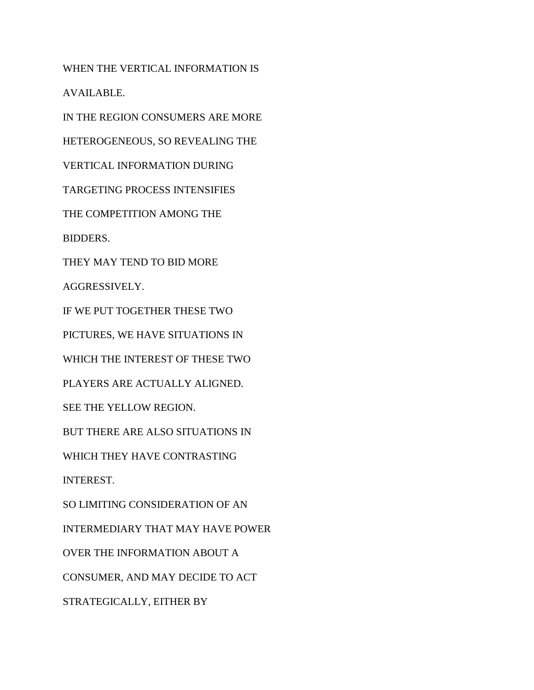WHEN THE VERTICAL INFORMATION IS AVAILABLE. IN THE REGION CONSUMERS ARE MORE HETEROGENEOUS, SO REVEALING THE VERTICAL INFORMATION DURING TARGETING PROCESS INTENSIFIES THE COMPETITION AMONG THE BIDDERS. THEY MAY TEND TO BID MORE AGGRESSIVELY. IF WE PUT TOGETHER THESE TWO PICTURES, WE HAVE SITUATIONS IN WHICH THE INTEREST OF THESE TWO PLAYERS ARE ACTUALLY ALIGNED. SEE THE YELLOW REGION. BUT THERE ARE ALSO SITUATIONS IN WHICH THEY HAVE CONTRASTING INTEREST. SO LIMITING CONSIDERATION OF AN INTERMEDIARY THAT MAY HAVE POWER OVER THE INFORMATION ABOUT A CONSUMER, AND MAY DECIDE TO ACT STRATEGICALLY, EITHER BY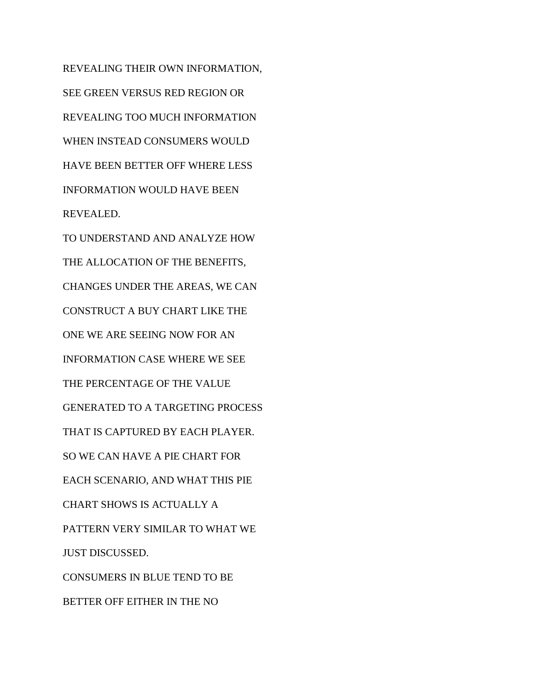REVEALING THEIR OWN INFORMATION, SEE GREEN VERSUS RED REGION OR REVEALING TOO MUCH INFORMATION WHEN INSTEAD CONSUMERS WOULD HAVE BEEN BETTER OFF WHERE LESS INFORMATION WOULD HAVE BEEN REVEALED. TO UNDERSTAND AND ANALYZE HOW THE ALLOCATION OF THE BENEFITS, CHANGES UNDER THE AREAS, WE CAN CONSTRUCT A BUY CHART LIKE THE ONE WE ARE SEEING NOW FOR AN INFORMATION CASE WHERE WE SEE THE PERCENTAGE OF THE VALUE GENERATED TO A TARGETING PROCESS THAT IS CAPTURED BY EACH PLAYER. SO WE CAN HAVE A PIE CHART FOR EACH SCENARIO, AND WHAT THIS PIE CHART SHOWS IS ACTUALLY A PATTERN VERY SIMILAR TO WHAT WE JUST DISCUSSED. CONSUMERS IN BLUE TEND TO BE BETTER OFF EITHER IN THE NO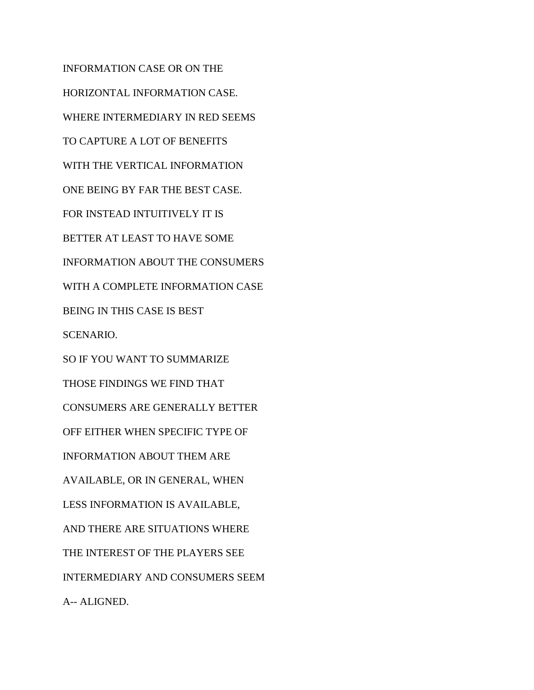INFORMATION CASE OR ON THE HORIZONTAL INFORMATION CASE. WHERE INTERMEDIARY IN RED SEEMS TO CAPTURE A LOT OF BENEFITS WITH THE VERTICAL INFORMATION ONE BEING BY FAR THE BEST CASE. FOR INSTEAD INTUITIVELY IT IS BETTER AT LEAST TO HAVE SOME INFORMATION ABOUT THE CONSUMERS WITH A COMPLETE INFORMATION CASE BEING IN THIS CASE IS BEST SCENARIO. SO IF YOU WANT TO SUMMARIZE THOSE FINDINGS WE FIND THAT CONSUMERS ARE GENERALLY BETTER OFF EITHER WHEN SPECIFIC TYPE OF INFORMATION ABOUT THEM ARE AVAILABLE, OR IN GENERAL, WHEN LESS INFORMATION IS AVAILABLE, AND THERE ARE SITUATIONS WHERE THE INTEREST OF THE PLAYERS SEE INTERMEDIARY AND CONSUMERS SEEM A-- ALIGNED.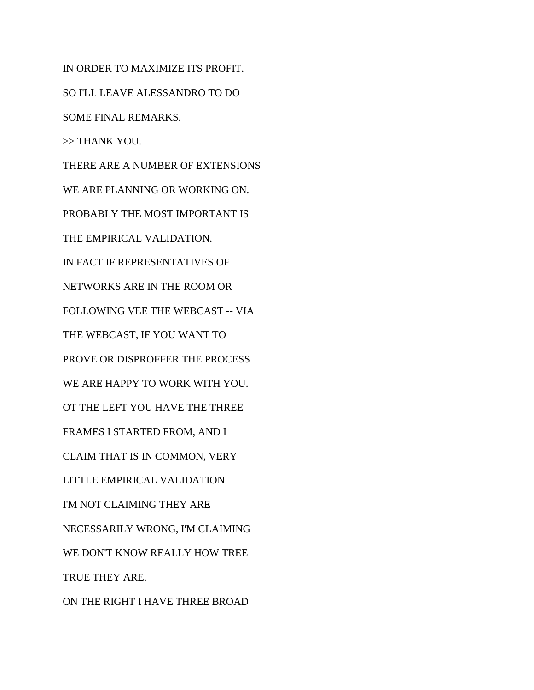IN ORDER TO MAXIMIZE ITS PROFIT. SO I'LL LEAVE ALESSANDRO TO DO SOME FINAL REMARKS. >> THANK YOU. THERE ARE A NUMBER OF EXTENSIONS WE ARE PLANNING OR WORKING ON. PROBABLY THE MOST IMPORTANT IS THE EMPIRICAL VALIDATION. IN FACT IF REPRESENTATIVES OF NETWORKS ARE IN THE ROOM OR FOLLOWING VEE THE WEBCAST -- VIA THE WEBCAST, IF YOU WANT TO PROVE OR DISPROFFER THE PROCESS WE ARE HAPPY TO WORK WITH YOU. OT THE LEFT YOU HAVE THE THREE FRAMES I STARTED FROM, AND I CLAIM THAT IS IN COMMON, VERY LITTLE EMPIRICAL VALIDATION. I'M NOT CLAIMING THEY ARE NECESSARILY WRONG, I'M CLAIMING WE DON'T KNOW REALLY HOW TREE TRUE THEY ARE. ON THE RIGHT I HAVE THREE BROAD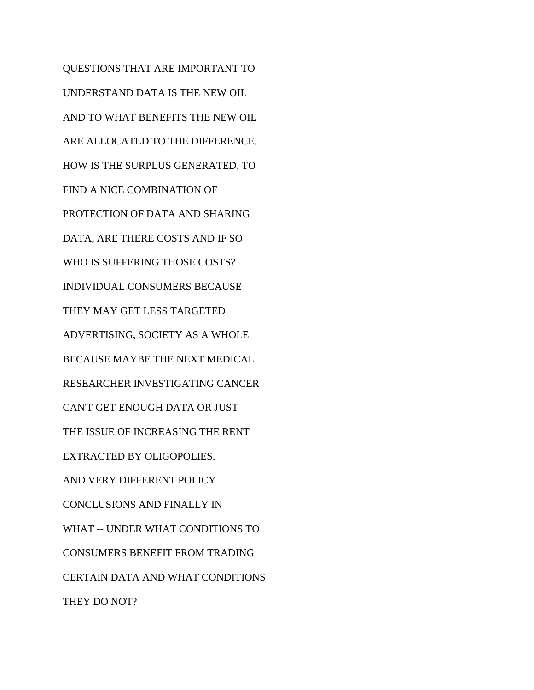QUESTIONS THAT ARE IMPORTANT TO UNDERSTAND DATA IS THE NEW OIL AND TO WHAT BENEFITS THE NEW OIL ARE ALLOCATED TO THE DIFFERENCE. HOW IS THE SURPLUS GENERATED, TO FIND A NICE COMBINATION OF PROTECTION OF DATA AND SHARING DATA, ARE THERE COSTS AND IF SO WHO IS SUFFERING THOSE COSTS? INDIVIDUAL CONSUMERS BECAUSE THEY MAY GET LESS TARGETED ADVERTISING, SOCIETY AS A WHOLE BECAUSE MAYBE THE NEXT MEDICAL RESEARCHER INVESTIGATING CANCER CAN'T GET ENOUGH DATA OR JUST THE ISSUE OF INCREASING THE RENT EXTRACTED BY OLIGOPOLIES. AND VERY DIFFERENT POLICY CONCLUSIONS AND FINALLY IN WHAT -- UNDER WHAT CONDITIONS TO CONSUMERS BENEFIT FROM TRADING CERTAIN DATA AND WHAT CONDITIONS THEY DO NOT?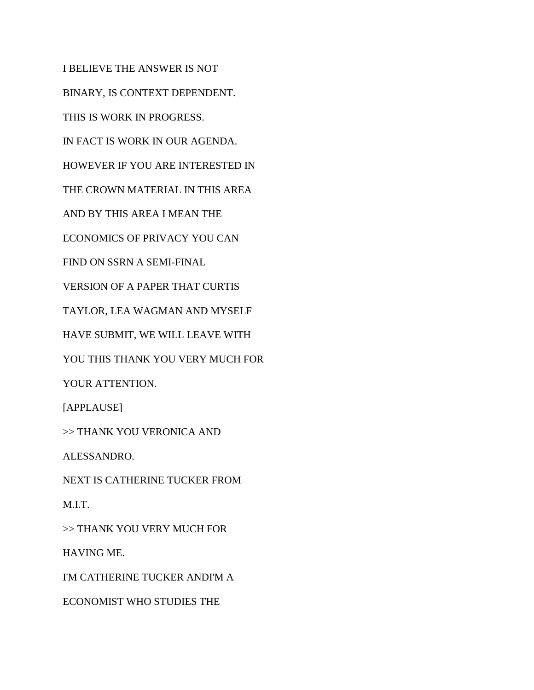I BELIEVE THE ANSWER IS NOT BINARY, IS CONTEXT DEPENDENT. THIS IS WORK IN PROGRESS. IN FACT IS WORK IN OUR AGENDA. HOWEVER IF YOU ARE INTERESTED IN THE CROWN MATERIAL IN THIS AREA AND BY THIS AREA I MEAN THE ECONOMICS OF PRIVACY YOU CAN FIND ON SSRN A SEMI-FINAL VERSION OF A PAPER THAT CURTIS TAYLOR, LEA WAGMAN AND MYSELF HAVE SUBMIT, WE WILL LEAVE WITH YOU THIS THANK YOU VERY MUCH FOR YOUR ATTENTION. [APPLAUSE] >> THANK YOU VERONICA AND ALESSANDRO. NEXT IS CATHERINE TUCKER FROM M.I.T. >> THANK YOU VERY MUCH FOR HAVING ME. I'M CATHERINE TUCKER ANDI'M A ECONOMIST WHO STUDIES THE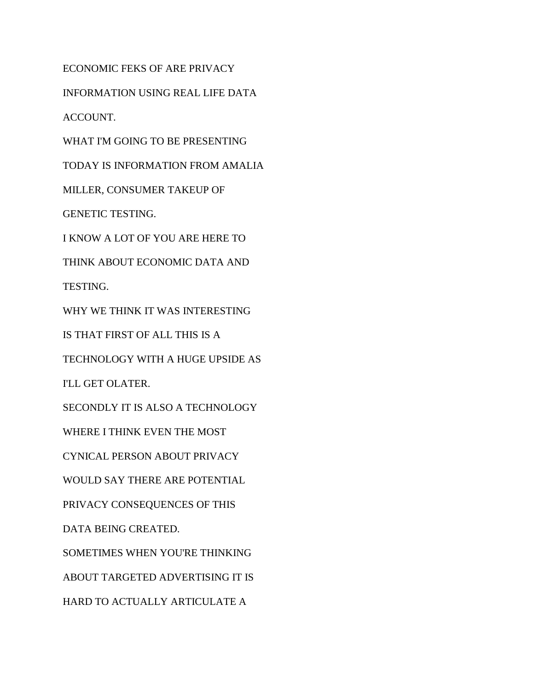ECONOMIC FEKS OF ARE PRIVACY INFORMATION USING REAL LIFE DATA ACCOUNT. WHAT I'M GOING TO BE PRESENTING TODAY IS INFORMATION FROM AMALIA MILLER, CONSUMER TAKEUP OF GENETIC TESTING. I KNOW A LOT OF YOU ARE HERE TO THINK ABOUT ECONOMIC DATA AND TESTING. WHY WE THINK IT WAS INTERESTING IS THAT FIRST OF ALL THIS IS A TECHNOLOGY WITH A HUGE UPSIDE AS I'LL GET OLATER. SECONDLY IT IS ALSO A TECHNOLOGY WHERE I THINK EVEN THE MOST CYNICAL PERSON ABOUT PRIVACY WOULD SAY THERE ARE POTENTIAL PRIVACY CONSEQUENCES OF THIS DATA BEING CREATED. SOMETIMES WHEN YOU'RE THINKING ABOUT TARGETED ADVERTISING IT IS HARD TO ACTUALLY ARTICULATE A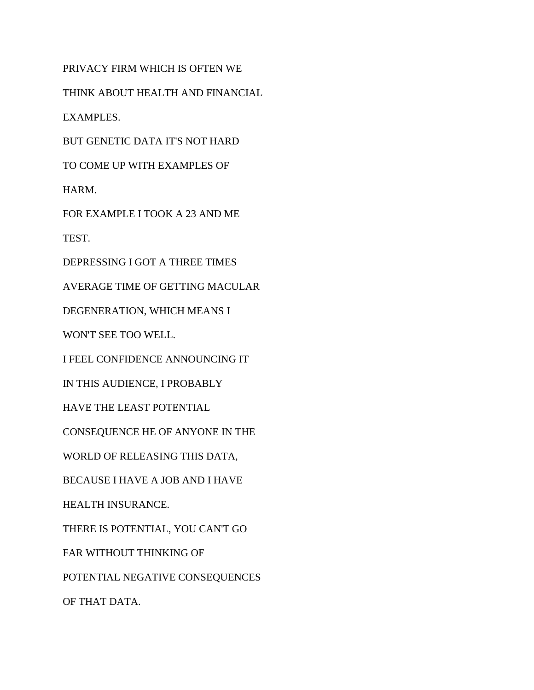PRIVACY FIRM WHICH IS OFTEN WE THINK ABOUT HEALTH AND FINANCIAL EXAMPLES. BUT GENETIC DATA IT'S NOT HARD TO COME UP WITH EXAMPLES OF HARM. FOR EXAMPLE I TOOK A 23 AND ME TEST. DEPRESSING I GOT A THREE TIMES AVERAGE TIME OF GETTING MACULAR DEGENERATION, WHICH MEANS I WON'T SEE TOO WELL. I FEEL CONFIDENCE ANNOUNCING IT IN THIS AUDIENCE, I PROBABLY HAVE THE LEAST POTENTIAL CONSEQUENCE HE OF ANYONE IN THE WORLD OF RELEASING THIS DATA, BECAUSE I HAVE A JOB AND I HAVE HEALTH INSURANCE. THERE IS POTENTIAL, YOU CAN'T GO FAR WITHOUT THINKING OF POTENTIAL NEGATIVE CONSEQUENCES OF THAT DATA.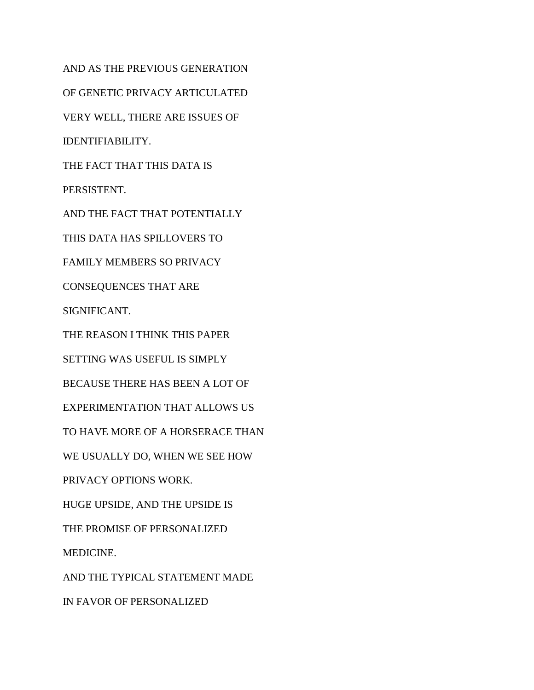AND AS THE PREVIOUS GENERATION OF GENETIC PRIVACY ARTICULATED VERY WELL, THERE ARE ISSUES OF IDENTIFIABILITY. THE FACT THAT THIS DATA IS PERSISTENT. AND THE FACT THAT POTENTIALLY THIS DATA HAS SPILLOVERS TO FAMILY MEMBERS SO PRIVACY CONSEQUENCES THAT ARE SIGNIFICANT. THE REASON I THINK THIS PAPER SETTING WAS USEFUL IS SIMPLY BECAUSE THERE HAS BEEN A LOT OF EXPERIMENTATION THAT ALLOWS US TO HAVE MORE OF A HORSERACE THAN WE USUALLY DO, WHEN WE SEE HOW PRIVACY OPTIONS WORK. HUGE UPSIDE, AND THE UPSIDE IS THE PROMISE OF PERSONALIZED MEDICINE. AND THE TYPICAL STATEMENT MADE IN FAVOR OF PERSONALIZED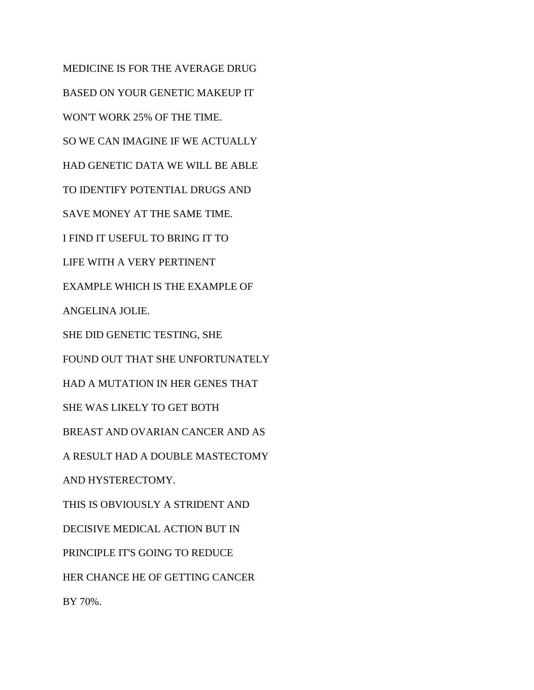MEDICINE IS FOR THE AVERAGE DRUG BASED ON YOUR GENETIC MAKEUP IT WON'T WORK 25% OF THE TIME. SO WE CAN IMAGINE IF WE ACTUALLY HAD GENETIC DATA WE WILL BE ABLE TO IDENTIFY POTENTIAL DRUGS AND SAVE MONEY AT THE SAME TIME. I FIND IT USEFUL TO BRING IT TO LIFE WITH A VERY PERTINENT EXAMPLE WHICH IS THE EXAMPLE OF ANGELINA JOLIE. SHE DID GENETIC TESTING, SHE FOUND OUT THAT SHE UNFORTUNATELY HAD A MUTATION IN HER GENES THAT SHE WAS LIKELY TO GET BOTH BREAST AND OVARIAN CANCER AND AS A RESULT HAD A DOUBLE MASTECTOMY AND HYSTERECTOMY. THIS IS OBVIOUSLY A STRIDENT AND DECISIVE MEDICAL ACTION BUT IN PRINCIPLE IT'S GOING TO REDUCE HER CHANCE HE OF GETTING CANCER BY 70%.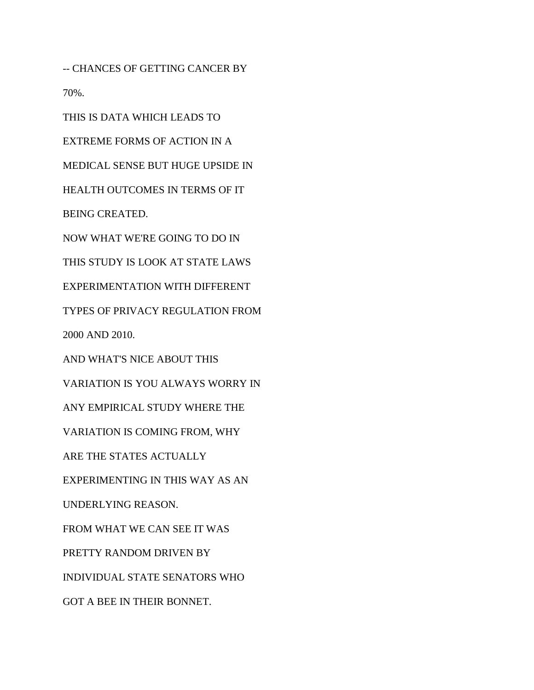-- CHANCES OF GETTING CANCER BY 70%.

THIS IS DATA WHICH LEADS TO

EXTREME FORMS OF ACTION IN A MEDICAL SENSE BUT HUGE UPSIDE IN HEALTH OUTCOMES IN TERMS OF IT BEING CREATED. NOW WHAT WE'RE GOING TO DO IN THIS STUDY IS LOOK AT STATE LAWS EXPERIMENTATION WITH DIFFERENT TYPES OF PRIVACY REGULATION FROM 2000 AND 2010. AND WHAT'S NICE ABOUT THIS VARIATION IS YOU ALWAYS WORRY IN ANY EMPIRICAL STUDY WHERE THE VARIATION IS COMING FROM, WHY ARE THE STATES ACTUALLY EXPERIMENTING IN THIS WAY AS AN UNDERLYING REASON. FROM WHAT WE CAN SEE IT WAS PRETTY RANDOM DRIVEN BY INDIVIDUAL STATE SENATORS WHO GOT A BEE IN THEIR BONNET.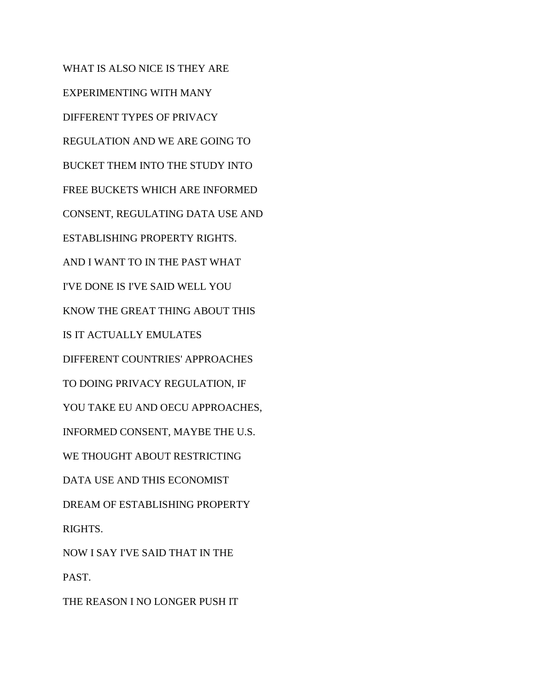WHAT IS ALSO NICE IS THEY ARE EXPERIMENTING WITH MANY DIFFERENT TYPES OF PRIVACY REGULATION AND WE ARE GOING TO BUCKET THEM INTO THE STUDY INTO FREE BUCKETS WHICH ARE INFORMED CONSENT, REGULATING DATA USE AND ESTABLISHING PROPERTY RIGHTS. AND I WANT TO IN THE PAST WHAT I'VE DONE IS I'VE SAID WELL YOU KNOW THE GREAT THING ABOUT THIS IS IT ACTUALLY EMULATES DIFFERENT COUNTRIES' APPROACHES TO DOING PRIVACY REGULATION, IF YOU TAKE EU AND OECU APPROACHES, INFORMED CONSENT, MAYBE THE U.S. WE THOUGHT ABOUT RESTRICTING DATA USE AND THIS ECONOMIST DREAM OF ESTABLISHING PROPERTY RIGHTS. NOW I SAY I'VE SAID THAT IN THE PAST.

THE REASON I NO LONGER PUSH IT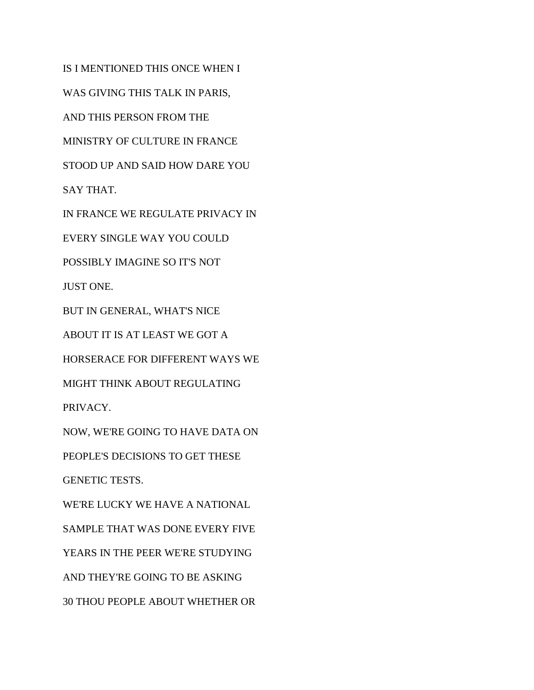IS I MENTIONED THIS ONCE WHEN I WAS GIVING THIS TALK IN PARIS, AND THIS PERSON FROM THE MINISTRY OF CULTURE IN FRANCE STOOD UP AND SAID HOW DARE YOU SAY THAT. IN FRANCE WE REGULATE PRIVACY IN EVERY SINGLE WAY YOU COULD POSSIBLY IMAGINE SO IT'S NOT JUST ONE. BUT IN GENERAL, WHAT'S NICE ABOUT IT IS AT LEAST WE GOT A HORSERACE FOR DIFFERENT WAYS WE MIGHT THINK ABOUT REGULATING PRIVACY. NOW, WE'RE GOING TO HAVE DATA ON PEOPLE'S DECISIONS TO GET THESE GENETIC TESTS. WE'RE LUCKY WE HAVE A NATIONAL SAMPLE THAT WAS DONE EVERY FIVE YEARS IN THE PEER WE'RE STUDYING AND THEY'RE GOING TO BE ASKING 30 THOU PEOPLE ABOUT WHETHER OR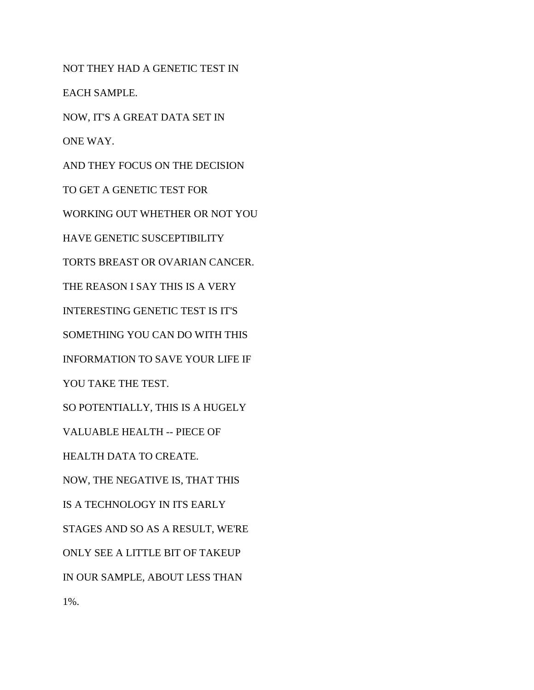NOT THEY HAD A GENETIC TEST IN EACH SAMPLE. NOW, IT'S A GREAT DATA SET IN ONE WAY. AND THEY FOCUS ON THE DECISION TO GET A GENETIC TEST FOR WORKING OUT WHETHER OR NOT YOU HAVE GENETIC SUSCEPTIBILITY TORTS BREAST OR OVARIAN CANCER. THE REASON I SAY THIS IS A VERY INTERESTING GENETIC TEST IS IT'S SOMETHING YOU CAN DO WITH THIS INFORMATION TO SAVE YOUR LIFE IF YOU TAKE THE TEST. SO POTENTIALLY, THIS IS A HUGELY VALUABLE HEALTH -- PIECE OF HEALTH DATA TO CREATE. NOW, THE NEGATIVE IS, THAT THIS IS A TECHNOLOGY IN ITS EARLY STAGES AND SO AS A RESULT, WE'RE ONLY SEE A LITTLE BIT OF TAKEUP IN OUR SAMPLE, ABOUT LESS THAN 1%.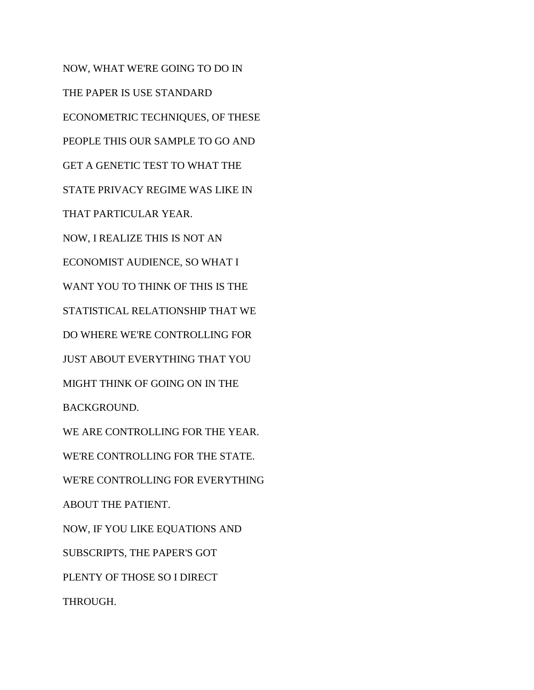NOW, WHAT WE'RE GOING TO DO IN THE PAPER IS USE STANDARD ECONOMETRIC TECHNIQUES, OF THESE PEOPLE THIS OUR SAMPLE TO GO AND GET A GENETIC TEST TO WHAT THE STATE PRIVACY REGIME WAS LIKE IN THAT PARTICULAR YEAR. NOW, I REALIZE THIS IS NOT AN ECONOMIST AUDIENCE, SO WHAT I WANT YOU TO THINK OF THIS IS THE STATISTICAL RELATIONSHIP THAT WE DO WHERE WE'RE CONTROLLING FOR JUST ABOUT EVERYTHING THAT YOU MIGHT THINK OF GOING ON IN THE BACKGROUND. WE ARE CONTROLLING FOR THE YEAR. WE'RE CONTROLLING FOR THE STATE. WE'RE CONTROLLING FOR EVERYTHING ABOUT THE PATIENT. NOW, IF YOU LIKE EQUATIONS AND SUBSCRIPTS, THE PAPER'S GOT PLENTY OF THOSE SO I DIRECT THROUGH.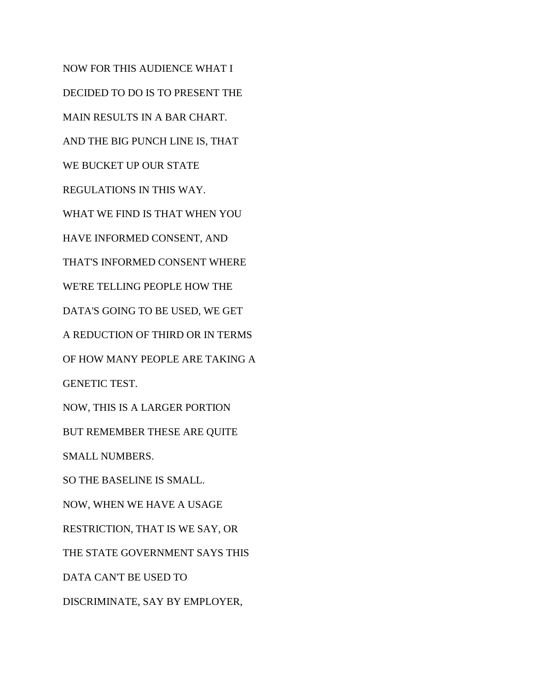NOW FOR THIS AUDIENCE WHAT I DECIDED TO DO IS TO PRESENT THE MAIN RESULTS IN A BAR CHART. AND THE BIG PUNCH LINE IS, THAT WE BUCKET UP OUR STATE REGULATIONS IN THIS WAY. WHAT WE FIND IS THAT WHEN YOU HAVE INFORMED CONSENT, AND THAT'S INFORMED CONSENT WHERE WE'RE TELLING PEOPLE HOW THE DATA'S GOING TO BE USED, WE GET A REDUCTION OF THIRD OR IN TERMS OF HOW MANY PEOPLE ARE TAKING A GENETIC TEST. NOW, THIS IS A LARGER PORTION BUT REMEMBER THESE ARE QUITE SMALL NUMBERS. SO THE BASELINE IS SMALL. NOW, WHEN WE HAVE A USAGE RESTRICTION, THAT IS WE SAY, OR THE STATE GOVERNMENT SAYS THIS DATA CAN'T BE USED TO DISCRIMINATE, SAY BY EMPLOYER,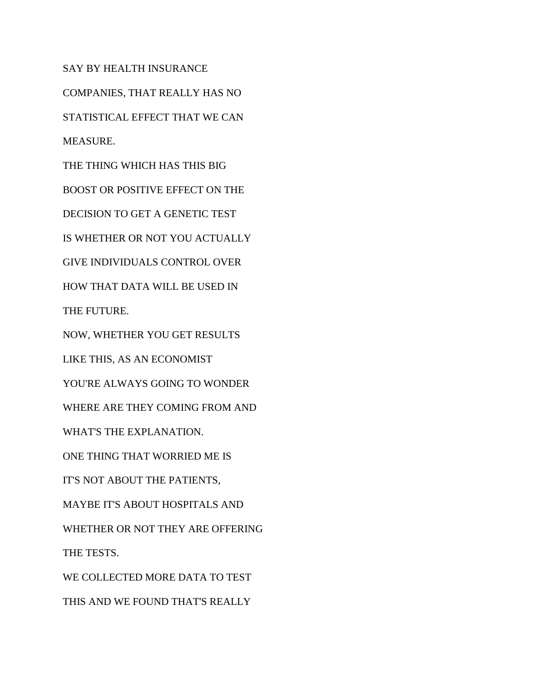SAY BY HEALTH INSURANCE COMPANIES, THAT REALLY HAS NO STATISTICAL EFFECT THAT WE CAN MEASURE. THE THING WHICH HAS THIS BIG BOOST OR POSITIVE EFFECT ON THE DECISION TO GET A GENETIC TEST IS WHETHER OR NOT YOU ACTUALLY GIVE INDIVIDUALS CONTROL OVER HOW THAT DATA WILL BE USED IN THE FUTURE. NOW, WHETHER YOU GET RESULTS LIKE THIS, AS AN ECONOMIST YOU'RE ALWAYS GOING TO WONDER WHERE ARE THEY COMING FROM AND WHAT'S THE EXPLANATION. ONE THING THAT WORRIED ME IS IT'S NOT ABOUT THE PATIENTS, MAYBE IT'S ABOUT HOSPITALS AND WHETHER OR NOT THEY ARE OFFERING THE TESTS.

WE COLLECTED MORE DATA TO TEST

THIS AND WE FOUND THAT'S REALLY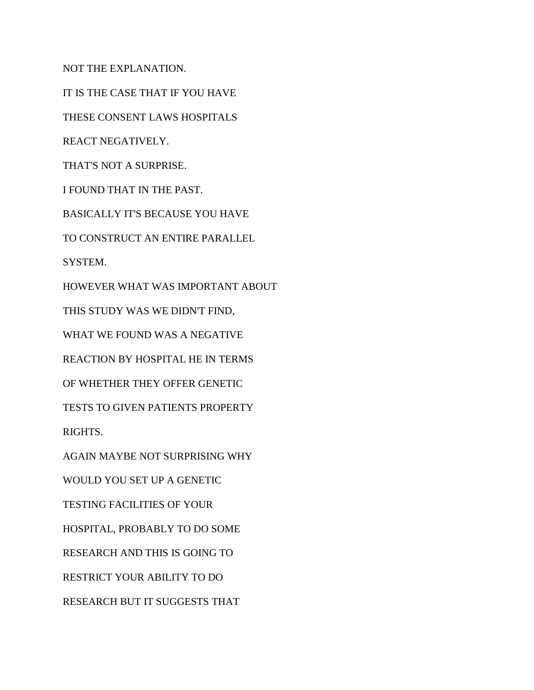NOT THE EXPLANATION.

IT IS THE CASE THAT IF YOU HAVE THESE CONSENT LAWS HOSPITALS REACT NEGATIVELY. THAT'S NOT A SURPRISE. I FOUND THAT IN THE PAST. BASICALLY IT'S BECAUSE YOU HAVE TO CONSTRUCT AN ENTIRE PARALLEL SYSTEM. HOWEVER WHAT WAS IMPORTANT ABOUT THIS STUDY WAS WE DIDN'T FIND, WHAT WE FOUND WAS A NEGATIVE REACTION BY HOSPITAL HE IN TERMS OF WHETHER THEY OFFER GENETIC TESTS TO GIVEN PATIENTS PROPERTY RIGHTS. AGAIN MAYBE NOT SURPRISING WHY WOULD YOU SET UP A GENETIC

TESTING FACILITIES OF YOUR

HOSPITAL, PROBABLY TO DO SOME

RESEARCH AND THIS IS GOING TO

RESTRICT YOUR ABILITY TO DO

RESEARCH BUT IT SUGGESTS THAT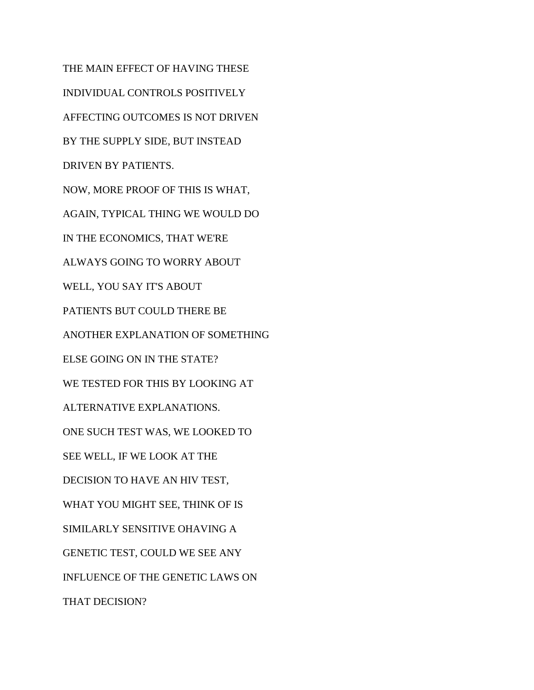THE MAIN EFFECT OF HAVING THESE INDIVIDUAL CONTROLS POSITIVELY AFFECTING OUTCOMES IS NOT DRIVEN BY THE SUPPLY SIDE, BUT INSTEAD DRIVEN BY PATIENTS. NOW, MORE PROOF OF THIS IS WHAT, AGAIN, TYPICAL THING WE WOULD DO IN THE ECONOMICS, THAT WE'RE ALWAYS GOING TO WORRY ABOUT WELL, YOU SAY IT'S ABOUT PATIENTS BUT COULD THERE BE ANOTHER EXPLANATION OF SOMETHING ELSE GOING ON IN THE STATE? WE TESTED FOR THIS BY LOOKING AT ALTERNATIVE EXPLANATIONS. ONE SUCH TEST WAS, WE LOOKED TO SEE WELL, IF WE LOOK AT THE DECISION TO HAVE AN HIV TEST, WHAT YOU MIGHT SEE, THINK OF IS SIMILARLY SENSITIVE OHAVING A GENETIC TEST, COULD WE SEE ANY INFLUENCE OF THE GENETIC LAWS ON THAT DECISION?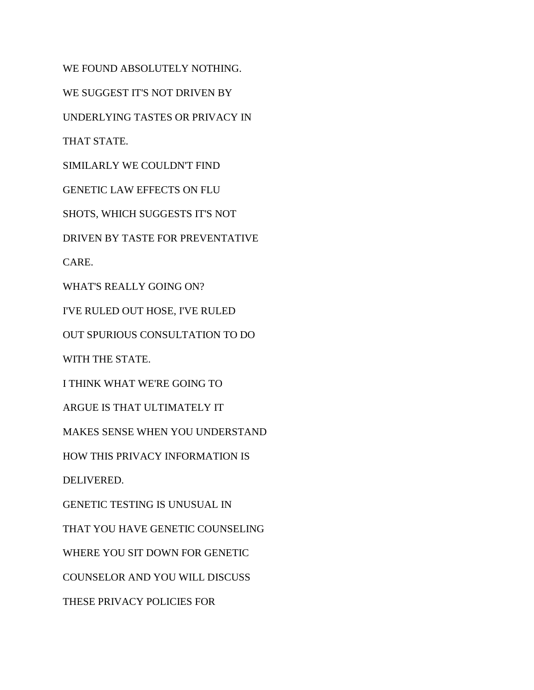WE FOUND ABSOLUTELY NOTHING. WE SUGGEST IT'S NOT DRIVEN BY UNDERLYING TASTES OR PRIVACY IN THAT STATE. SIMILARLY WE COULDN'T FIND GENETIC LAW EFFECTS ON FLU SHOTS, WHICH SUGGESTS IT'S NOT DRIVEN BY TASTE FOR PREVENTATIVE CARE. WHAT'S REALLY GOING ON? I'VE RULED OUT HOSE, I'VE RULED OUT SPURIOUS CONSULTATION TO DO WITH THE STATE. I THINK WHAT WE'RE GOING TO ARGUE IS THAT ULTIMATELY IT MAKES SENSE WHEN YOU UNDERSTAND HOW THIS PRIVACY INFORMATION IS DELIVERED. GENETIC TESTING IS UNUSUAL IN THAT YOU HAVE GENETIC COUNSELING WHERE YOU SIT DOWN FOR GENETIC COUNSELOR AND YOU WILL DISCUSS THESE PRIVACY POLICIES FOR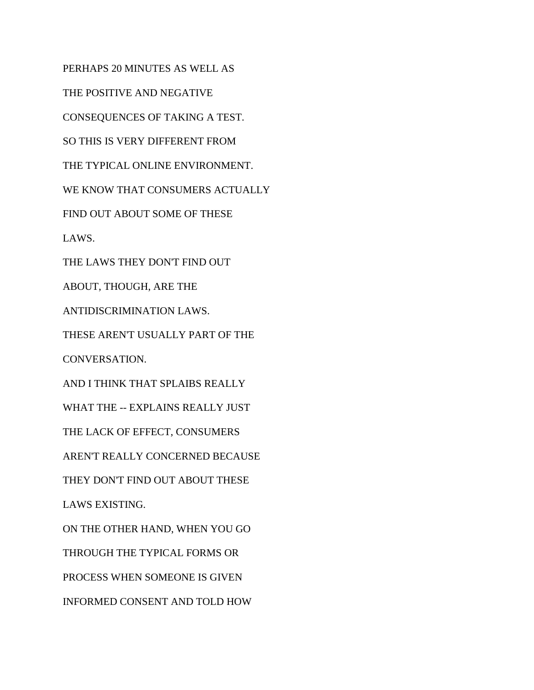PERHAPS 20 MINUTES AS WELL AS THE POSITIVE AND NEGATIVE CONSEQUENCES OF TAKING A TEST. SO THIS IS VERY DIFFERENT FROM THE TYPICAL ONLINE ENVIRONMENT. WE KNOW THAT CONSUMERS ACTUALLY FIND OUT ABOUT SOME OF THESE LAWS. THE LAWS THEY DON'T FIND OUT ABOUT, THOUGH, ARE THE ANTIDISCRIMINATION LAWS. THESE AREN'T USUALLY PART OF THE CONVERSATION. AND I THINK THAT SPLAIBS REALLY WHAT THE -- EXPLAINS REALLY JUST THE LACK OF EFFECT, CONSUMERS AREN'T REALLY CONCERNED BECAUSE THEY DON'T FIND OUT ABOUT THESE LAWS EXISTING. ON THE OTHER HAND, WHEN YOU GO THROUGH THE TYPICAL FORMS OR PROCESS WHEN SOMEONE IS GIVEN INFORMED CONSENT AND TOLD HOW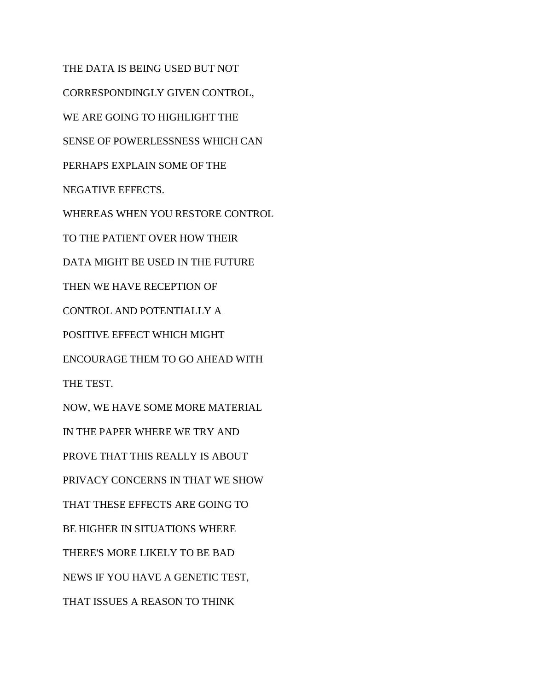THE DATA IS BEING USED BUT NOT CORRESPONDINGLY GIVEN CONTROL, WE ARE GOING TO HIGHLIGHT THE SENSE OF POWERLESSNESS WHICH CAN PERHAPS EXPLAIN SOME OF THE NEGATIVE EFFECTS. WHEREAS WHEN YOU RESTORE CONTROL TO THE PATIENT OVER HOW THEIR DATA MIGHT BE USED IN THE FUTURE THEN WE HAVE RECEPTION OF CONTROL AND POTENTIALLY A POSITIVE EFFECT WHICH MIGHT ENCOURAGE THEM TO GO AHEAD WITH THE TEST. NOW, WE HAVE SOME MORE MATERIAL IN THE PAPER WHERE WE TRY AND PROVE THAT THIS REALLY IS ABOUT PRIVACY CONCERNS IN THAT WE SHOW THAT THESE EFFECTS ARE GOING TO BE HIGHER IN SITUATIONS WHERE THERE'S MORE LIKELY TO BE BAD NEWS IF YOU HAVE A GENETIC TEST, THAT ISSUES A REASON TO THINK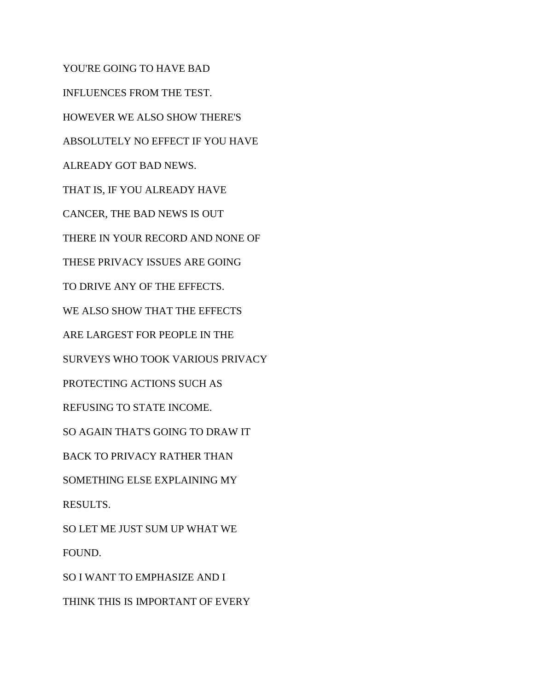YOU'RE GOING TO HAVE BAD INFLUENCES FROM THE TEST. HOWEVER WE ALSO SHOW THERE'S ABSOLUTELY NO EFFECT IF YOU HAVE ALREADY GOT BAD NEWS. THAT IS, IF YOU ALREADY HAVE CANCER, THE BAD NEWS IS OUT THERE IN YOUR RECORD AND NONE OF THESE PRIVACY ISSUES ARE GOING TO DRIVE ANY OF THE EFFECTS. WE ALSO SHOW THAT THE EFFECTS ARE LARGEST FOR PEOPLE IN THE SURVEYS WHO TOOK VARIOUS PRIVACY PROTECTING ACTIONS SUCH AS REFUSING TO STATE INCOME. SO AGAIN THAT'S GOING TO DRAW IT BACK TO PRIVACY RATHER THAN SOMETHING ELSE EXPLAINING MY RESULTS. SO LET ME JUST SUM UP WHAT WE FOUND. SO I WANT TO EMPHASIZE AND I THINK THIS IS IMPORTANT OF EVERY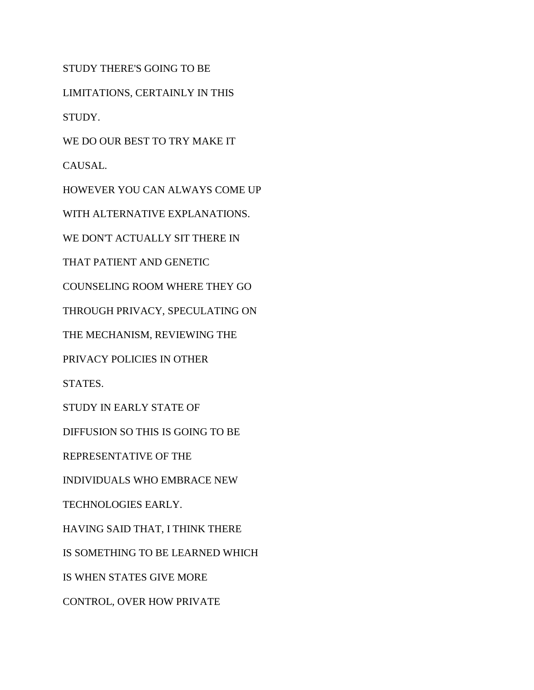STUDY THERE'S GOING TO BE LIMITATIONS, CERTAINLY IN THIS STUDY. WE DO OUR BEST TO TRY MAKE IT CAUSAL. HOWEVER YOU CAN ALWAYS COME UP WITH ALTERNATIVE EXPLANATIONS. WE DON'T ACTUALLY SIT THERE IN THAT PATIENT AND GENETIC COUNSELING ROOM WHERE THEY GO THROUGH PRIVACY, SPECULATING ON THE MECHANISM, REVIEWING THE PRIVACY POLICIES IN OTHER STATES. STUDY IN EARLY STATE OF DIFFUSION SO THIS IS GOING TO BE REPRESENTATIVE OF THE INDIVIDUALS WHO EMBRACE NEW TECHNOLOGIES EARLY. HAVING SAID THAT, I THINK THERE IS SOMETHING TO BE LEARNED WHICH IS WHEN STATES GIVE MORE CONTROL, OVER HOW PRIVATE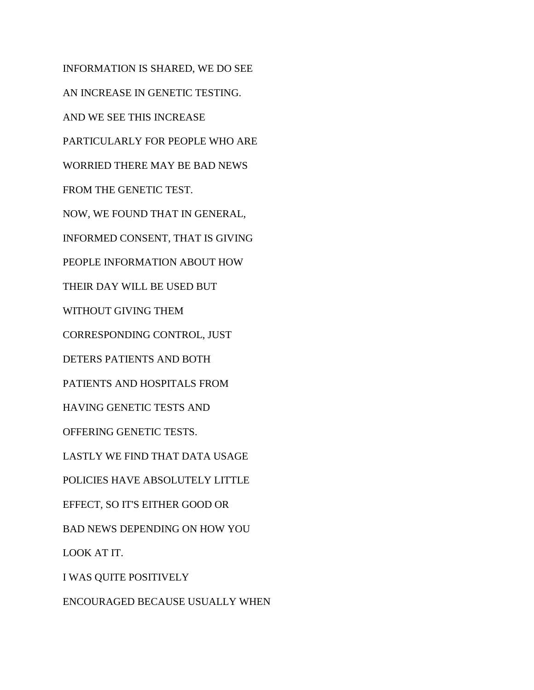INFORMATION IS SHARED, WE DO SEE AN INCREASE IN GENETIC TESTING. AND WE SEE THIS INCREASE PARTICULARLY FOR PEOPLE WHO ARE WORRIED THERE MAY BE BAD NEWS FROM THE GENETIC TEST. NOW, WE FOUND THAT IN GENERAL, INFORMED CONSENT, THAT IS GIVING PEOPLE INFORMATION ABOUT HOW THEIR DAY WILL BE USED BUT WITHOUT GIVING THEM CORRESPONDING CONTROL, JUST DETERS PATIENTS AND BOTH PATIENTS AND HOSPITALS FROM HAVING GENETIC TESTS AND OFFERING GENETIC TESTS. LASTLY WE FIND THAT DATA USAGE POLICIES HAVE ABSOLUTELY LITTLE EFFECT, SO IT'S EITHER GOOD OR BAD NEWS DEPENDING ON HOW YOU LOOK AT IT. I WAS QUITE POSITIVELY

ENCOURAGED BECAUSE USUALLY WHEN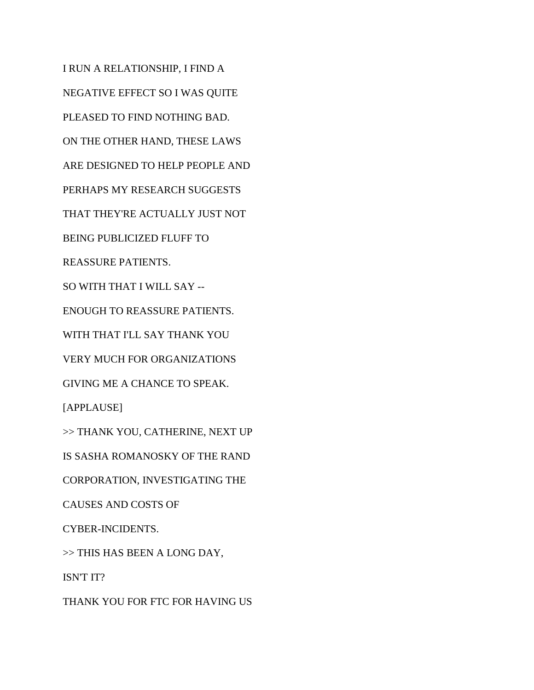I RUN A RELATIONSHIP, I FIND A NEGATIVE EFFECT SO I WAS QUITE PLEASED TO FIND NOTHING BAD. ON THE OTHER HAND, THESE LAWS ARE DESIGNED TO HELP PEOPLE AND PERHAPS MY RESEARCH SUGGESTS THAT THEY'RE ACTUALLY JUST NOT BEING PUBLICIZED FLUFF TO REASSURE PATIENTS. SO WITH THAT I WILL SAY -- ENOUGH TO REASSURE PATIENTS. WITH THAT I'LL SAY THANK YOU VERY MUCH FOR ORGANIZATIONS GIVING ME A CHANCE TO SPEAK. [APPLAUSE] >> THANK YOU, CATHERINE, NEXT UP IS SASHA ROMANOSKY OF THE RAND CORPORATION, INVESTIGATING THE CAUSES AND COSTS OF CYBER-INCIDENTS. >> THIS HAS BEEN A LONG DAY, ISN'T IT? THANK YOU FOR FTC FOR HAVING US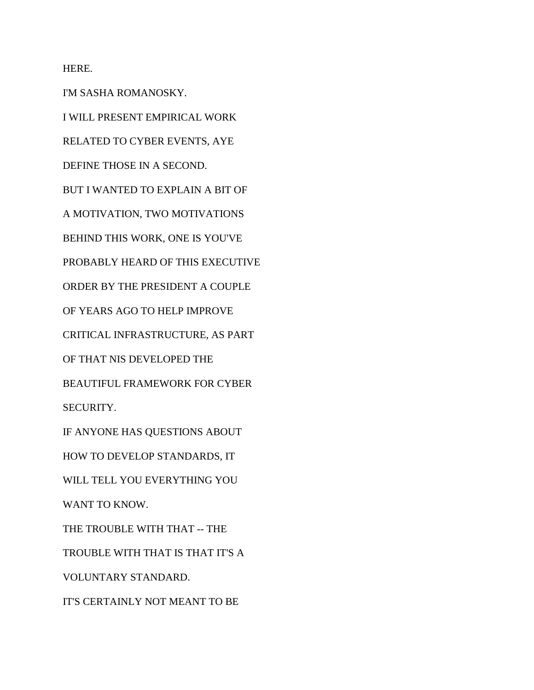HERE.

I'M SASHA ROMANOSKY. I WILL PRESENT EMPIRICAL WORK RELATED TO CYBER EVENTS, AYE DEFINE THOSE IN A SECOND. BUT I WANTED TO EXPLAIN A BIT OF A MOTIVATION, TWO MOTIVATIONS BEHIND THIS WORK, ONE IS YOU'VE PROBABLY HEARD OF THIS EXECUTIVE ORDER BY THE PRESIDENT A COUPLE OF YEARS AGO TO HELP IMPROVE CRITICAL INFRASTRUCTURE, AS PART OF THAT NIS DEVELOPED THE BEAUTIFUL FRAMEWORK FOR CYBER SECURITY. IF ANYONE HAS QUESTIONS ABOUT HOW TO DEVELOP STANDARDS, IT WILL TELL YOU EVERYTHING YOU WANT TO KNOW. THE TROUBLE WITH THAT -- THE TROUBLE WITH THAT IS THAT IT'S A VOLUNTARY STANDARD. IT'S CERTAINLY NOT MEANT TO BE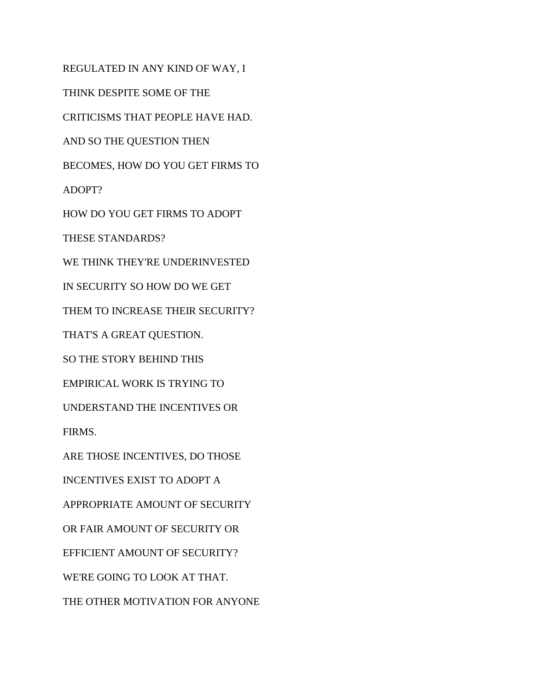REGULATED IN ANY KIND OF WAY, I THINK DESPITE SOME OF THE CRITICISMS THAT PEOPLE HAVE HAD. AND SO THE QUESTION THEN BECOMES, HOW DO YOU GET FIRMS TO ADOPT? HOW DO YOU GET FIRMS TO ADOPT THESE STANDARDS? WE THINK THEY'RE UNDERINVESTED IN SECURITY SO HOW DO WE GET THEM TO INCREASE THEIR SECURITY? THAT'S A GREAT QUESTION. SO THE STORY BEHIND THIS EMPIRICAL WORK IS TRYING TO UNDERSTAND THE INCENTIVES OR FIRMS. ARE THOSE INCENTIVES, DO THOSE INCENTIVES EXIST TO ADOPT A APPROPRIATE AMOUNT OF SECURITY OR FAIR AMOUNT OF SECURITY OR EFFICIENT AMOUNT OF SECURITY? WE'RE GOING TO LOOK AT THAT. THE OTHER MOTIVATION FOR ANYONE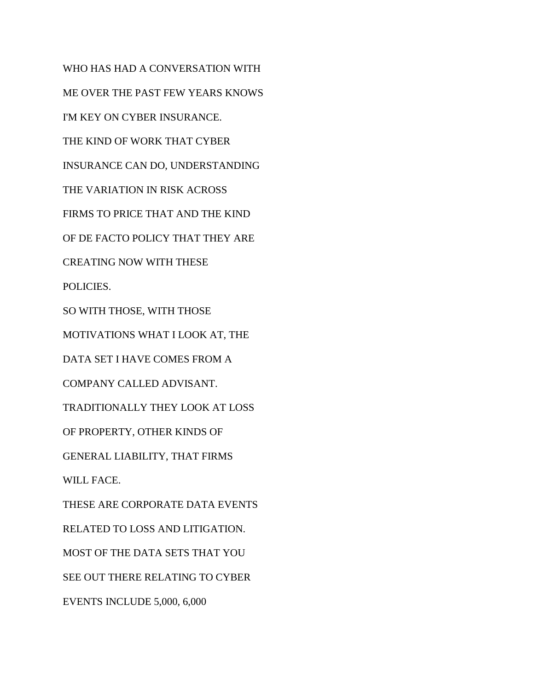WHO HAS HAD A CONVERSATION WITH ME OVER THE PAST FEW YEARS KNOWS I'M KEY ON CYBER INSURANCE. THE KIND OF WORK THAT CYBER INSURANCE CAN DO, UNDERSTANDING THE VARIATION IN RISK ACROSS FIRMS TO PRICE THAT AND THE KIND OF DE FACTO POLICY THAT THEY ARE CREATING NOW WITH THESE POLICIES. SO WITH THOSE, WITH THOSE MOTIVATIONS WHAT I LOOK AT, THE DATA SET I HAVE COMES FROM A COMPANY CALLED ADVISANT. TRADITIONALLY THEY LOOK AT LOSS OF PROPERTY, OTHER KINDS OF GENERAL LIABILITY, THAT FIRMS WILL FACE. THESE ARE CORPORATE DATA EVENTS RELATED TO LOSS AND LITIGATION. MOST OF THE DATA SETS THAT YOU SEE OUT THERE RELATING TO CYBER EVENTS INCLUDE 5,000, 6,000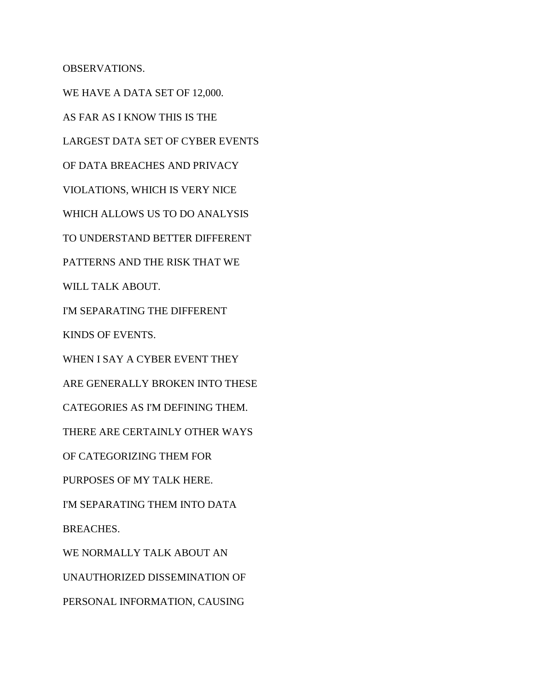OBSERVATIONS.

WE HAVE A DATA SET OF 12,000. AS FAR AS I KNOW THIS IS THE LARGEST DATA SET OF CYBER EVENTS OF DATA BREACHES AND PRIVACY VIOLATIONS, WHICH IS VERY NICE WHICH ALLOWS US TO DO ANALYSIS TO UNDERSTAND BETTER DIFFERENT PATTERNS AND THE RISK THAT WE WILL TALK ABOUT. I'M SEPARATING THE DIFFERENT KINDS OF EVENTS. WHEN I SAY A CYBER EVENT THEY ARE GENERALLY BROKEN INTO THESE CATEGORIES AS I'M DEFINING THEM. THERE ARE CERTAINLY OTHER WAYS OF CATEGORIZING THEM FOR PURPOSES OF MY TALK HERE. I'M SEPARATING THEM INTO DATA BREACHES. WE NORMALLY TALK ABOUT AN UNAUTHORIZED DISSEMINATION OF PERSONAL INFORMATION, CAUSING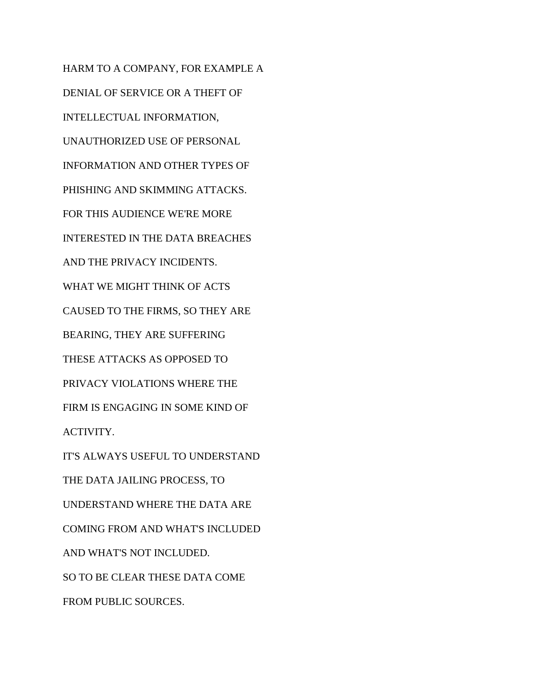HARM TO A COMPANY, FOR EXAMPLE A DENIAL OF SERVICE OR A THEFT OF INTELLECTUAL INFORMATION, UNAUTHORIZED USE OF PERSONAL INFORMATION AND OTHER TYPES OF PHISHING AND SKIMMING ATTACKS. FOR THIS AUDIENCE WE'RE MORE INTERESTED IN THE DATA BREACHES AND THE PRIVACY INCIDENTS. WHAT WE MIGHT THINK OF ACTS CAUSED TO THE FIRMS, SO THEY ARE BEARING, THEY ARE SUFFERING THESE ATTACKS AS OPPOSED TO PRIVACY VIOLATIONS WHERE THE FIRM IS ENGAGING IN SOME KIND OF ACTIVITY. IT'S ALWAYS USEFUL TO UNDERSTAND THE DATA JAILING PROCESS, TO UNDERSTAND WHERE THE DATA ARE COMING FROM AND WHAT'S INCLUDED AND WHAT'S NOT INCLUDED. SO TO BE CLEAR THESE DATA COME

FROM PUBLIC SOURCES.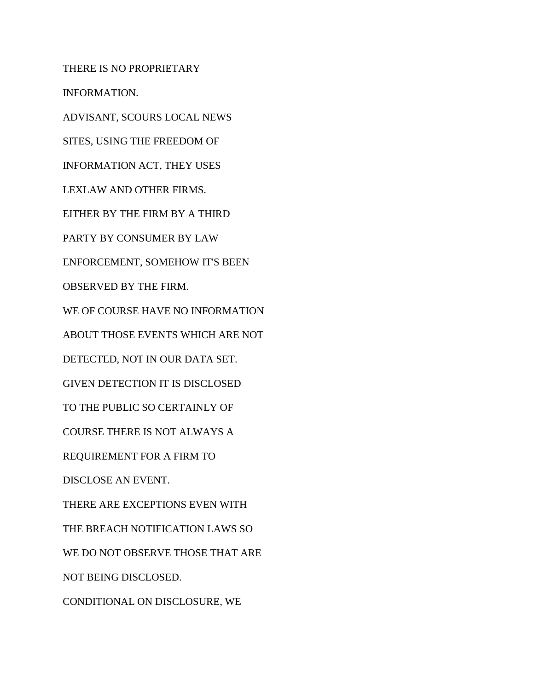THERE IS NO PROPRIETARY INFORMATION. ADVISANT, SCOURS LOCAL NEWS SITES, USING THE FREEDOM OF INFORMATION ACT, THEY USES LEXLAW AND OTHER FIRMS. EITHER BY THE FIRM BY A THIRD PARTY BY CONSUMER BY LAW ENFORCEMENT, SOMEHOW IT'S BEEN OBSERVED BY THE FIRM. WE OF COURSE HAVE NO INFORMATION ABOUT THOSE EVENTS WHICH ARE NOT DETECTED, NOT IN OUR DATA SET. GIVEN DETECTION IT IS DISCLOSED TO THE PUBLIC SO CERTAINLY OF COURSE THERE IS NOT ALWAYS A REQUIREMENT FOR A FIRM TO DISCLOSE AN EVENT. THERE ARE EXCEPTIONS EVEN WITH THE BREACH NOTIFICATION LAWS SO WE DO NOT OBSERVE THOSE THAT ARE NOT BEING DISCLOSED. CONDITIONAL ON DISCLOSURE, WE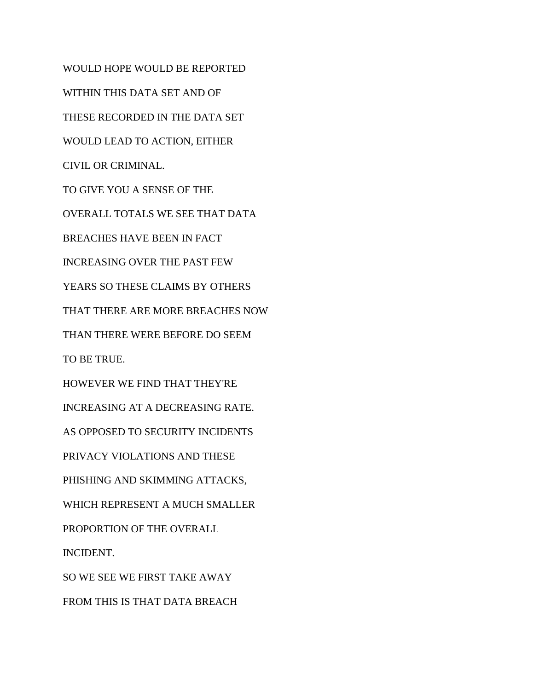WOULD HOPE WOULD BE REPORTED WITHIN THIS DATA SET AND OF THESE RECORDED IN THE DATA SET WOULD LEAD TO ACTION, EITHER CIVIL OR CRIMINAL. TO GIVE YOU A SENSE OF THE OVERALL TOTALS WE SEE THAT DATA BREACHES HAVE BEEN IN FACT INCREASING OVER THE PAST FEW YEARS SO THESE CLAIMS BY OTHERS THAT THERE ARE MORE BREACHES NOW THAN THERE WERE BEFORE DO SEEM TO BE TRUE. HOWEVER WE FIND THAT THEY'RE INCREASING AT A DECREASING RATE. AS OPPOSED TO SECURITY INCIDENTS PRIVACY VIOLATIONS AND THESE PHISHING AND SKIMMING ATTACKS, WHICH REPRESENT A MUCH SMALLER PROPORTION OF THE OVERALL INCIDENT. SO WE SEE WE FIRST TAKE AWAY FROM THIS IS THAT DATA BREACH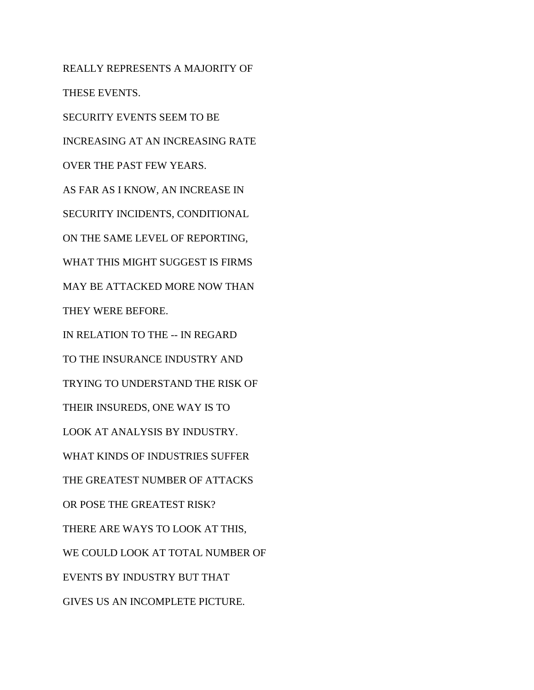REALLY REPRESENTS A MAJORITY OF THESE EVENTS. SECURITY EVENTS SEEM TO BE INCREASING AT AN INCREASING RATE OVER THE PAST FEW YEARS. AS FAR AS I KNOW, AN INCREASE IN SECURITY INCIDENTS, CONDITIONAL ON THE SAME LEVEL OF REPORTING, WHAT THIS MIGHT SUGGEST IS FIRMS MAY BE ATTACKED MORE NOW THAN THEY WERE BEFORE. IN RELATION TO THE -- IN REGARD TO THE INSURANCE INDUSTRY AND TRYING TO UNDERSTAND THE RISK OF THEIR INSUREDS, ONE WAY IS TO LOOK AT ANALYSIS BY INDUSTRY. WHAT KINDS OF INDUSTRIES SUFFER THE GREATEST NUMBER OF ATTACKS OR POSE THE GREATEST RISK? THERE ARE WAYS TO LOOK AT THIS, WE COULD LOOK AT TOTAL NUMBER OF EVENTS BY INDUSTRY BUT THAT GIVES US AN INCOMPLETE PICTURE.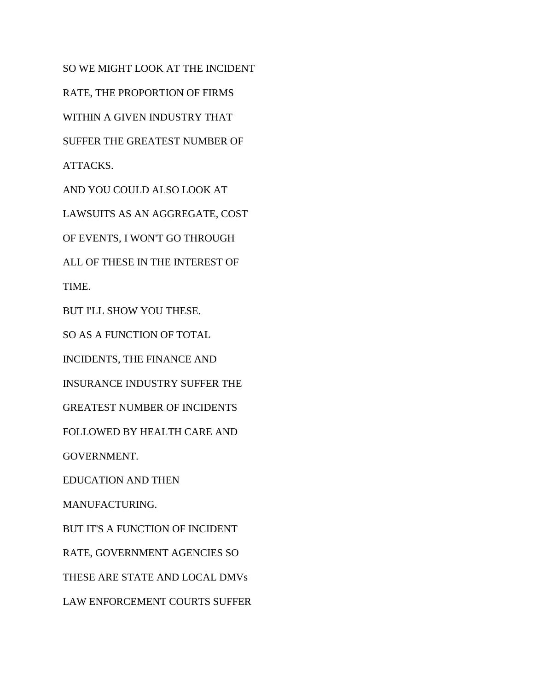SO WE MIGHT LOOK AT THE INCIDENT RATE, THE PROPORTION OF FIRMS WITHIN A GIVEN INDUSTRY THAT SUFFER THE GREATEST NUMBER OF ATTACKS. AND YOU COULD ALSO LOOK AT LAWSUITS AS AN AGGREGATE, COST OF EVENTS, I WON'T GO THROUGH ALL OF THESE IN THE INTEREST OF TIME. BUT I'LL SHOW YOU THESE. SO AS A FUNCTION OF TOTAL INCIDENTS, THE FINANCE AND INSURANCE INDUSTRY SUFFER THE GREATEST NUMBER OF INCIDENTS FOLLOWED BY HEALTH CARE AND GOVERNMENT. EDUCATION AND THEN MANUFACTURING. BUT IT'S A FUNCTION OF INCIDENT RATE, GOVERNMENT AGENCIES SO THESE ARE STATE AND LOCAL DMVs LAW ENFORCEMENT COURTS SUFFER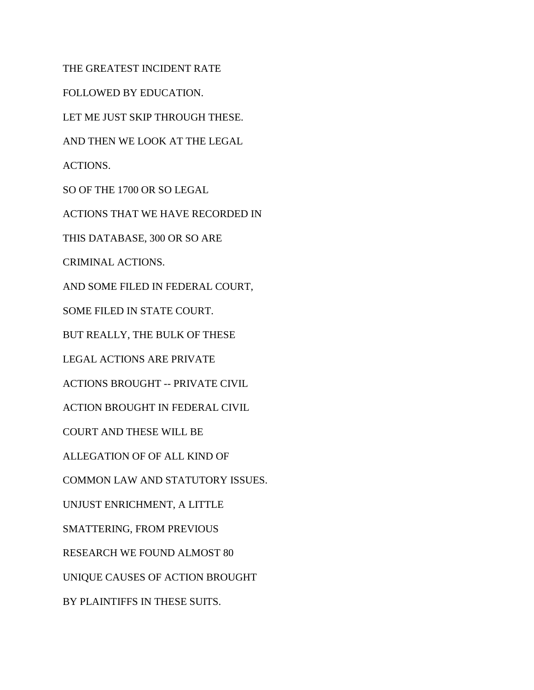THE GREATEST INCIDENT RATE FOLLOWED BY EDUCATION. LET ME JUST SKIP THROUGH THESE. AND THEN WE LOOK AT THE LEGAL ACTIONS. SO OF THE 1700 OR SO LEGAL ACTIONS THAT WE HAVE RECORDED IN THIS DATABASE, 300 OR SO ARE CRIMINAL ACTIONS. AND SOME FILED IN FEDERAL COURT, SOME FILED IN STATE COURT. BUT REALLY, THE BULK OF THESE LEGAL ACTIONS ARE PRIVATE ACTIONS BROUGHT -- PRIVATE CIVIL ACTION BROUGHT IN FEDERAL CIVIL COURT AND THESE WILL BE ALLEGATION OF OF ALL KIND OF COMMON LAW AND STATUTORY ISSUES. UNJUST ENRICHMENT, A LITTLE SMATTERING, FROM PREVIOUS RESEARCH WE FOUND ALMOST 80 UNIQUE CAUSES OF ACTION BROUGHT BY PLAINTIFFS IN THESE SUITS.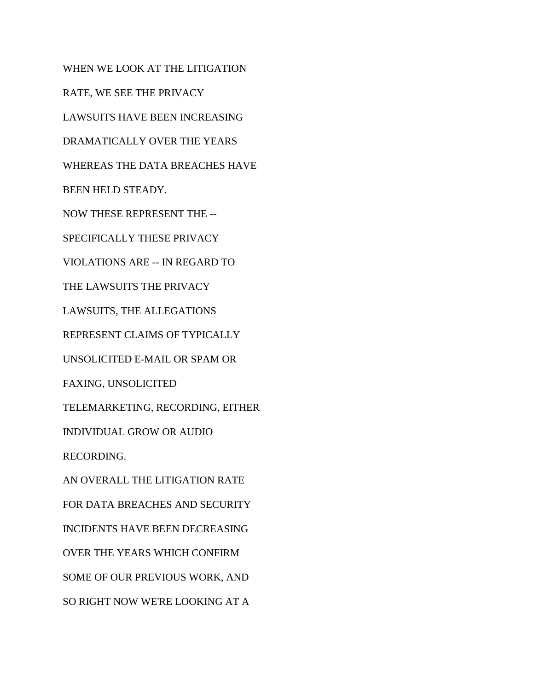WHEN WE LOOK AT THE LITIGATION RATE, WE SEE THE PRIVACY LAWSUITS HAVE BEEN INCREASING DRAMATICALLY OVER THE YEARS WHEREAS THE DATA BREACHES HAVE BEEN HELD STEADY. NOW THESE REPRESENT THE -- SPECIFICALLY THESE PRIVACY VIOLATIONS ARE -- IN REGARD TO THE LAWSUITS THE PRIVACY LAWSUITS, THE ALLEGATIONS REPRESENT CLAIMS OF TYPICALLY UNSOLICITED E-MAIL OR SPAM OR FAXING, UNSOLICITED TELEMARKETING, RECORDING, EITHER INDIVIDUAL GROW OR AUDIO RECORDING. AN OVERALL THE LITIGATION RATE FOR DATA BREACHES AND SECURITY INCIDENTS HAVE BEEN DECREASING OVER THE YEARS WHICH CONFIRM SOME OF OUR PREVIOUS WORK, AND SO RIGHT NOW WE'RE LOOKING AT A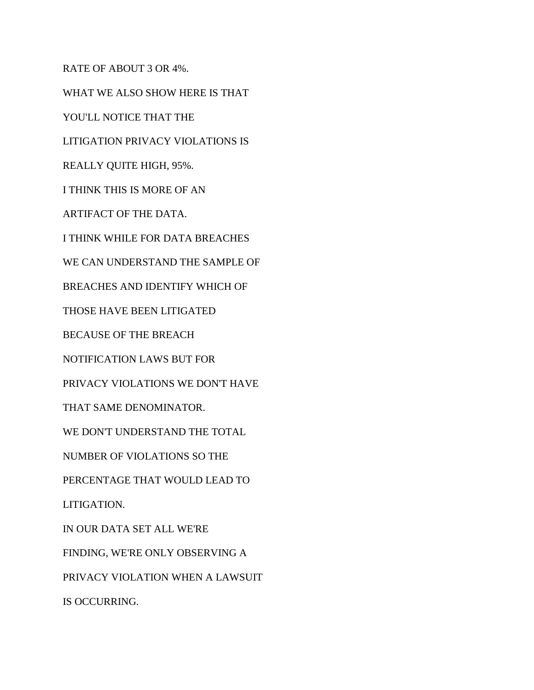RATE OF ABOUT 3 OR 4%. WHAT WE ALSO SHOW HERE IS THAT YOU'LL NOTICE THAT THE LITIGATION PRIVACY VIOLATIONS IS REALLY QUITE HIGH, 95%. I THINK THIS IS MORE OF AN ARTIFACT OF THE DATA. I THINK WHILE FOR DATA BREACHES WE CAN UNDERSTAND THE SAMPLE OF BREACHES AND IDENTIFY WHICH OF THOSE HAVE BEEN LITIGATED BECAUSE OF THE BREACH NOTIFICATION LAWS BUT FOR PRIVACY VIOLATIONS WE DON'T HAVE THAT SAME DENOMINATOR. WE DON'T UNDERSTAND THE TOTAL NUMBER OF VIOLATIONS SO THE PERCENTAGE THAT WOULD LEAD TO LITIGATION. IN OUR DATA SET ALL WE'RE FINDING, WE'RE ONLY OBSERVING A PRIVACY VIOLATION WHEN A LAWSUIT IS OCCURRING.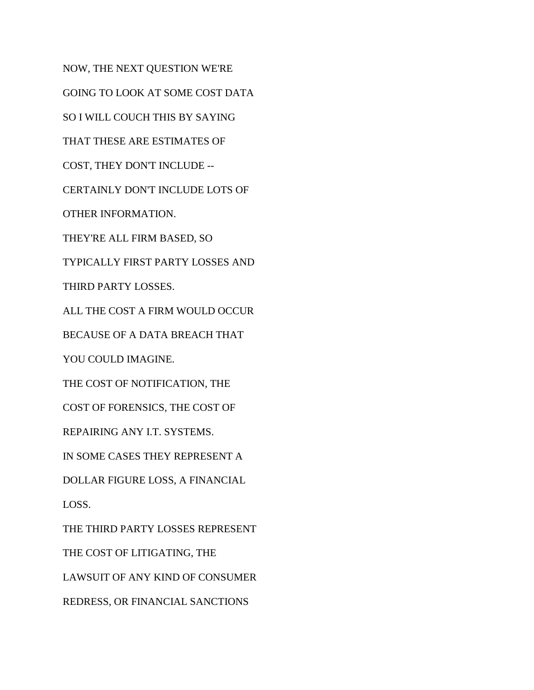NOW, THE NEXT QUESTION WE'RE GOING TO LOOK AT SOME COST DATA SO I WILL COUCH THIS BY SAYING THAT THESE ARE ESTIMATES OF COST, THEY DON'T INCLUDE -- CERTAINLY DON'T INCLUDE LOTS OF OTHER INFORMATION. THEY'RE ALL FIRM BASED, SO TYPICALLY FIRST PARTY LOSSES AND THIRD PARTY LOSSES. ALL THE COST A FIRM WOULD OCCUR BECAUSE OF A DATA BREACH THAT YOU COULD IMAGINE. THE COST OF NOTIFICATION, THE COST OF FORENSICS, THE COST OF REPAIRING ANY I.T. SYSTEMS. IN SOME CASES THEY REPRESENT A DOLLAR FIGURE LOSS, A FINANCIAL LOSS. THE THIRD PARTY LOSSES REPRESENT THE COST OF LITIGATING, THE LAWSUIT OF ANY KIND OF CONSUMER REDRESS, OR FINANCIAL SANCTIONS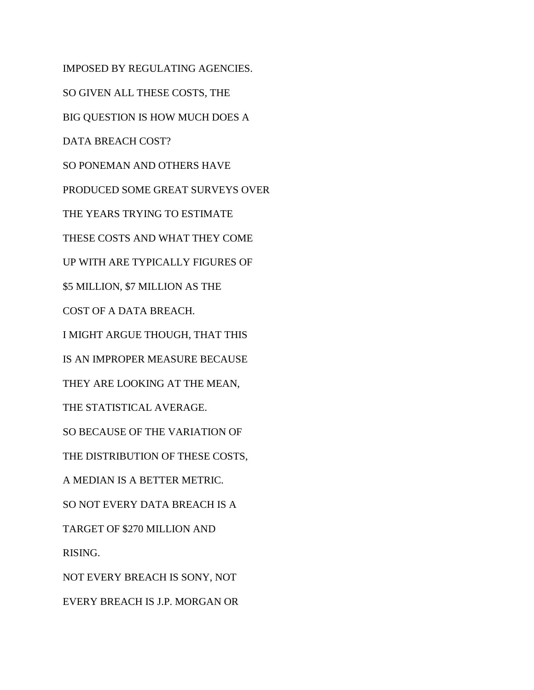IMPOSED BY REGULATING AGENCIES. SO GIVEN ALL THESE COSTS, THE BIG QUESTION IS HOW MUCH DOES A DATA BREACH COST? SO PONEMAN AND OTHERS HAVE PRODUCED SOME GREAT SURVEYS OVER THE YEARS TRYING TO ESTIMATE THESE COSTS AND WHAT THEY COME UP WITH ARE TYPICALLY FIGURES OF \$5 MILLION, \$7 MILLION AS THE COST OF A DATA BREACH. I MIGHT ARGUE THOUGH, THAT THIS IS AN IMPROPER MEASURE BECAUSE THEY ARE LOOKING AT THE MEAN, THE STATISTICAL AVERAGE. SO BECAUSE OF THE VARIATION OF THE DISTRIBUTION OF THESE COSTS, A MEDIAN IS A BETTER METRIC. SO NOT EVERY DATA BREACH IS A TARGET OF \$270 MILLION AND RISING. NOT EVERY BREACH IS SONY, NOT EVERY BREACH IS J.P. MORGAN OR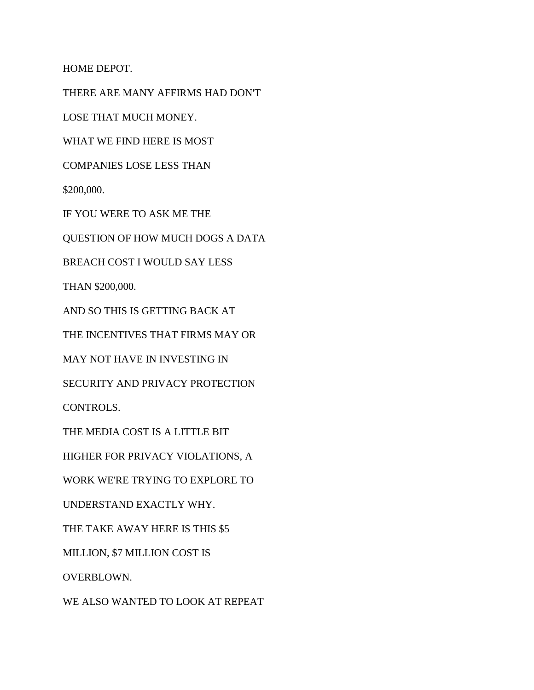HOME DEPOT.

THERE ARE MANY AFFIRMS HAD DON'T

LOSE THAT MUCH MONEY.

WHAT WE FIND HERE IS MOST

COMPANIES LOSE LESS THAN

\$200,000.

IF YOU WERE TO ASK ME THE

QUESTION OF HOW MUCH DOGS A DATA

BREACH COST I WOULD SAY LESS

THAN \$200,000.

AND SO THIS IS GETTING BACK AT

THE INCENTIVES THAT FIRMS MAY OR

MAY NOT HAVE IN INVESTING IN

SECURITY AND PRIVACY PROTECTION

CONTROLS.

THE MEDIA COST IS A LITTLE BIT

HIGHER FOR PRIVACY VIOLATIONS, A

WORK WE'RE TRYING TO EXPLORE TO

UNDERSTAND EXACTLY WHY.

THE TAKE AWAY HERE IS THIS \$5

MILLION, \$7 MILLION COST IS

OVERBLOWN.

WE ALSO WANTED TO LOOK AT REPEAT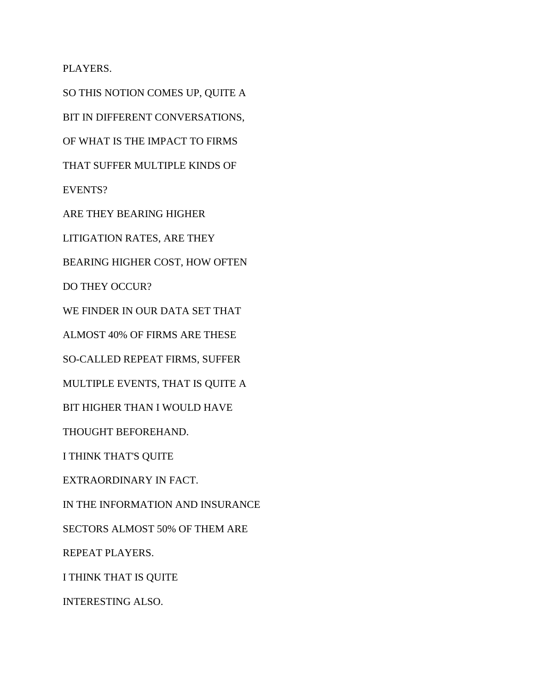## PLAYERS.

SO THIS NOTION COMES UP, QUITE A BIT IN DIFFERENT CONVERSATIONS, OF WHAT IS THE IMPACT TO FIRMS THAT SUFFER MULTIPLE KINDS OF EVENTS? ARE THEY BEARING HIGHER LITIGATION RATES, ARE THEY BEARING HIGHER COST, HOW OFTEN DO THEY OCCUR? WE FINDER IN OUR DATA SET THAT ALMOST 40% OF FIRMS ARE THESE SO-CALLED REPEAT FIRMS, SUFFER MULTIPLE EVENTS, THAT IS QUITE A BIT HIGHER THAN I WOULD HAVE THOUGHT BEFOREHAND. I THINK THAT'S QUITE EXTRAORDINARY IN FACT. IN THE INFORMATION AND INSURANCE SECTORS ALMOST 50% OF THEM ARE REPEAT PLAYERS. I THINK THAT IS QUITE INTERESTING ALSO.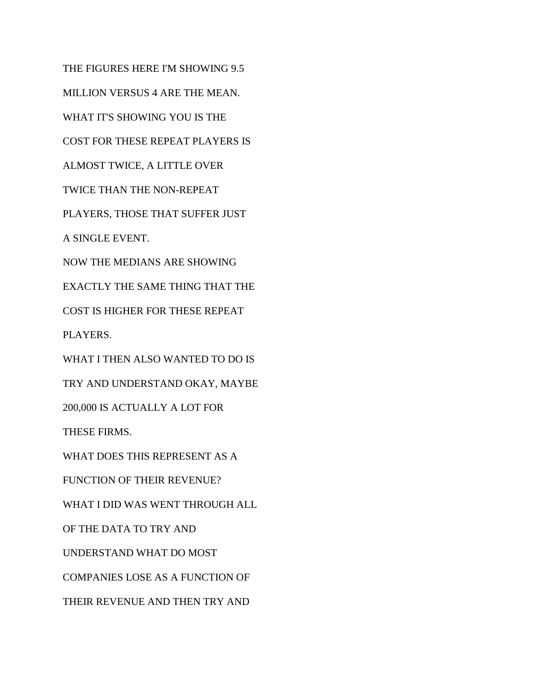THE FIGURES HERE I'M SHOWING 9.5 MILLION VERSUS 4 ARE THE MEAN. WHAT IT'S SHOWING YOU IS THE COST FOR THESE REPEAT PLAYERS IS ALMOST TWICE, A LITTLE OVER TWICE THAN THE NON-REPEAT PLAYERS, THOSE THAT SUFFER JUST A SINGLE EVENT. NOW THE MEDIANS ARE SHOWING EXACTLY THE SAME THING THAT THE COST IS HIGHER FOR THESE REPEAT PLAYERS. WHAT I THEN ALSO WANTED TO DO IS TRY AND UNDERSTAND OKAY, MAYBE 200,000 IS ACTUALLY A LOT FOR THESE FIRMS. WHAT DOES THIS REPRESENT AS A FUNCTION OF THEIR REVENUE? WHAT I DID WAS WENT THROUGH ALL OF THE DATA TO TRY AND UNDERSTAND WHAT DO MOST COMPANIES LOSE AS A FUNCTION OF THEIR REVENUE AND THEN TRY AND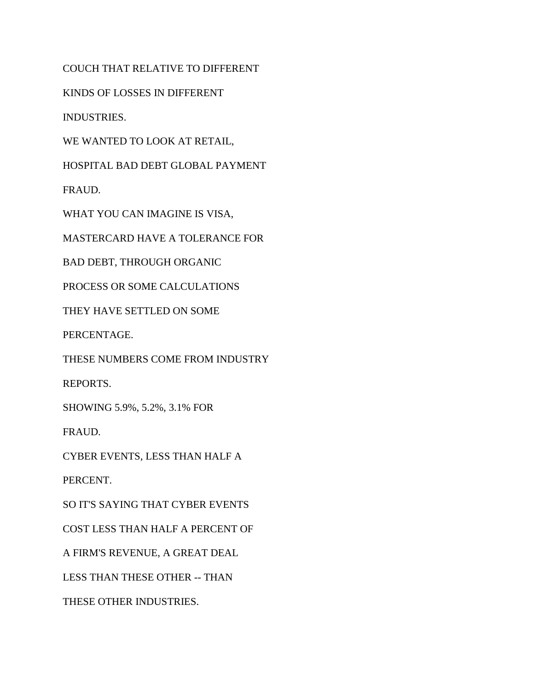COUCH THAT RELATIVE TO DIFFERENT

KINDS OF LOSSES IN DIFFERENT

INDUSTRIES.

WE WANTED TO LOOK AT RETAIL,

HOSPITAL BAD DEBT GLOBAL PAYMENT

FRAUD.

WHAT YOU CAN IMAGINE IS VISA,

MASTERCARD HAVE A TOLERANCE FOR

BAD DEBT, THROUGH ORGANIC

PROCESS OR SOME CALCULATIONS

THEY HAVE SETTLED ON SOME

PERCENTAGE.

THESE NUMBERS COME FROM INDUSTRY

REPORTS.

SHOWING 5.9%, 5.2%, 3.1% FOR

FRAUD.

CYBER EVENTS, LESS THAN HALF A

PERCENT.

SO IT'S SAYING THAT CYBER EVENTS

COST LESS THAN HALF A PERCENT OF

A FIRM'S REVENUE, A GREAT DEAL

LESS THAN THESE OTHER -- THAN

THESE OTHER INDUSTRIES.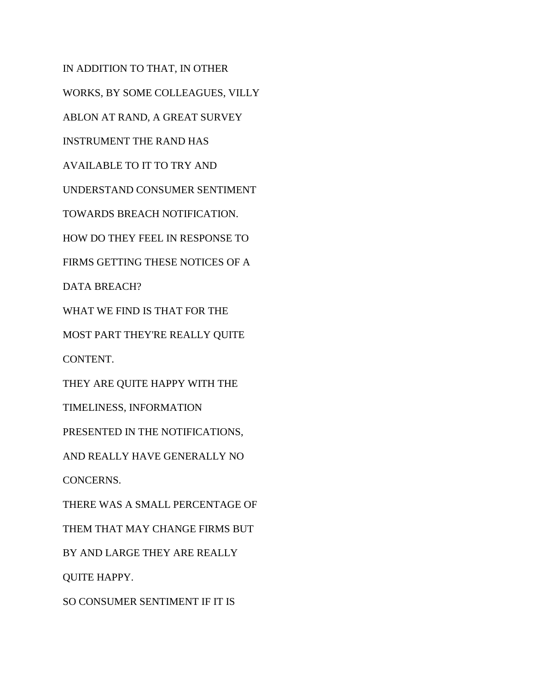IN ADDITION TO THAT, IN OTHER WORKS, BY SOME COLLEAGUES, VILLY ABLON AT RAND, A GREAT SURVEY INSTRUMENT THE RAND HAS AVAILABLE TO IT TO TRY AND UNDERSTAND CONSUMER SENTIMENT TOWARDS BREACH NOTIFICATION. HOW DO THEY FEEL IN RESPONSE TO FIRMS GETTING THESE NOTICES OF A DATA BREACH? WHAT WE FIND IS THAT FOR THE MOST PART THEY'RE REALLY QUITE CONTENT. THEY ARE QUITE HAPPY WITH THE TIMELINESS, INFORMATION PRESENTED IN THE NOTIFICATIONS, AND REALLY HAVE GENERALLY NO CONCERNS. THERE WAS A SMALL PERCENTAGE OF THEM THAT MAY CHANGE FIRMS BUT BY AND LARGE THEY ARE REALLY QUITE HAPPY.

SO CONSUMER SENTIMENT IF IT IS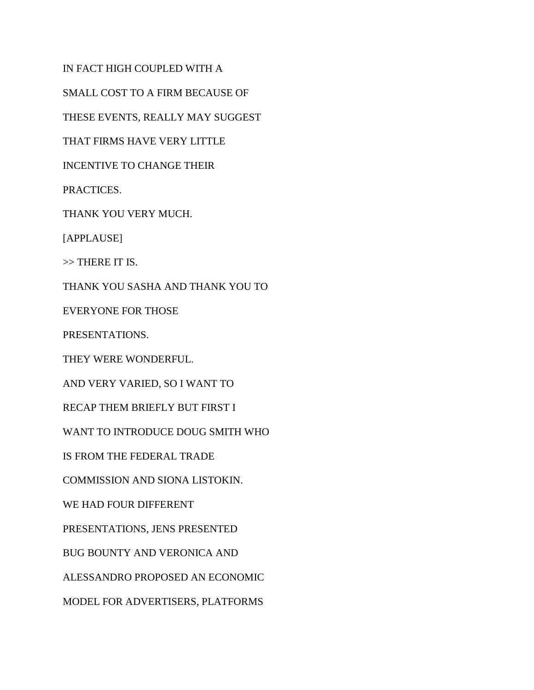IN FACT HIGH COUPLED WITH A

SMALL COST TO A FIRM BECAUSE OF

THESE EVENTS, REALLY MAY SUGGEST

THAT FIRMS HAVE VERY LITTLE

INCENTIVE TO CHANGE THEIR

PRACTICES.

THANK YOU VERY MUCH.

[APPLAUSE]

>> THERE IT IS.

THANK YOU SASHA AND THANK YOU TO

EVERYONE FOR THOSE

PRESENTATIONS.

THEY WERE WONDERFUL.

AND VERY VARIED, SO I WANT TO

RECAP THEM BRIEFLY BUT FIRST I

WANT TO INTRODUCE DOUG SMITH WHO

IS FROM THE FEDERAL TRADE

COMMISSION AND SIONA LISTOKIN.

WE HAD FOUR DIFFERENT

PRESENTATIONS, JENS PRESENTED

BUG BOUNTY AND VERONICA AND

ALESSANDRO PROPOSED AN ECONOMIC

MODEL FOR ADVERTISERS, PLATFORMS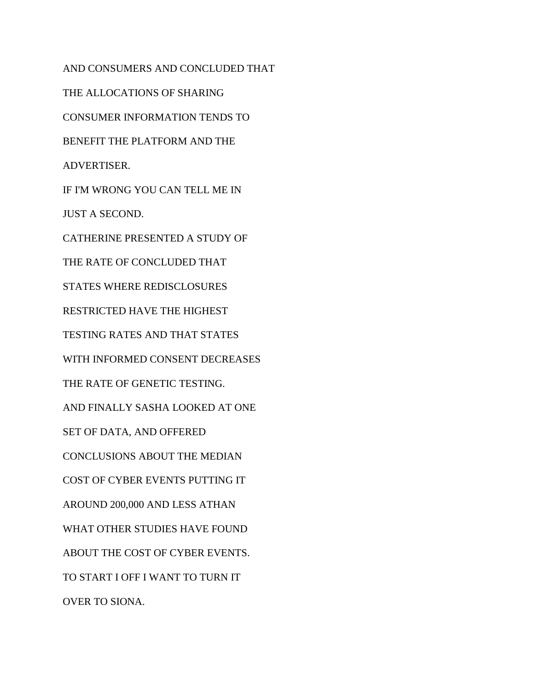AND CONSUMERS AND CONCLUDED THAT THE ALLOCATIONS OF SHARING CONSUMER INFORMATION TENDS TO BENEFIT THE PLATFORM AND THE ADVERTISER. IF I'M WRONG YOU CAN TELL ME IN JUST A SECOND. CATHERINE PRESENTED A STUDY OF THE RATE OF CONCLUDED THAT STATES WHERE REDISCLOSURES RESTRICTED HAVE THE HIGHEST TESTING RATES AND THAT STATES WITH INFORMED CONSENT DECREASES THE RATE OF GENETIC TESTING. AND FINALLY SASHA LOOKED AT ONE SET OF DATA, AND OFFERED CONCLUSIONS ABOUT THE MEDIAN COST OF CYBER EVENTS PUTTING IT AROUND 200,000 AND LESS ATHAN WHAT OTHER STUDIES HAVE FOUND ABOUT THE COST OF CYBER EVENTS. TO START I OFF I WANT TO TURN IT OVER TO SIONA.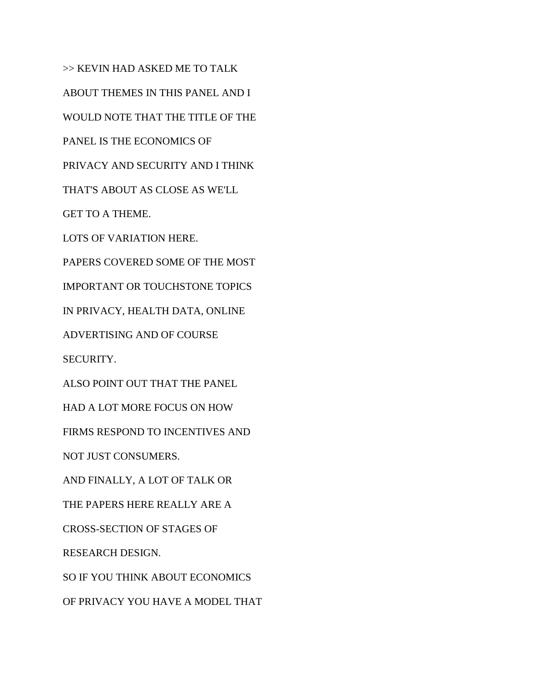>> KEVIN HAD ASKED ME TO TALK ABOUT THEMES IN THIS PANEL AND I WOULD NOTE THAT THE TITLE OF THE PANEL IS THE ECONOMICS OF PRIVACY AND SECURITY AND I THINK THAT'S ABOUT AS CLOSE AS WE'LL GET TO A THEME. LOTS OF VARIATION HERE. PAPERS COVERED SOME OF THE MOST IMPORTANT OR TOUCHSTONE TOPICS IN PRIVACY, HEALTH DATA, ONLINE ADVERTISING AND OF COURSE SECURITY. ALSO POINT OUT THAT THE PANEL HAD A LOT MORE FOCUS ON HOW FIRMS RESPOND TO INCENTIVES AND NOT JUST CONSUMERS. AND FINALLY, A LOT OF TALK OR THE PAPERS HERE REALLY ARE A CROSS-SECTION OF STAGES OF RESEARCH DESIGN. SO IF YOU THINK ABOUT ECONOMICS OF PRIVACY YOU HAVE A MODEL THAT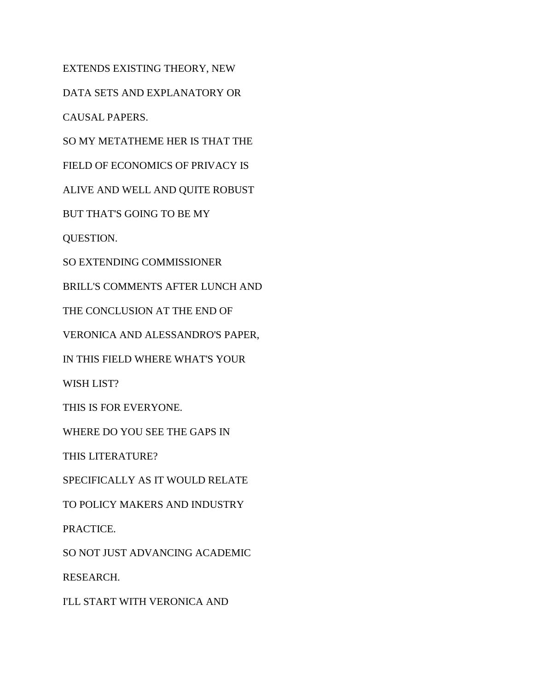EXTENDS EXISTING THEORY, NEW

DATA SETS AND EXPLANATORY OR

CAUSAL PAPERS.

SO MY METATHEME HER IS THAT THE

FIELD OF ECONOMICS OF PRIVACY IS

ALIVE AND WELL AND QUITE ROBUST

BUT THAT'S GOING TO BE MY

QUESTION.

SO EXTENDING COMMISSIONER

BRILL'S COMMENTS AFTER LUNCH AND

THE CONCLUSION AT THE END OF

VERONICA AND ALESSANDRO'S PAPER,

IN THIS FIELD WHERE WHAT'S YOUR

WISH LIST?

THIS IS FOR EVERYONE.

WHERE DO YOU SEE THE GAPS IN

THIS LITERATURE?

SPECIFICALLY AS IT WOULD RELATE

TO POLICY MAKERS AND INDUSTRY

PRACTICE.

SO NOT JUST ADVANCING ACADEMIC

RESEARCH.

I'LL START WITH VERONICA AND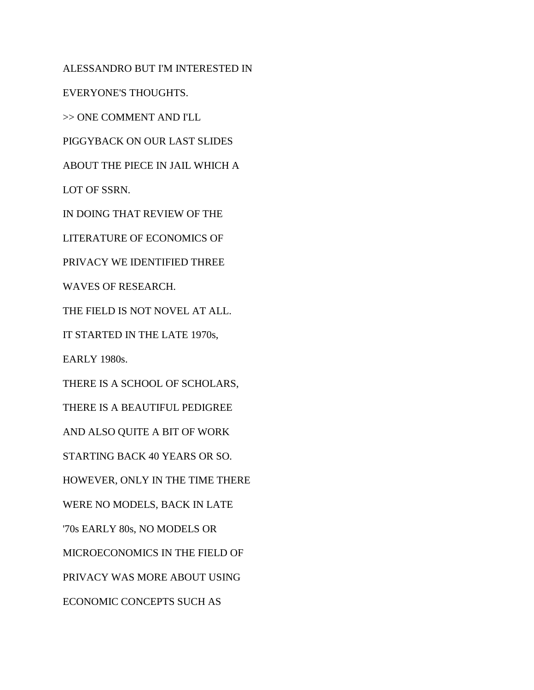ALESSANDRO BUT I'M INTERESTED IN EVERYONE'S THOUGHTS. >> ONE COMMENT AND I'LL PIGGYBACK ON OUR LAST SLIDES ABOUT THE PIECE IN JAIL WHICH A LOT OF SSRN. IN DOING THAT REVIEW OF THE LITERATURE OF ECONOMICS OF PRIVACY WE IDENTIFIED THREE WAVES OF RESEARCH. THE FIELD IS NOT NOVEL AT ALL. IT STARTED IN THE LATE 1970s, EARLY 1980s. THERE IS A SCHOOL OF SCHOLARS, THERE IS A BEAUTIFUL PEDIGREE AND ALSO QUITE A BIT OF WORK STARTING BACK 40 YEARS OR SO. HOWEVER, ONLY IN THE TIME THERE WERE NO MODELS, BACK IN LATE '70s EARLY 80s, NO MODELS OR MICROECONOMICS IN THE FIELD OF PRIVACY WAS MORE ABOUT USING ECONOMIC CONCEPTS SUCH AS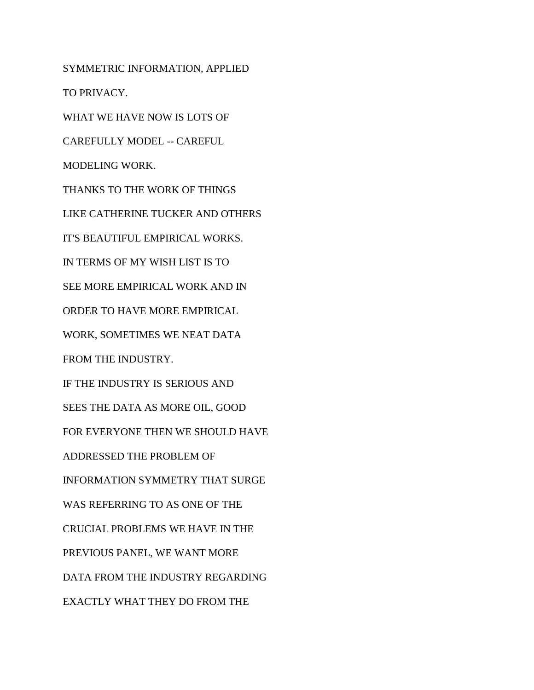SYMMETRIC INFORMATION, APPLIED TO PRIVACY. WHAT WE HAVE NOW IS LOTS OF CAREFULLY MODEL -- CAREFUL MODELING WORK. THANKS TO THE WORK OF THINGS LIKE CATHERINE TUCKER AND OTHERS IT'S BEAUTIFUL EMPIRICAL WORKS. IN TERMS OF MY WISH LIST IS TO SEE MORE EMPIRICAL WORK AND IN ORDER TO HAVE MORE EMPIRICAL WORK, SOMETIMES WE NEAT DATA FROM THE INDUSTRY. IF THE INDUSTRY IS SERIOUS AND SEES THE DATA AS MORE OIL, GOOD FOR EVERYONE THEN WE SHOULD HAVE ADDRESSED THE PROBLEM OF INFORMATION SYMMETRY THAT SURGE WAS REFERRING TO AS ONE OF THE CRUCIAL PROBLEMS WE HAVE IN THE PREVIOUS PANEL, WE WANT MORE DATA FROM THE INDUSTRY REGARDING EXACTLY WHAT THEY DO FROM THE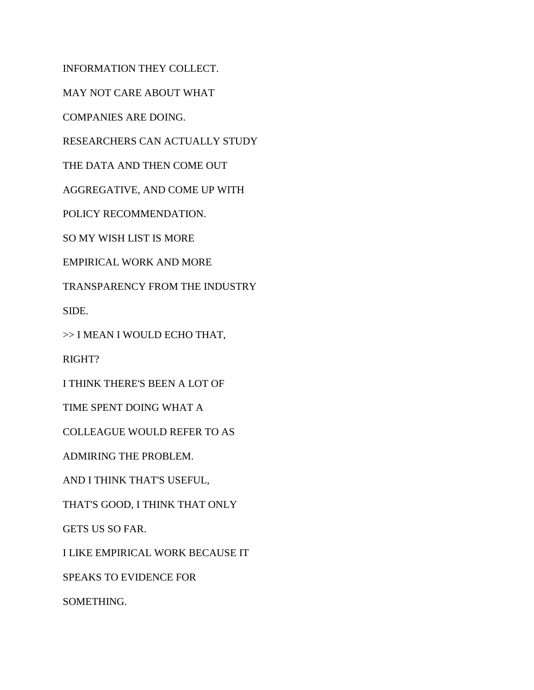INFORMATION THEY COLLECT.

MAY NOT CARE ABOUT WHAT

COMPANIES ARE DOING.

RESEARCHERS CAN ACTUALLY STUDY

THE DATA AND THEN COME OUT

AGGREGATIVE, AND COME UP WITH

POLICY RECOMMENDATION.

SO MY WISH LIST IS MORE

EMPIRICAL WORK AND MORE

TRANSPARENCY FROM THE INDUSTRY

SIDE.

>> I MEAN I WOULD ECHO THAT,

RIGHT?

I THINK THERE'S BEEN A LOT OF

TIME SPENT DOING WHAT A

COLLEAGUE WOULD REFER TO AS

ADMIRING THE PROBLEM.

AND I THINK THAT'S USEFUL,

THAT'S GOOD, I THINK THAT ONLY

GETS US SO FAR.

I LIKE EMPIRICAL WORK BECAUSE IT

SPEAKS TO EVIDENCE FOR

SOMETHING.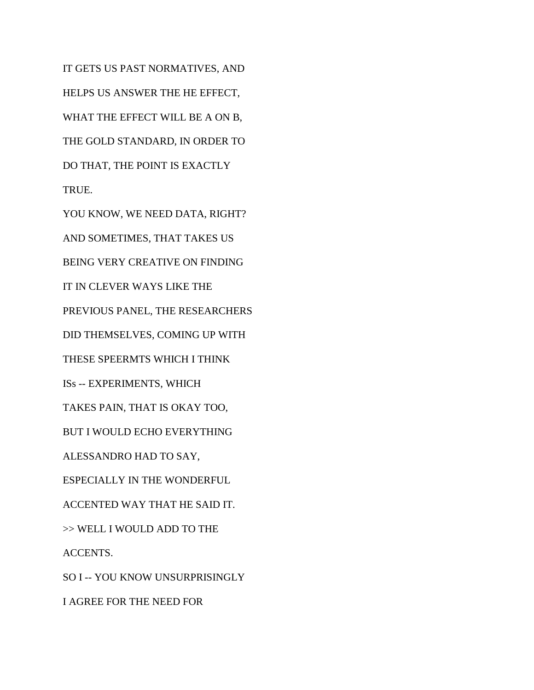IT GETS US PAST NORMATIVES, AND HELPS US ANSWER THE HE EFFECT, WHAT THE EFFECT WILL BE A ON B, THE GOLD STANDARD, IN ORDER TO DO THAT, THE POINT IS EXACTLY TRUE.

YOU KNOW, WE NEED DATA, RIGHT? AND SOMETIMES, THAT TAKES US BEING VERY CREATIVE ON FINDING IT IN CLEVER WAYS LIKE THE PREVIOUS PANEL, THE RESEARCHERS DID THEMSELVES, COMING UP WITH THESE SPEERMTS WHICH I THINK ISs -- EXPERIMENTS, WHICH TAKES PAIN, THAT IS OKAY TOO, BUT I WOULD ECHO EVERYTHING ALESSANDRO HAD TO SAY, ESPECIALLY IN THE WONDERFUL ACCENTED WAY THAT HE SAID IT. >> WELL I WOULD ADD TO THE ACCENTS. SO I -- YOU KNOW UNSURPRISINGLY I AGREE FOR THE NEED FOR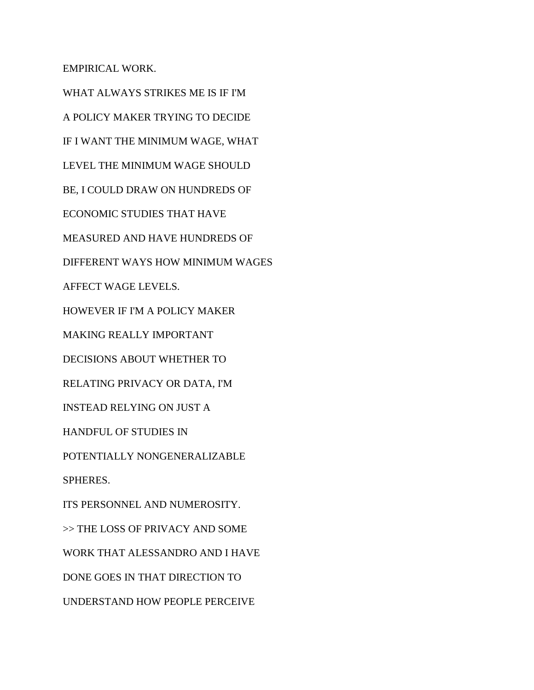EMPIRICAL WORK.

WHAT ALWAYS STRIKES ME IS IF I'M A POLICY MAKER TRYING TO DECIDE IF I WANT THE MINIMUM WAGE, WHAT LEVEL THE MINIMUM WAGE SHOULD BE, I COULD DRAW ON HUNDREDS OF ECONOMIC STUDIES THAT HAVE MEASURED AND HAVE HUNDREDS OF DIFFERENT WAYS HOW MINIMUM WAGES AFFECT WAGE LEVELS. HOWEVER IF I'M A POLICY MAKER MAKING REALLY IMPORTANT DECISIONS ABOUT WHETHER TO RELATING PRIVACY OR DATA, I'M INSTEAD RELYING ON JUST A HANDFUL OF STUDIES IN POTENTIALLY NONGENERALIZABLE SPHERES. ITS PERSONNEL AND NUMEROSITY. >> THE LOSS OF PRIVACY AND SOME WORK THAT ALESSANDRO AND I HAVE DONE GOES IN THAT DIRECTION TO UNDERSTAND HOW PEOPLE PERCEIVE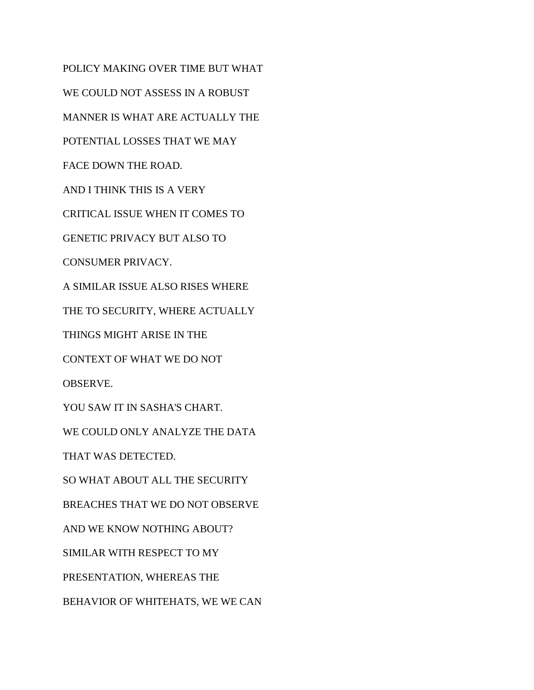POLICY MAKING OVER TIME BUT WHAT WE COULD NOT ASSESS IN A ROBUST MANNER IS WHAT ARE ACTUALLY THE POTENTIAL LOSSES THAT WE MAY FACE DOWN THE ROAD. AND I THINK THIS IS A VERY CRITICAL ISSUE WHEN IT COMES TO GENETIC PRIVACY BUT ALSO TO CONSUMER PRIVACY. A SIMILAR ISSUE ALSO RISES WHERE THE TO SECURITY, WHERE ACTUALLY THINGS MIGHT ARISE IN THE CONTEXT OF WHAT WE DO NOT OBSERVE. YOU SAW IT IN SASHA'S CHART. WE COULD ONLY ANALYZE THE DATA THAT WAS DETECTED. SO WHAT ABOUT ALL THE SECURITY BREACHES THAT WE DO NOT OBSERVE AND WE KNOW NOTHING ABOUT? SIMILAR WITH RESPECT TO MY PRESENTATION, WHEREAS THE BEHAVIOR OF WHITEHATS, WE WE CAN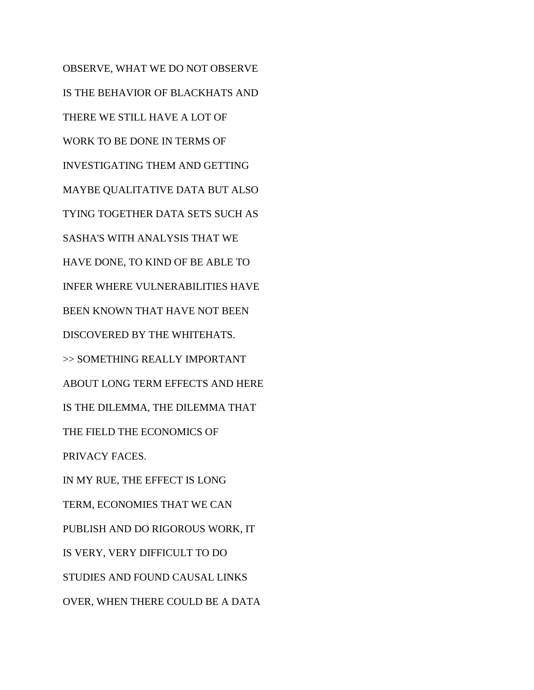OBSERVE, WHAT WE DO NOT OBSERVE IS THE BEHAVIOR OF BLACKHATS AND THERE WE STILL HAVE A LOT OF WORK TO BE DONE IN TERMS OF INVESTIGATING THEM AND GETTING MAYBE QUALITATIVE DATA BUT ALSO TYING TOGETHER DATA SETS SUCH AS SASHA'S WITH ANALYSIS THAT WE HAVE DONE, TO KIND OF BE ABLE TO INFER WHERE VULNERABILITIES HAVE BEEN KNOWN THAT HAVE NOT BEEN DISCOVERED BY THE WHITEHATS. >> SOMETHING REALLY IMPORTANT ABOUT LONG TERM EFFECTS AND HERE IS THE DILEMMA, THE DILEMMA THAT THE FIELD THE ECONOMICS OF PRIVACY FACES. IN MY RUE, THE EFFECT IS LONG TERM, ECONOMIES THAT WE CAN PUBLISH AND DO RIGOROUS WORK, IT IS VERY, VERY DIFFICULT TO DO STUDIES AND FOUND CAUSAL LINKS OVER, WHEN THERE COULD BE A DATA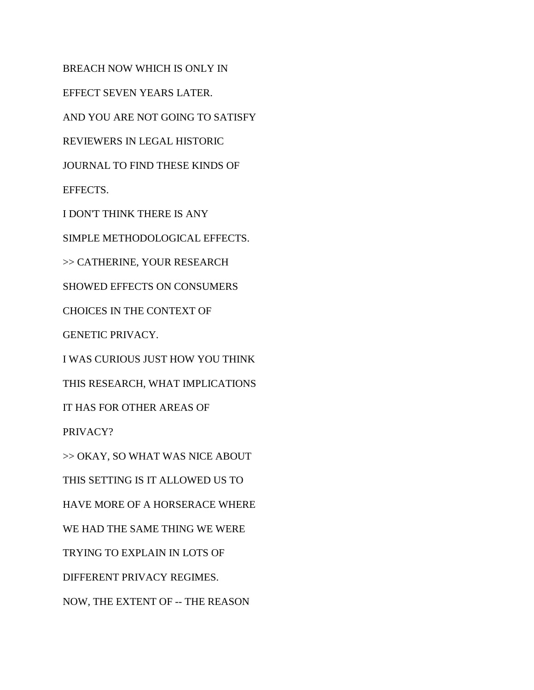BREACH NOW WHICH IS ONLY IN EFFECT SEVEN YEARS LATER. AND YOU ARE NOT GOING TO SATISFY REVIEWERS IN LEGAL HISTORIC JOURNAL TO FIND THESE KINDS OF EFFECTS. I DON'T THINK THERE IS ANY SIMPLE METHODOLOGICAL EFFECTS. >> CATHERINE, YOUR RESEARCH SHOWED EFFECTS ON CONSUMERS CHOICES IN THE CONTEXT OF GENETIC PRIVACY. I WAS CURIOUS JUST HOW YOU THINK THIS RESEARCH, WHAT IMPLICATIONS IT HAS FOR OTHER AREAS OF PRIVACY? >> OKAY, SO WHAT WAS NICE ABOUT THIS SETTING IS IT ALLOWED US TO HAVE MORE OF A HORSERACE WHERE WE HAD THE SAME THING WE WERE TRYING TO EXPLAIN IN LOTS OF

DIFFERENT PRIVACY REGIMES.

NOW, THE EXTENT OF -- THE REASON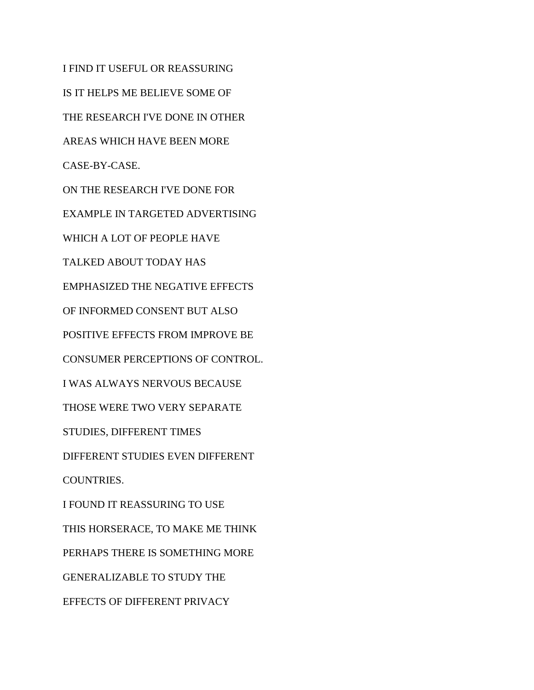I FIND IT USEFUL OR REASSURING IS IT HELPS ME BELIEVE SOME OF THE RESEARCH I'VE DONE IN OTHER AREAS WHICH HAVE BEEN MORE CASE-BY-CASE. ON THE RESEARCH I'VE DONE FOR EXAMPLE IN TARGETED ADVERTISING WHICH A LOT OF PEOPLE HAVE TALKED ABOUT TODAY HAS EMPHASIZED THE NEGATIVE EFFECTS OF INFORMED CONSENT BUT ALSO POSITIVE EFFECTS FROM IMPROVE BE CONSUMER PERCEPTIONS OF CONTROL. I WAS ALWAYS NERVOUS BECAUSE THOSE WERE TWO VERY SEPARATE STUDIES, DIFFERENT TIMES DIFFERENT STUDIES EVEN DIFFERENT COUNTRIES. I FOUND IT REASSURING TO USE THIS HORSERACE, TO MAKE ME THINK PERHAPS THERE IS SOMETHING MORE GENERALIZABLE TO STUDY THE EFFECTS OF DIFFERENT PRIVACY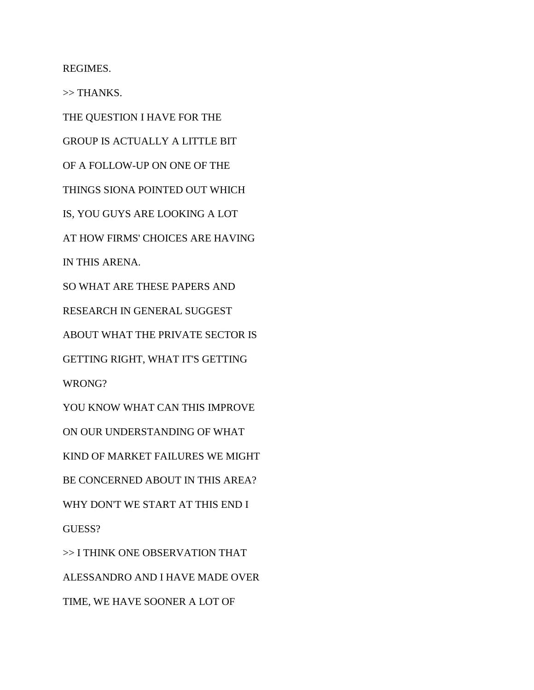REGIMES.

>> THANKS.

THE QUESTION I HAVE FOR THE

GROUP IS ACTUALLY A LITTLE BIT

OF A FOLLOW-UP ON ONE OF THE

THINGS SIONA POINTED OUT WHICH

IS, YOU GUYS ARE LOOKING A LOT

AT HOW FIRMS' CHOICES ARE HAVING

IN THIS ARENA.

SO WHAT ARE THESE PAPERS AND

RESEARCH IN GENERAL SUGGEST

ABOUT WHAT THE PRIVATE SECTOR IS

GETTING RIGHT, WHAT IT'S GETTING

WRONG?

YOU KNOW WHAT CAN THIS IMPROVE

ON OUR UNDERSTANDING OF WHAT

KIND OF MARKET FAILURES WE MIGHT

BE CONCERNED ABOUT IN THIS AREA?

WHY DON'T WE START AT THIS END I

GUESS?

>> I THINK ONE OBSERVATION THAT ALESSANDRO AND I HAVE MADE OVER TIME, WE HAVE SOONER A LOT OF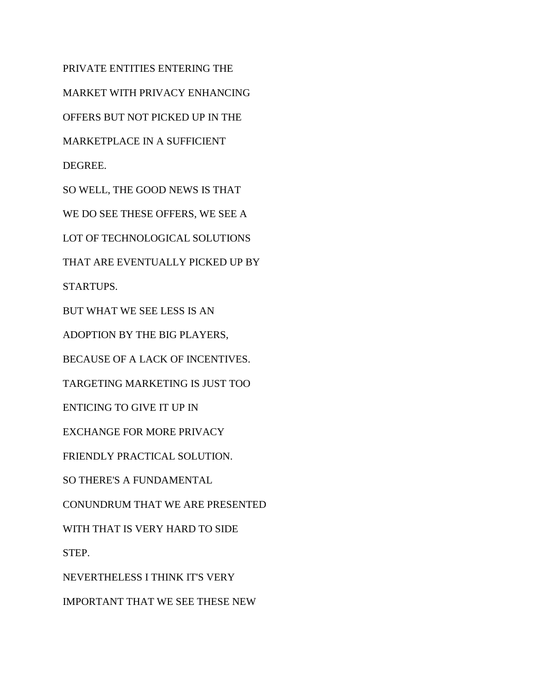PRIVATE ENTITIES ENTERING THE MARKET WITH PRIVACY ENHANCING OFFERS BUT NOT PICKED UP IN THE MARKETPLACE IN A SUFFICIENT DEGREE. SO WELL, THE GOOD NEWS IS THAT WE DO SEE THESE OFFERS, WE SEE A LOT OF TECHNOLOGICAL SOLUTIONS THAT ARE EVENTUALLY PICKED UP BY STARTUPS. BUT WHAT WE SEE LESS IS AN ADOPTION BY THE BIG PLAYERS, BECAUSE OF A LACK OF INCENTIVES. TARGETING MARKETING IS JUST TOO ENTICING TO GIVE IT UP IN EXCHANGE FOR MORE PRIVACY FRIENDLY PRACTICAL SOLUTION. SO THERE'S A FUNDAMENTAL CONUNDRUM THAT WE ARE PRESENTED WITH THAT IS VERY HARD TO SIDE STEP. NEVERTHELESS I THINK IT'S VERY IMPORTANT THAT WE SEE THESE NEW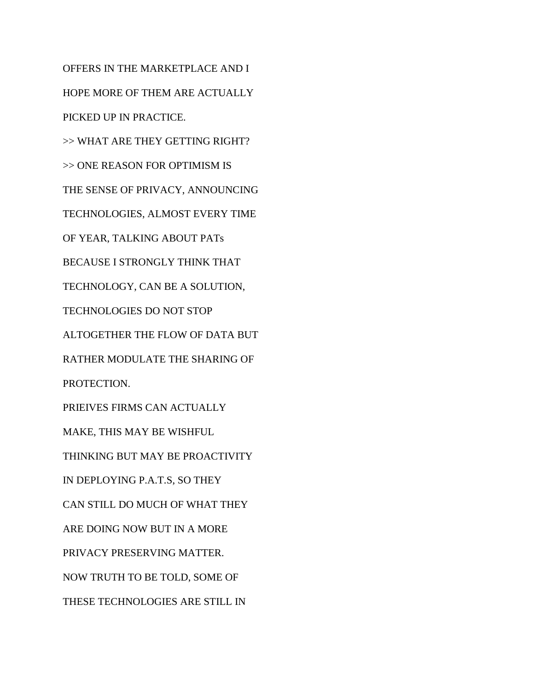OFFERS IN THE MARKETPLACE AND I HOPE MORE OF THEM ARE ACTUALLY PICKED UP IN PRACTICE. >> WHAT ARE THEY GETTING RIGHT? >> ONE REASON FOR OPTIMISM IS THE SENSE OF PRIVACY, ANNOUNCING TECHNOLOGIES, ALMOST EVERY TIME OF YEAR, TALKING ABOUT PATs BECAUSE I STRONGLY THINK THAT TECHNOLOGY, CAN BE A SOLUTION, TECHNOLOGIES DO NOT STOP ALTOGETHER THE FLOW OF DATA BUT RATHER MODULATE THE SHARING OF PROTECTION. PRIEIVES FIRMS CAN ACTUALLY MAKE, THIS MAY BE WISHFUL THINKING BUT MAY BE PROACTIVITY IN DEPLOYING P.A.T.S, SO THEY CAN STILL DO MUCH OF WHAT THEY ARE DOING NOW BUT IN A MORE PRIVACY PRESERVING MATTER. NOW TRUTH TO BE TOLD, SOME OF THESE TECHNOLOGIES ARE STILL IN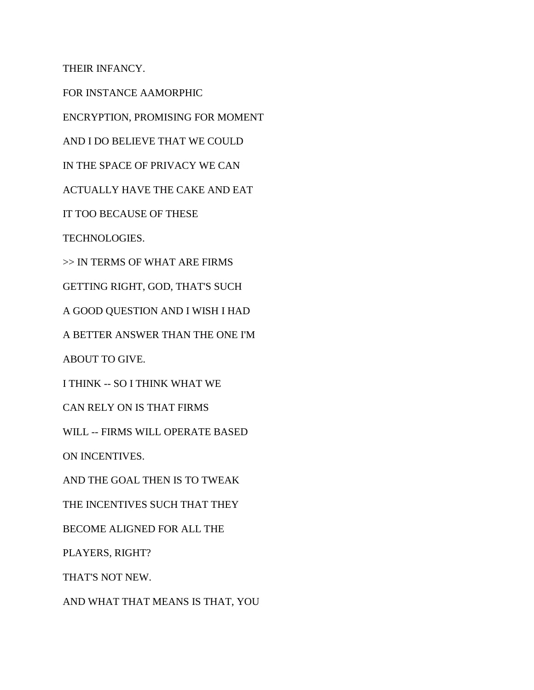THEIR INFANCY.

FOR INSTANCE AAMORPHIC

ENCRYPTION, PROMISING FOR MOMENT

AND I DO BELIEVE THAT WE COULD

IN THE SPACE OF PRIVACY WE CAN

ACTUALLY HAVE THE CAKE AND EAT

IT TOO BECAUSE OF THESE

TECHNOLOGIES.

>> IN TERMS OF WHAT ARE FIRMS

GETTING RIGHT, GOD, THAT'S SUCH

A GOOD QUESTION AND I WISH I HAD

A BETTER ANSWER THAN THE ONE I'M

ABOUT TO GIVE.

I THINK -- SO I THINK WHAT WE

CAN RELY ON IS THAT FIRMS

WILL -- FIRMS WILL OPERATE BASED

ON INCENTIVES.

AND THE GOAL THEN IS TO TWEAK

THE INCENTIVES SUCH THAT THEY

BECOME ALIGNED FOR ALL THE

PLAYERS, RIGHT?

THAT'S NOT NEW.

AND WHAT THAT MEANS IS THAT, YOU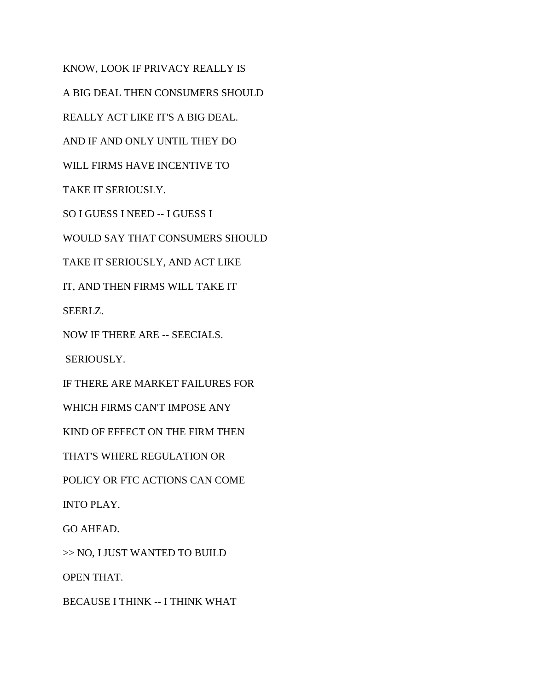KNOW, LOOK IF PRIVACY REALLY IS A BIG DEAL THEN CONSUMERS SHOULD REALLY ACT LIKE IT'S A BIG DEAL. AND IF AND ONLY UNTIL THEY DO WILL FIRMS HAVE INCENTIVE TO TAKE IT SERIOUSLY. SO I GUESS I NEED -- I GUESS I WOULD SAY THAT CONSUMERS SHOULD TAKE IT SERIOUSLY, AND ACT LIKE IT, AND THEN FIRMS WILL TAKE IT SEERLZ. NOW IF THERE ARE -- SEECIALS. SERIOUSLY. IF THERE ARE MARKET FAILURES FOR WHICH FIRMS CAN'T IMPOSE ANY KIND OF EFFECT ON THE FIRM THEN THAT'S WHERE REGULATION OR POLICY OR FTC ACTIONS CAN COME INTO PLAY. GO AHEAD. >> NO, I JUST WANTED TO BUILD OPEN THAT. BECAUSE I THINK -- I THINK WHAT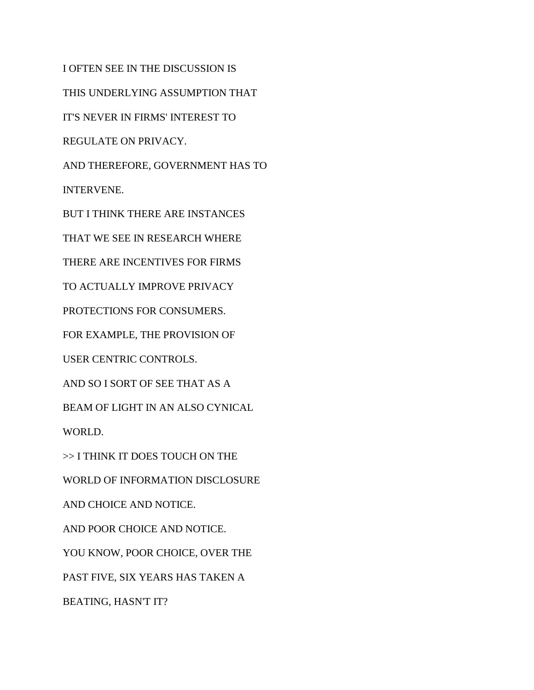I OFTEN SEE IN THE DISCUSSION IS THIS UNDERLYING ASSUMPTION THAT IT'S NEVER IN FIRMS' INTEREST TO REGULATE ON PRIVACY. AND THEREFORE, GOVERNMENT HAS TO INTERVENE. BUT I THINK THERE ARE INSTANCES THAT WE SEE IN RESEARCH WHERE THERE ARE INCENTIVES FOR FIRMS TO ACTUALLY IMPROVE PRIVACY PROTECTIONS FOR CONSUMERS. FOR EXAMPLE, THE PROVISION OF USER CENTRIC CONTROLS. AND SO I SORT OF SEE THAT AS A BEAM OF LIGHT IN AN ALSO CYNICAL WORLD. >> I THINK IT DOES TOUCH ON THE WORLD OF INFORMATION DISCLOSURE AND CHOICE AND NOTICE. AND POOR CHOICE AND NOTICE. YOU KNOW, POOR CHOICE, OVER THE PAST FIVE, SIX YEARS HAS TAKEN A

BEATING, HASN'T IT?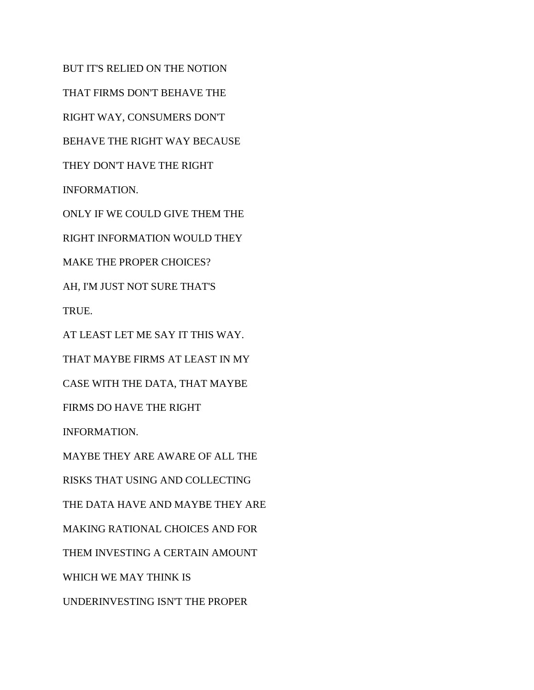BUT IT'S RELIED ON THE NOTION THAT FIRMS DON'T BEHAVE THE RIGHT WAY, CONSUMERS DON'T BEHAVE THE RIGHT WAY BECAUSE THEY DON'T HAVE THE RIGHT INFORMATION. ONLY IF WE COULD GIVE THEM THE RIGHT INFORMATION WOULD THEY

MAKE THE PROPER CHOICES?

AH, I'M JUST NOT SURE THAT'S TRUE.

AT LEAST LET ME SAY IT THIS WAY.

THAT MAYBE FIRMS AT LEAST IN MY

CASE WITH THE DATA, THAT MAYBE

FIRMS DO HAVE THE RIGHT

INFORMATION.

MAYBE THEY ARE AWARE OF ALL THE

RISKS THAT USING AND COLLECTING

THE DATA HAVE AND MAYBE THEY ARE

MAKING RATIONAL CHOICES AND FOR

THEM INVESTING A CERTAIN AMOUNT

WHICH WE MAY THINK IS

UNDERINVESTING ISN'T THE PROPER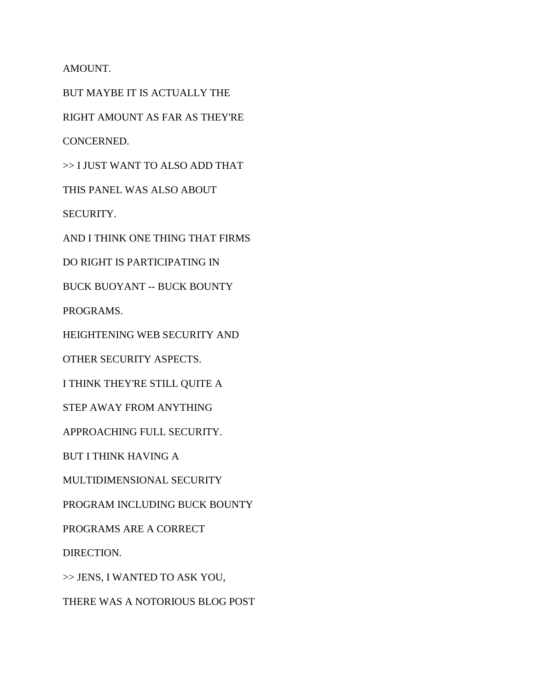AMOUNT.

BUT MAYBE IT IS ACTUALLY THE RIGHT AMOUNT AS FAR AS THEY'RE CONCERNED. >> I JUST WANT TO ALSO ADD THAT THIS PANEL WAS ALSO ABOUT SECURITY. AND I THINK ONE THING THAT FIRMS DO RIGHT IS PARTICIPATING IN BUCK BUOYANT -- BUCK BOUNTY PROGRAMS. HEIGHTENING WEB SECURITY AND OTHER SECURITY ASPECTS. I THINK THEY'RE STILL QUITE A STEP AWAY FROM ANYTHING APPROACHING FULL SECURITY. BUT I THINK HAVING A MULTIDIMENSIONAL SECURITY PROGRAM INCLUDING BUCK BOUNTY PROGRAMS ARE A CORRECT DIRECTION. >> JENS, I WANTED TO ASK YOU,

THERE WAS A NOTORIOUS BLOG POST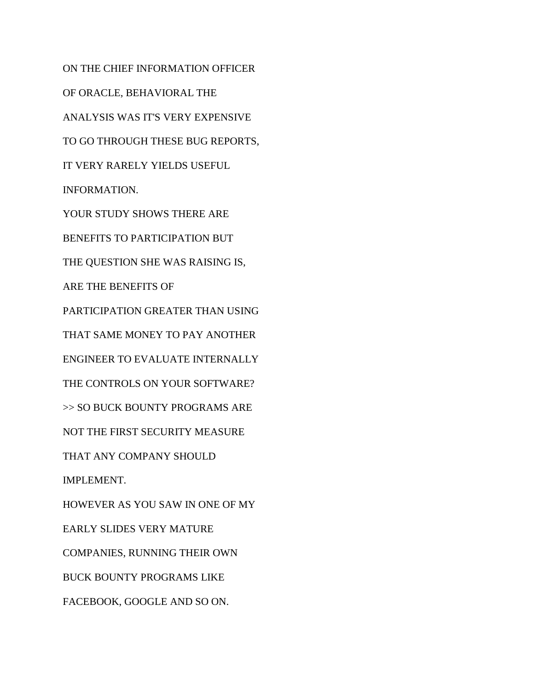ON THE CHIEF INFORMATION OFFICER OF ORACLE, BEHAVIORAL THE ANALYSIS WAS IT'S VERY EXPENSIVE TO GO THROUGH THESE BUG REPORTS, IT VERY RARELY YIELDS USEFUL INFORMATION. YOUR STUDY SHOWS THERE ARE BENEFITS TO PARTICIPATION BUT THE QUESTION SHE WAS RAISING IS, ARE THE BENEFITS OF PARTICIPATION GREATER THAN USING THAT SAME MONEY TO PAY ANOTHER ENGINEER TO EVALUATE INTERNALLY THE CONTROLS ON YOUR SOFTWARE? >> SO BUCK BOUNTY PROGRAMS ARE NOT THE FIRST SECURITY MEASURE THAT ANY COMPANY SHOULD IMPLEMENT. HOWEVER AS YOU SAW IN ONE OF MY EARLY SLIDES VERY MATURE COMPANIES, RUNNING THEIR OWN BUCK BOUNTY PROGRAMS LIKE FACEBOOK, GOOGLE AND SO ON.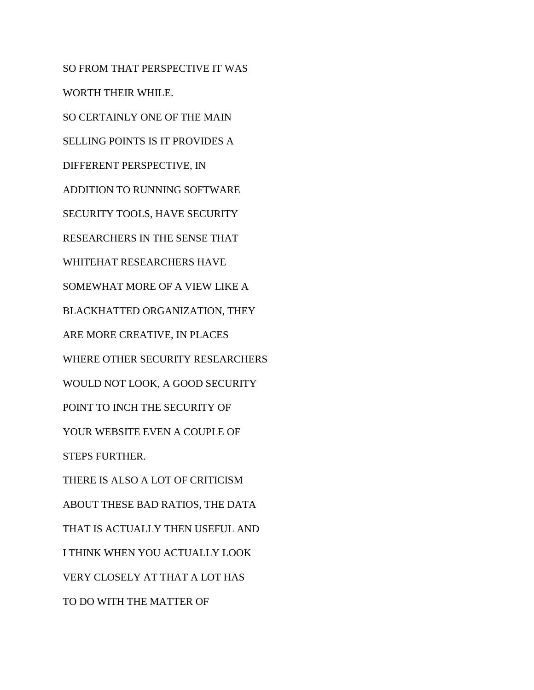SO FROM THAT PERSPECTIVE IT WAS WORTH THEIR WHILE. SO CERTAINLY ONE OF THE MAIN SELLING POINTS IS IT PROVIDES A DIFFERENT PERSPECTIVE, IN ADDITION TO RUNNING SOFTWARE SECURITY TOOLS, HAVE SECURITY RESEARCHERS IN THE SENSE THAT WHITEHAT RESEARCHERS HAVE SOMEWHAT MORE OF A VIEW LIKE A BLACKHATTED ORGANIZATION, THEY ARE MORE CREATIVE, IN PLACES WHERE OTHER SECURITY RESEARCHERS WOULD NOT LOOK, A GOOD SECURITY POINT TO INCH THE SECURITY OF YOUR WEBSITE EVEN A COUPLE OF STEPS FURTHER. THERE IS ALSO A LOT OF CRITICISM ABOUT THESE BAD RATIOS, THE DATA THAT IS ACTUALLY THEN USEFUL AND I THINK WHEN YOU ACTUALLY LOOK VERY CLOSELY AT THAT A LOT HAS TO DO WITH THE MATTER OF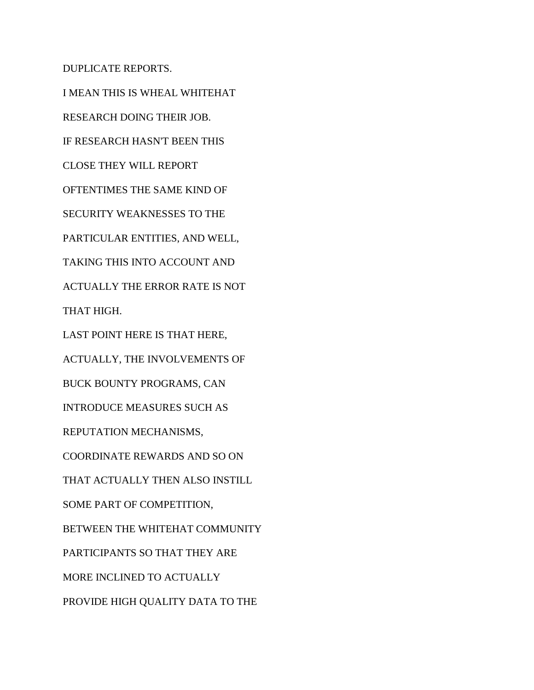DUPLICATE REPORTS.

I MEAN THIS IS WHEAL WHITEHAT RESEARCH DOING THEIR JOB. IF RESEARCH HASN'T BEEN THIS CLOSE THEY WILL REPORT OFTENTIMES THE SAME KIND OF SECURITY WEAKNESSES TO THE PARTICULAR ENTITIES, AND WELL, TAKING THIS INTO ACCOUNT AND ACTUALLY THE ERROR RATE IS NOT THAT HIGH. LAST POINT HERE IS THAT HERE, ACTUALLY, THE INVOLVEMENTS OF BUCK BOUNTY PROGRAMS, CAN INTRODUCE MEASURES SUCH AS REPUTATION MECHANISMS, COORDINATE REWARDS AND SO ON THAT ACTUALLY THEN ALSO INSTILL SOME PART OF COMPETITION, BETWEEN THE WHITEHAT COMMUNITY PARTICIPANTS SO THAT THEY ARE MORE INCLINED TO ACTUALLY PROVIDE HIGH QUALITY DATA TO THE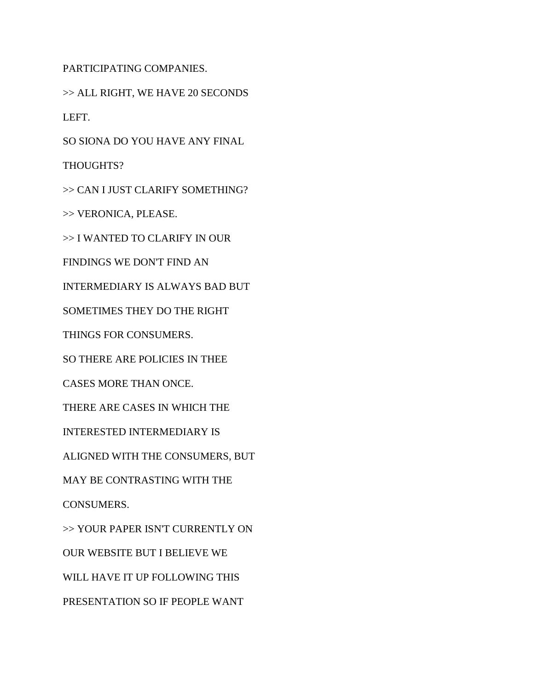PARTICIPATING COMPANIES.

>> ALL RIGHT, WE HAVE 20 SECONDS LEFT.

SO SIONA DO YOU HAVE ANY FINAL

THOUGHTS?

>> CAN I JUST CLARIFY SOMETHING?

>> VERONICA, PLEASE.

>> I WANTED TO CLARIFY IN OUR

FINDINGS WE DON'T FIND AN

INTERMEDIARY IS ALWAYS BAD BUT

SOMETIMES THEY DO THE RIGHT

THINGS FOR CONSUMERS.

SO THERE ARE POLICIES IN THEE

CASES MORE THAN ONCE.

THERE ARE CASES IN WHICH THE

INTERESTED INTERMEDIARY IS

ALIGNED WITH THE CONSUMERS, BUT

MAY BE CONTRASTING WITH THE

CONSUMERS.

>> YOUR PAPER ISN'T CURRENTLY ON

OUR WEBSITE BUT I BELIEVE WE

WILL HAVE IT UP FOLLOWING THIS

PRESENTATION SO IF PEOPLE WANT